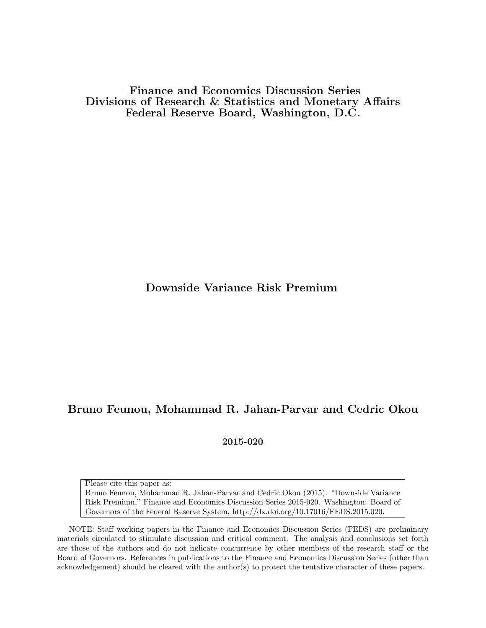Finance and Economics Discussion Series Divisions of Research & Statistics and Monetary Affairs Federal Reserve Board, Washington, D.C.

Downside Variance Risk Premium

# Bruno Feunou, Mohammad R. Jahan-Parvar and Cedric Okou

2015-020

Please cite this paper as:

Bruno Feunou, Mohammad R. Jahan-Parvar and Cedric Okou (2015). "Downside Variance Risk Premium," Finance and Economics Discussion Series 2015-020. Washington: Board of Governors of the Federal Reserve System, http://dx.doi.org/10.17016/FEDS.2015.020.

NOTE: Staff working papers in the Finance and Economics Discussion Series (FEDS) are preliminary materials circulated to stimulate discussion and critical comment. The analysis and conclusions set forth are those of the authors and do not indicate concurrence by other members of the research staff or the Board of Governors. References in publications to the Finance and Economics Discussion Series (other than acknowledgement) should be cleared with the author(s) to protect the tentative character of these papers.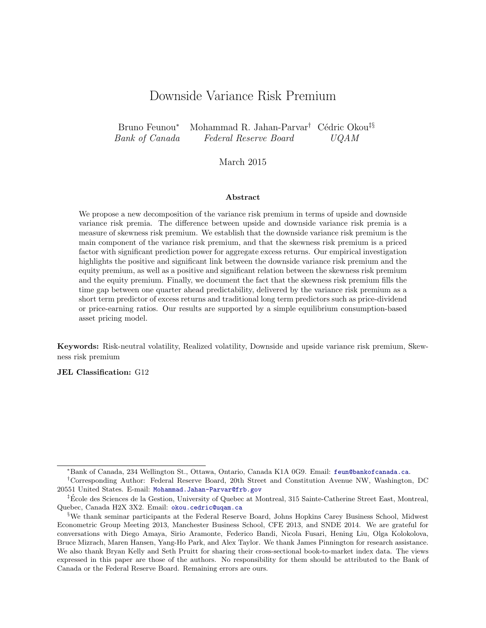# Downside Variance Risk Premium

Bruno Feunou<sup>\*</sup> Mohammad R. Jahan-Parvar<sup>†</sup> Cédric Okou<sup>‡§</sup> Bank of Canada Federal Reserve Board UQAM

#### March 2015

#### Abstract

We propose a new decomposition of the variance risk premium in terms of upside and downside variance risk premia. The difference between upside and downside variance risk premia is a measure of skewness risk premium. We establish that the downside variance risk premium is the main component of the variance risk premium, and that the skewness risk premium is a priced factor with significant prediction power for aggregate excess returns. Our empirical investigation highlights the positive and significant link between the downside variance risk premium and the equity premium, as well as a positive and significant relation between the skewness risk premium and the equity premium. Finally, we document the fact that the skewness risk premium fills the time gap between one quarter ahead predictability, delivered by the variance risk premium as a short term predictor of excess returns and traditional long term predictors such as price-dividend or price-earning ratios. Our results are supported by a simple equilibrium consumption-based asset pricing model.

Keywords: Risk-neutral volatility, Realized volatility, Downside and upside variance risk premium, Skewness risk premium

JEL Classification: G12

<sup>∗</sup>Bank of Canada, 234 Wellington St., Ottawa, Ontario, Canada K1A 0G9. Email: feun@bankofcanada.ca.

<sup>†</sup>Corresponding Author: Federal Reserve Board, 20th Street and Constitution Avenue NW, Washington, DC 20551 United States. E-mail: Mohammad.Jahan-Parvar@frb.gov

<sup>‡</sup>Ecole des Sciences de la Gestion, University of Quebec at Montreal, 315 Sainte-Catherine Street East, Montreal, ´ Quebec, Canada H2X 3X2. Email: okou.cedric@uqam.ca

<sup>§</sup>We thank seminar participants at the Federal Reserve Board, Johns Hopkins Carey Business School, Midwest Econometric Group Meeting 2013, Manchester Business School, CFE 2013, and SNDE 2014. We are grateful for conversations with Diego Amaya, Sirio Aramonte, Federico Bandi, Nicola Fusari, Hening Liu, Olga Kolokolova, Bruce Mizrach, Maren Hansen, Yang-Ho Park, and Alex Taylor. We thank James Pinnington for research assistance. We also thank Bryan Kelly and Seth Pruitt for sharing their cross-sectional book-to-market index data. The views expressed in this paper are those of the authors. No responsibility for them should be attributed to the Bank of Canada or the Federal Reserve Board. Remaining errors are ours.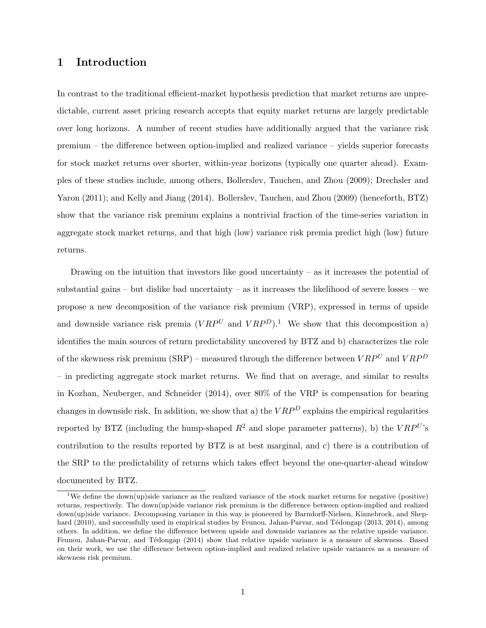# 1 Introduction

In contrast to the traditional efficient-market hypothesis prediction that market returns are unpredictable, current asset pricing research accepts that equity market returns are largely predictable over long horizons. A number of recent studies have additionally argued that the variance risk premium – the difference between option-implied and realized variance – yields superior forecasts for stock market returns over shorter, within-year horizons (typically one quarter ahead). Examples of these studies include, among others, Bollerslev, Tauchen, and Zhou (2009); Drechsler and Yaron (2011); and Kelly and Jiang (2014). Bollerslev, Tauchen, and Zhou (2009) (henceforth, BTZ) show that the variance risk premium explains a nontrivial fraction of the time-series variation in aggregate stock market returns, and that high (low) variance risk premia predict high (low) future returns.

Drawing on the intuition that investors like good uncertainty  $-$  as it increases the potential of substantial gains – but dislike bad uncertainty – as it increases the likelihood of severe losses – we propose a new decomposition of the variance risk premium (VRP), expressed in terms of upside and downside variance risk premia  $(VRP^U)$  and  $VRP^D$ .<sup>1</sup> We show that this decomposition a) identifies the main sources of return predictability uncovered by BTZ and b) characterizes the role of the skewness risk premium (SRP) – measured through the difference between  $VRP<sup>U</sup>$  and  $VRP<sup>D</sup>$ – in predicting aggregate stock market returns. We find that on average, and similar to results in Kozhan, Neuberger, and Schneider (2014), over 80% of the VRP is compensation for bearing changes in downside risk. In addition, we show that a) the  $VRP<sup>D</sup>$  explains the empirical regularities reported by BTZ (including the hump-shaped  $R^2$  and slope parameter patterns), b) the  $VRP^{U}$ 's contribution to the results reported by BTZ is at best marginal, and c) there is a contribution of the SRP to the predictability of returns which takes effect beyond the one-quarter-ahead window documented by BTZ.

<sup>&</sup>lt;sup>1</sup>We define the down(up)side variance as the realized variance of the stock market returns for negative (positive) returns, respectively. The down(up)side variance risk premium is the difference between option-implied and realized down(up)side variance. Decomposing variance in this way is pioneered by Barndorff-Nielsen, Kinnebrock, and Shephard (2010), and successfully used in empirical studies by Feunou, Jahan-Parvar, and Tédongap (2013, 2014), among others. In addition, we define the difference between upside and downside variances as the relative upside variance. Feunou, Jahan-Parvar, and Tédongap (2014) show that relative upside variance is a measure of skewness. Based on their work, we use the difference between option-implied and realized relative upside variances as a measure of skewness risk premium.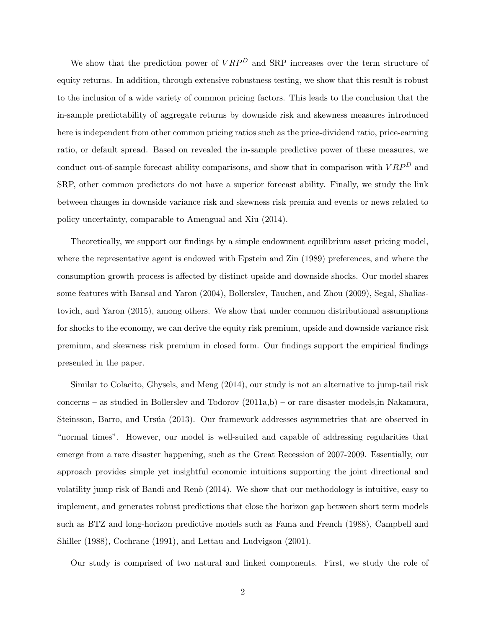We show that the prediction power of  $VRP<sup>D</sup>$  and SRP increases over the term structure of equity returns. In addition, through extensive robustness testing, we show that this result is robust to the inclusion of a wide variety of common pricing factors. This leads to the conclusion that the in-sample predictability of aggregate returns by downside risk and skewness measures introduced here is independent from other common pricing ratios such as the price-dividend ratio, price-earning ratio, or default spread. Based on revealed the in-sample predictive power of these measures, we conduct out-of-sample forecast ability comparisons, and show that in comparison with  $VRP<sup>D</sup>$  and SRP, other common predictors do not have a superior forecast ability. Finally, we study the link between changes in downside variance risk and skewness risk premia and events or news related to policy uncertainty, comparable to Amengual and Xiu (2014).

Theoretically, we support our findings by a simple endowment equilibrium asset pricing model, where the representative agent is endowed with Epstein and Zin (1989) preferences, and where the consumption growth process is affected by distinct upside and downside shocks. Our model shares some features with Bansal and Yaron (2004), Bollerslev, Tauchen, and Zhou (2009), Segal, Shaliastovich, and Yaron (2015), among others. We show that under common distributional assumptions for shocks to the economy, we can derive the equity risk premium, upside and downside variance risk premium, and skewness risk premium in closed form. Our findings support the empirical findings presented in the paper.

Similar to Colacito, Ghysels, and Meng (2014), our study is not an alternative to jump-tail risk concerns – as studied in Bollerslev and Todorov  $(2011a,b)$  – or rare disaster models, in Nakamura, Steinsson, Barro, and Ursúa (2013). Our framework addresses asymmetries that are observed in "normal times". However, our model is well-suited and capable of addressing regularities that emerge from a rare disaster happening, such as the Great Recession of 2007-2009. Essentially, our approach provides simple yet insightful economic intuitions supporting the joint directional and volatility jump risk of Bandi and Renò (2014). We show that our methodology is intuitive, easy to implement, and generates robust predictions that close the horizon gap between short term models such as BTZ and long-horizon predictive models such as Fama and French (1988), Campbell and Shiller (1988), Cochrane (1991), and Lettau and Ludvigson (2001).

Our study is comprised of two natural and linked components. First, we study the role of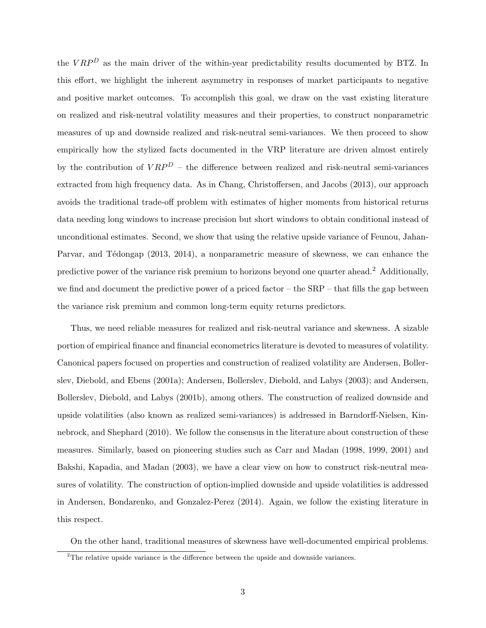the  $VRP<sup>D</sup>$  as the main driver of the within-year predictability results documented by BTZ. In this effort, we highlight the inherent asymmetry in responses of market participants to negative and positive market outcomes. To accomplish this goal, we draw on the vast existing literature on realized and risk-neutral volatility measures and their properties, to construct nonparametric measures of up and downside realized and risk-neutral semi-variances. We then proceed to show empirically how the stylized facts documented in the VRP literature are driven almost entirely by the contribution of  $VRP<sup>D</sup>$  – the difference between realized and risk-neutral semi-variances extracted from high frequency data. As in Chang, Christoffersen, and Jacobs (2013), our approach avoids the traditional trade-off problem with estimates of higher moments from historical returns data needing long windows to increase precision but short windows to obtain conditional instead of unconditional estimates. Second, we show that using the relative upside variance of Feunou, Jahan-Parvar, and Tédongap (2013, 2014), a nonparametric measure of skewness, we can enhance the predictive power of the variance risk premium to horizons beyond one quarter ahead.<sup>2</sup> Additionally, we find and document the predictive power of a priced factor – the  $SRP$  – that fills the gap between the variance risk premium and common long-term equity returns predictors.

Thus, we need reliable measures for realized and risk-neutral variance and skewness. A sizable portion of empirical finance and financial econometrics literature is devoted to measures of volatility. Canonical papers focused on properties and construction of realized volatility are Andersen, Bollerslev, Diebold, and Ebens (2001a); Andersen, Bollerslev, Diebold, and Labys (2003); and Andersen, Bollerslev, Diebold, and Labys (2001b), among others. The construction of realized downside and upside volatilities (also known as realized semi-variances) is addressed in Barndorff-Nielsen, Kinnebrock, and Shephard (2010). We follow the consensus in the literature about construction of these measures. Similarly, based on pioneering studies such as Carr and Madan (1998, 1999, 2001) and Bakshi, Kapadia, and Madan (2003), we have a clear view on how to construct risk-neutral measures of volatility. The construction of option-implied downside and upside volatilities is addressed in Andersen, Bondarenko, and Gonzalez-Perez (2014). Again, we follow the existing literature in this respect.

On the other hand, traditional measures of skewness have well-documented empirical problems.

 $^{2}$ The relative upside variance is the difference between the upside and downside variances.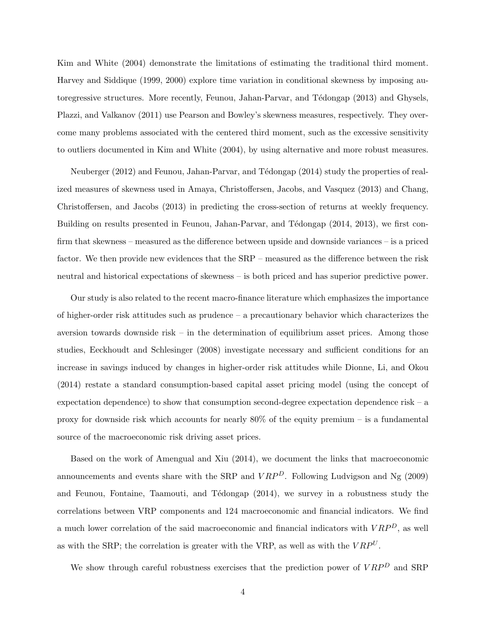Kim and White (2004) demonstrate the limitations of estimating the traditional third moment. Harvey and Siddique (1999, 2000) explore time variation in conditional skewness by imposing autoregressive structures. More recently, Feunou, Jahan-Parvar, and Tédongap (2013) and Ghysels, Plazzi, and Valkanov (2011) use Pearson and Bowley's skewness measures, respectively. They overcome many problems associated with the centered third moment, such as the excessive sensitivity to outliers documented in Kim and White (2004), by using alternative and more robust measures.

Neuberger (2012) and Feunou, Jahan-Parvar, and Tédongap (2014) study the properties of realized measures of skewness used in Amaya, Christoffersen, Jacobs, and Vasquez (2013) and Chang, Christoffersen, and Jacobs (2013) in predicting the cross-section of returns at weekly frequency. Building on results presented in Feunou, Jahan-Parvar, and Tédongap (2014, 2013), we first confirm that skewness – measured as the difference between upside and downside variances – is a priced factor. We then provide new evidences that the SRP – measured as the difference between the risk neutral and historical expectations of skewness – is both priced and has superior predictive power.

Our study is also related to the recent macro-finance literature which emphasizes the importance of higher-order risk attitudes such as prudence – a precautionary behavior which characterizes the aversion towards downside risk – in the determination of equilibrium asset prices. Among those studies, Eeckhoudt and Schlesinger (2008) investigate necessary and sufficient conditions for an increase in savings induced by changes in higher-order risk attitudes while Dionne, Li, and Okou (2014) restate a standard consumption-based capital asset pricing model (using the concept of expectation dependence) to show that consumption second-degree expectation dependence risk – a proxy for downside risk which accounts for nearly  $80\%$  of the equity premium – is a fundamental source of the macroeconomic risk driving asset prices.

Based on the work of Amengual and Xiu (2014), we document the links that macroeconomic announcements and events share with the SRP and  $VRP<sup>D</sup>$ . Following Ludvigson and Ng (2009) and Feunou, Fontaine, Taamouti, and Tédongap  $(2014)$ , we survey in a robustness study the correlations between VRP components and 124 macroeconomic and financial indicators. We find a much lower correlation of the said macroeconomic and financial indicators with  $VRP<sup>D</sup>$ , as well as with the SRP; the correlation is greater with the VRP, as well as with the  $VRP^{U}$ .

We show through careful robustness exercises that the prediction power of  $VRP<sup>D</sup>$  and SRP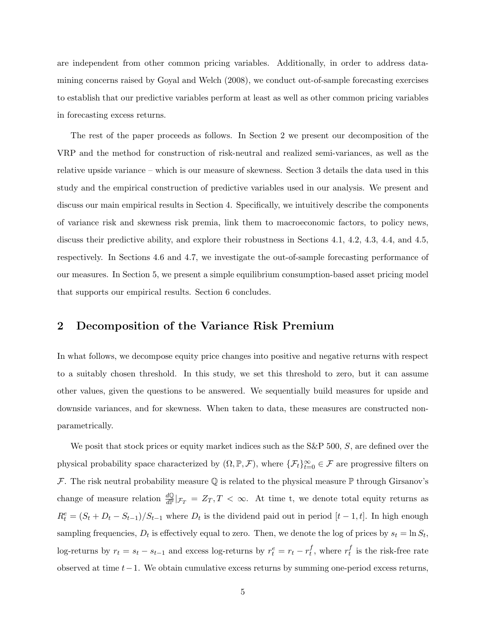are independent from other common pricing variables. Additionally, in order to address datamining concerns raised by Goyal and Welch (2008), we conduct out-of-sample forecasting exercises to establish that our predictive variables perform at least as well as other common pricing variables in forecasting excess returns.

The rest of the paper proceeds as follows. In Section 2 we present our decomposition of the VRP and the method for construction of risk-neutral and realized semi-variances, as well as the relative upside variance – which is our measure of skewness. Section 3 details the data used in this study and the empirical construction of predictive variables used in our analysis. We present and discuss our main empirical results in Section 4. Specifically, we intuitively describe the components of variance risk and skewness risk premia, link them to macroeconomic factors, to policy news, discuss their predictive ability, and explore their robustness in Sections 4.1, 4.2, 4.3, 4.4, and 4.5, respectively. In Sections 4.6 and 4.7, we investigate the out-of-sample forecasting performance of our measures. In Section 5, we present a simple equilibrium consumption-based asset pricing model that supports our empirical results. Section 6 concludes.

# 2 Decomposition of the Variance Risk Premium

In what follows, we decompose equity price changes into positive and negative returns with respect to a suitably chosen threshold. In this study, we set this threshold to zero, but it can assume other values, given the questions to be answered. We sequentially build measures for upside and downside variances, and for skewness. When taken to data, these measures are constructed nonparametrically.

We posit that stock prices or equity market indices such as the  $S\&P$  500, S, are defined over the physical probability space characterized by  $(\Omega, \mathbb{P}, \mathcal{F})$ , where  $\{\mathcal{F}_t\}_{t=0}^{\infty} \in \mathcal{F}$  are progressive filters on F. The risk neutral probability measure  $\mathbb Q$  is related to the physical measure  $\mathbb P$  through Girsanov's change of measure relation  $\frac{dQ}{dP}|_{\mathcal{F}_T} = Z_T, T < \infty$ . At time t, we denote total equity returns as  $R_t^e = (S_t + D_t - S_{t-1})/S_{t-1}$  where  $D_t$  is the dividend paid out in period  $[t-1, t]$ . In high enough sampling frequencies,  $D_t$  is effectively equal to zero. Then, we denote the log of prices by  $s_t = \ln S_t$ , log-returns by  $r_t = s_t - s_{t-1}$  and excess log-returns by  $r_t^e = r_t - r_t^f$  $t^f$ , where  $r^f_t$  $t_i$  is the risk-free rate observed at time  $t-1$ . We obtain cumulative excess returns by summing one-period excess returns,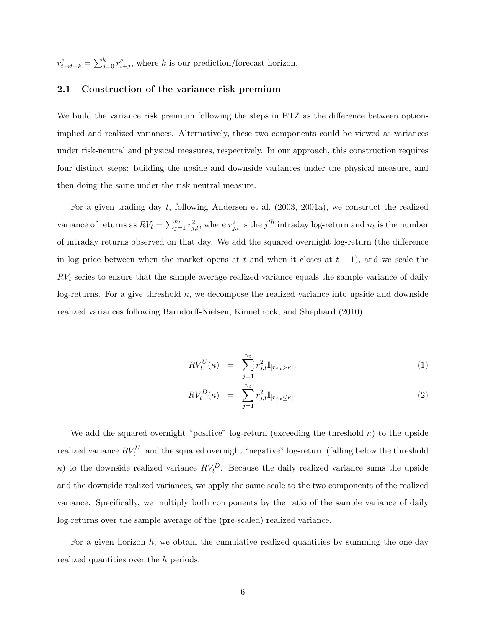$r_{t\rightarrow t+k}^{e} = \sum_{j=0}^{k} r_{t+j}^{e}$ , where k is our prediction/forecast horizon.

#### 2.1 Construction of the variance risk premium

We build the variance risk premium following the steps in BTZ as the difference between optionimplied and realized variances. Alternatively, these two components could be viewed as variances under risk-neutral and physical measures, respectively. In our approach, this construction requires four distinct steps: building the upside and downside variances under the physical measure, and then doing the same under the risk neutral measure.

For a given trading day t, following Andersen et al. (2003, 2001a), we construct the realized variance of returns as  $RV_t = \sum_{j=1}^{n_t} r_{j,t}^2$ , where  $r_{j,t}^2$  is the j<sup>th</sup> intraday log-return and  $n_t$  is the number of intraday returns observed on that day. We add the squared overnight log-return (the difference in log price between when the market opens at t and when it closes at  $t - 1$ ), and we scale the  $RV<sub>t</sub>$  series to ensure that the sample average realized variance equals the sample variance of daily log-returns. For a give threshold  $\kappa$ , we decompose the realized variance into upside and downside realized variances following Barndorff-Nielsen, Kinnebrock, and Shephard (2010):

$$
RV_t^U(\kappa) = \sum_{j=1}^{n_t} r_{j,t}^2 \mathbb{I}_{[r_{j,t} > \kappa]},
$$
\n(1)

$$
RV_t^D(\kappa) = \sum_{j=1}^{n_t} r_{j,t}^2 \mathbb{I}_{[r_{j,t} \leq \kappa]}.
$$
\n(2)

We add the squared overnight "positive" log-return (exceeding the threshold  $\kappa$ ) to the upside realized variance  $RV_t^U$ , and the squared overnight "negative" log-return (falling below the threshold  $\kappa$ ) to the downside realized variance  $RV_t^D$ . Because the daily realized variance sums the upside and the downside realized variances, we apply the same scale to the two components of the realized variance. Specifically, we multiply both components by the ratio of the sample variance of daily log-returns over the sample average of the (pre-scaled) realized variance.

For a given horizon h, we obtain the cumulative realized quantities by summing the one-day realized quantities over the h periods: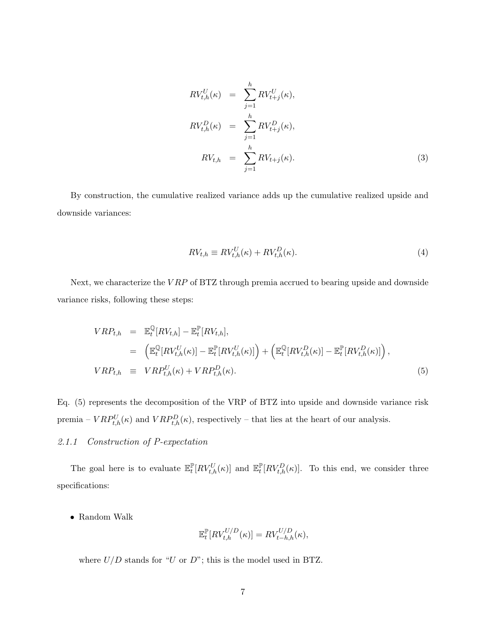$$
RV_{t,h}^U(\kappa) = \sum_{j=1}^h RV_{t+j}^U(\kappa),
$$
  
\n
$$
RV_{t,h}^D(\kappa) = \sum_{j=1}^h RV_{t+j}^D(\kappa),
$$
  
\n
$$
RV_{t,h} = \sum_{j=1}^h RV_{t+j}(\kappa).
$$
\n(3)

By construction, the cumulative realized variance adds up the cumulative realized upside and downside variances:

$$
RV_{t,h} \equiv RV_{t,h}^U(\kappa) + RV_{t,h}^D(\kappa). \tag{4}
$$

Next, we characterize the VRP of BTZ through premia accrued to bearing upside and downside variance risks, following these steps:

$$
VRP_{t,h} = \mathbb{E}_{t}^{\mathbb{Q}}[RV_{t,h}] - \mathbb{E}_{t}^{\mathbb{P}}[RV_{t,h}],
$$
  
\n
$$
= \left( \mathbb{E}_{t}^{\mathbb{Q}}[RV_{t,h}^{U}(\kappa)] - \mathbb{E}_{t}^{\mathbb{P}}[RV_{t,h}^{U}(\kappa)] \right) + \left( \mathbb{E}_{t}^{\mathbb{Q}}[RV_{t,h}^{D}(\kappa)] - \mathbb{E}_{t}^{\mathbb{P}}[RV_{t,h}^{D}(\kappa)] \right),
$$
  
\n
$$
VRP_{t,h} \equiv VRP_{t,h}^{U}(\kappa) + VRP_{t,h}^{D}(\kappa).
$$
\n(5)

Eq. (5) represents the decomposition of the VRP of BTZ into upside and downside variance risk premia –  $VRP_{t,h}^U(\kappa)$  and  $VRP_{t,h}^D(\kappa)$ , respectively – that lies at the heart of our analysis.

### 2.1.1 Construction of P-expectation

The goal here is to evaluate  $\mathbb{E}_{t}^{\mathbb{P}}$  $_{t}^{\mathbb{P}}[RV_{t,h}^{U}(\kappa)]$  and  $\mathbb{E}_{t}^{\mathbb{P}}$  $_{t}^{\mathbb{P}}[RV_{t,h}^{D}(\kappa)].$  To this end, we consider three specifications:

• Random Walk

$$
\mathbb{E}_t^{\mathbb{P}}[RV_{t,h}^{U/D}(\kappa)] = RV_{t-h,h}^{U/D}(\kappa),
$$

where  $U/D$  stands for "U or D"; this is the model used in BTZ.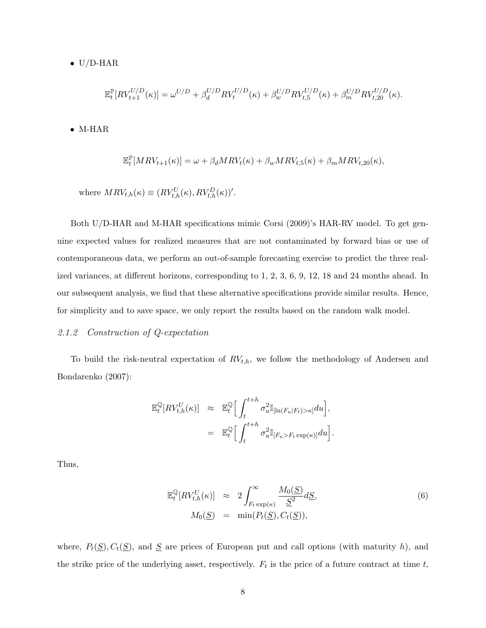$\bullet$  U/D-HAR

$$
\mathbb{E}_t^{\mathbb{P}}[RV_{t+1}^{U/D}(\kappa)] = \omega^{U/D} + \beta_d^{U/D}RV_t^{U/D}(\kappa) + \beta_w^{U/D}RV_{t,5}^{U/D}(\kappa) + \beta_m^{U/D} RV_{t,20}^{U/D}(\kappa).
$$

• M-HAR

$$
\mathbb{E}_t^{\mathbb{P}}[MRV_{t+1}(\kappa)] = \omega + \beta_d MRV_t(\kappa) + \beta_w MRV_{t,5}(\kappa) + \beta_m MRV_{t,20}(\kappa),
$$

where  $MRV_{t,h}(\kappa) \equiv (RV_{t,h}^U(\kappa), RV_{t,h}^D(\kappa))'.$ 

Both U/D-HAR and M-HAR specifications mimic Corsi (2009)'s HAR-RV model. To get genuine expected values for realized measures that are not contaminated by forward bias or use of contemporaneous data, we perform an out-of-sample forecasting exercise to predict the three realized variances, at different horizons, corresponding to 1, 2, 3, 6, 9, 12, 18 and 24 months ahead. In our subsequent analysis, we find that these alternative specifications provide similar results. Hence, for simplicity and to save space, we only report the results based on the random walk model.

#### 2.1.2 Construction of Q-expectation

To build the risk-neutral expectation of  $RV_{t,h}$ , we follow the methodology of Andersen and Bondarenko (2007):

$$
\mathbb{E}_t^{\mathbb{Q}}[RV^U_{t,h}(\kappa)] \approx \mathbb{E}_t^{\mathbb{Q}} \Big[ \int_t^{t+h} \sigma_u^2 \mathbb{I}_{[\ln(F_u|F_t) > \kappa]} du \Big],
$$
  

$$
= \mathbb{E}_t^{\mathbb{Q}} \Big[ \int_t^{t+h} \sigma_u^2 \mathbb{I}_{[F_u > F_t \exp(\kappa)]} du \Big].
$$

Thus,

$$
\mathbb{E}_{t}^{\mathbb{Q}}[RV_{t,h}^{U}(\kappa)] \approx 2 \int_{F_{t} \exp(\kappa)}^{\infty} \frac{M_{0}(\underline{S})}{\underline{S}^{2}} d\underline{S},
$$
  
\n
$$
M_{0}(\underline{S}) = \min(P_{t}(\underline{S}), C_{t}(\underline{S})),
$$
\n(6)

where,  $P_t(\underline{S}), C_t(\underline{S})$ , and  $\underline{S}$  are prices of European put and call options (with maturity h), and the strike price of the underlying asset, respectively.  $F_t$  is the price of a future contract at time t,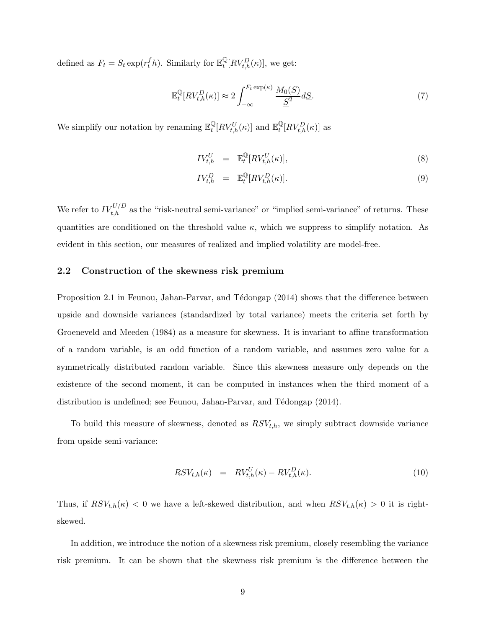defined as  $F_t = S_t \exp(r_t^f h)$ . Similarly for  $\mathbb{E}_t^{\mathbb{Q}}$  $\frac{\mathbb{Q}}{t}[RV_{t,h}^D(\kappa)],$  we get:

$$
\mathbb{E}_{t}^{\mathbb{Q}}[RV_{t,h}^{D}(\kappa)] \approx 2 \int_{-\infty}^{F_{t}\exp(\kappa)} \frac{M_{0}(\underline{S})}{\underline{S}^{2}} d\underline{S}.
$$
 (7)

We simplify our notation by renaming  $\mathbb{E}_t^{\mathbb{Q}}$  $\frac{\mathbb{Q}}{t}[RV_{t,h}^U(\kappa)]$  and  $\mathbb{E}_t^{\mathbb{Q}}$  $^{\mathbb{Q}}_{t}[RV_{t,h}^{D}(\kappa)]$  as

$$
IV_{t,h}^U = \mathbb{E}_t^{\mathbb{Q}}[RV_{t,h}^U(\kappa)],\tag{8}
$$

$$
IV_{t,h}^D = \mathbb{E}_t^{\mathbb{Q}}[RV_{t,h}^D(\kappa)]. \tag{9}
$$

We refer to  $IV_{t,h}^{U/D}$  as the "risk-neutral semi-variance" or "implied semi-variance" of returns. These quantities are conditioned on the threshold value  $\kappa$ , which we suppress to simplify notation. As evident in this section, our measures of realized and implied volatility are model-free.

#### 2.2 Construction of the skewness risk premium

Proposition 2.1 in Feunou, Jahan-Parvar, and Tédongap (2014) shows that the difference between upside and downside variances (standardized by total variance) meets the criteria set forth by Groeneveld and Meeden (1984) as a measure for skewness. It is invariant to affine transformation of a random variable, is an odd function of a random variable, and assumes zero value for a symmetrically distributed random variable. Since this skewness measure only depends on the existence of the second moment, it can be computed in instances when the third moment of a distribution is undefined; see Feunou, Jahan-Parvar, and Tédongap (2014).

To build this measure of skewness, denoted as  $RSV_{t,h}$ , we simply subtract downside variance from upside semi-variance:

$$
RSV_{t,h}(\kappa) = RV_{t,h}^U(\kappa) - RV_{t,h}^D(\kappa). \tag{10}
$$

Thus, if  $RSV_{t,h}(\kappa) < 0$  we have a left-skewed distribution, and when  $RSV_{t,h}(\kappa) > 0$  it is rightskewed.

In addition, we introduce the notion of a skewness risk premium, closely resembling the variance risk premium. It can be shown that the skewness risk premium is the difference between the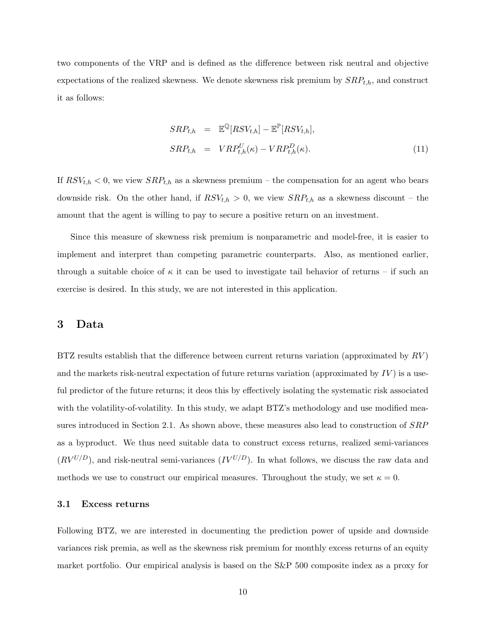two components of the VRP and is defined as the difference between risk neutral and objective expectations of the realized skewness. We denote skewness risk premium by  $SRP_{t,h}$ , and construct it as follows:

$$
SRP_{t,h} = \mathbb{E}^{\mathbb{Q}}[RSV_{t,h}] - \mathbb{E}^{\mathbb{P}}[RSV_{t,h}],
$$
  

$$
SRP_{t,h} = VRP_{t,h}^{U}(\kappa) - VRP_{t,h}^{D}(\kappa).
$$
 (11)

If  $RSV_{t,h} < 0$ , we view  $SRP_{t,h}$  as a skewness premium – the compensation for an agent who bears downside risk. On the other hand, if  $RSV_{t,h} > 0$ , we view  $SRP_{t,h}$  as a skewness discount – the amount that the agent is willing to pay to secure a positive return on an investment.

Since this measure of skewness risk premium is nonparametric and model-free, it is easier to implement and interpret than competing parametric counterparts. Also, as mentioned earlier, through a suitable choice of  $\kappa$  it can be used to investigate tail behavior of returns – if such an exercise is desired. In this study, we are not interested in this application.

## 3 Data

BTZ results establish that the difference between current returns variation (approximated by  $RV$ ) and the markets risk-neutral expectation of future returns variation (approximated by  $IV$ ) is a useful predictor of the future returns; it deos this by effectively isolating the systematic risk associated with the volatility-of-volatility. In this study, we adapt BTZ's methodology and use modified measures introduced in Section 2.1. As shown above, these measures also lead to construction of  $SRP$ as a byproduct. We thus need suitable data to construct excess returns, realized semi-variances  $(RV^{U/D})$ , and risk-neutral semi-variances  $(IV^{U/D})$ . In what follows, we discuss the raw data and methods we use to construct our empirical measures. Throughout the study, we set  $\kappa = 0$ .

#### 3.1 Excess returns

Following BTZ, we are interested in documenting the prediction power of upside and downside variances risk premia, as well as the skewness risk premium for monthly excess returns of an equity market portfolio. Our empirical analysis is based on the S&P 500 composite index as a proxy for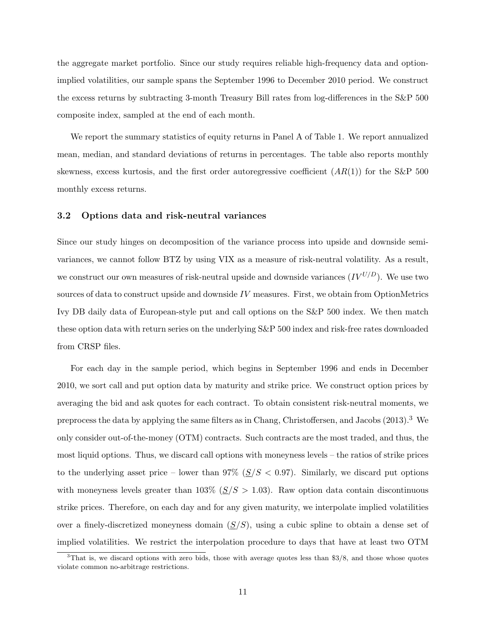the aggregate market portfolio. Since our study requires reliable high-frequency data and optionimplied volatilities, our sample spans the September 1996 to December 2010 period. We construct the excess returns by subtracting 3-month Treasury Bill rates from log-differences in the S&P 500 composite index, sampled at the end of each month.

We report the summary statistics of equity returns in Panel A of Table 1. We report annualized mean, median, and standard deviations of returns in percentages. The table also reports monthly skewness, excess kurtosis, and the first order autoregressive coefficient  $(AR(1))$  for the S&P 500 monthly excess returns.

#### 3.2 Options data and risk-neutral variances

Since our study hinges on decomposition of the variance process into upside and downside semivariances, we cannot follow BTZ by using VIX as a measure of risk-neutral volatility. As a result, we construct our own measures of risk-neutral upside and downside variances  $(IV^{U/D})$ . We use two sources of data to construct upside and downside  $IV$  measures. First, we obtain from OptionMetrics Ivy DB daily data of European-style put and call options on the S&P 500 index. We then match these option data with return series on the underlying S&P 500 index and risk-free rates downloaded from CRSP files.

For each day in the sample period, which begins in September 1996 and ends in December 2010, we sort call and put option data by maturity and strike price. We construct option prices by averaging the bid and ask quotes for each contract. To obtain consistent risk-neutral moments, we preprocess the data by applying the same filters as in Chang, Christoffersen, and Jacobs (2013).<sup>3</sup> We only consider out-of-the-money (OTM) contracts. Such contracts are the most traded, and thus, the most liquid options. Thus, we discard call options with moneyness levels – the ratios of strike prices to the underlying asset price – lower than  $97\%$  ( $\leq/S < 0.97$ ). Similarly, we discard put options with moneyness levels greater than  $103\%$  ( $\underline{S}/S > 1.03$ ). Raw option data contain discontinuous strike prices. Therefore, on each day and for any given maturity, we interpolate implied volatilities over a finely-discretized moneyness domain  $(S/S)$ , using a cubic spline to obtain a dense set of implied volatilities. We restrict the interpolation procedure to days that have at least two OTM

<sup>&</sup>lt;sup>3</sup>That is, we discard options with zero bids, those with average quotes less than \$3/8, and those whose quotes violate common no-arbitrage restrictions.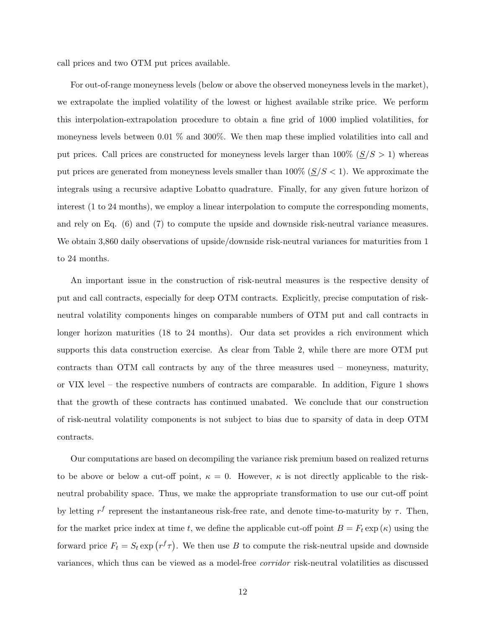call prices and two OTM put prices available.

For out-of-range moneyness levels (below or above the observed moneyness levels in the market), we extrapolate the implied volatility of the lowest or highest available strike price. We perform this interpolation-extrapolation procedure to obtain a fine grid of 1000 implied volatilities, for moneyness levels between 0.01 % and 300%. We then map these implied volatilities into call and put prices. Call prices are constructed for moneyness levels larger than  $100\%~(\underline{S}/S > 1)$  whereas put prices are generated from moneyness levels smaller than  $100\%$  ( $\leq/S < 1$ ). We approximate the integrals using a recursive adaptive Lobatto quadrature. Finally, for any given future horizon of interest (1 to 24 months), we employ a linear interpolation to compute the corresponding moments, and rely on Eq. (6) and (7) to compute the upside and downside risk-neutral variance measures. We obtain 3,860 daily observations of upside/downside risk-neutral variances for maturities from 1 to 24 months.

An important issue in the construction of risk-neutral measures is the respective density of put and call contracts, especially for deep OTM contracts. Explicitly, precise computation of riskneutral volatility components hinges on comparable numbers of OTM put and call contracts in longer horizon maturities (18 to 24 months). Our data set provides a rich environment which supports this data construction exercise. As clear from Table 2, while there are more OTM put contracts than OTM call contracts by any of the three measures used – moneyness, maturity, or VIX level – the respective numbers of contracts are comparable. In addition, Figure 1 shows that the growth of these contracts has continued unabated. We conclude that our construction of risk-neutral volatility components is not subject to bias due to sparsity of data in deep OTM contracts.

Our computations are based on decompiling the variance risk premium based on realized returns to be above or below a cut-off point,  $\kappa = 0$ . However,  $\kappa$  is not directly applicable to the riskneutral probability space. Thus, we make the appropriate transformation to use our cut-off point by letting  $r^f$  represent the instantaneous risk-free rate, and denote time-to-maturity by  $\tau$ . Then, for the market price index at time t, we define the applicable cut-off point  $B = F_t \exp(\kappa)$  using the forward price  $F_t = S_t \exp(r^f \tau)$ . We then use B to compute the risk-neutral upside and downside variances, which thus can be viewed as a model-free corridor risk-neutral volatilities as discussed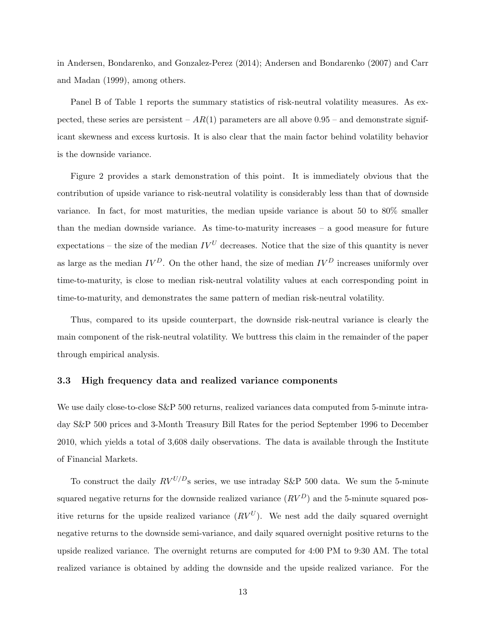in Andersen, Bondarenko, and Gonzalez-Perez (2014); Andersen and Bondarenko (2007) and Carr and Madan (1999), among others.

Panel B of Table 1 reports the summary statistics of risk-neutral volatility measures. As expected, these series are persistent –  $AR(1)$  parameters are all above 0.95 – and demonstrate significant skewness and excess kurtosis. It is also clear that the main factor behind volatility behavior is the downside variance.

Figure 2 provides a stark demonstration of this point. It is immediately obvious that the contribution of upside variance to risk-neutral volatility is considerably less than that of downside variance. In fact, for most maturities, the median upside variance is about 50 to 80% smaller than the median downside variance. As time-to-maturity increases – a good measure for future expectations – the size of the median  $IV^U$  decreases. Notice that the size of this quantity is never as large as the median  $IV^D$ . On the other hand, the size of median  $IV^D$  increases uniformly over time-to-maturity, is close to median risk-neutral volatility values at each corresponding point in time-to-maturity, and demonstrates the same pattern of median risk-neutral volatility.

Thus, compared to its upside counterpart, the downside risk-neutral variance is clearly the main component of the risk-neutral volatility. We buttress this claim in the remainder of the paper through empirical analysis.

#### 3.3 High frequency data and realized variance components

We use daily close-to-close S&P 500 returns, realized variances data computed from 5-minute intraday S&P 500 prices and 3-Month Treasury Bill Rates for the period September 1996 to December 2010, which yields a total of 3,608 daily observations. The data is available through the Institute of Financial Markets.

To construct the daily  $RV^{U/D}$ s series, we use intraday S&P 500 data. We sum the 5-minute squared negative returns for the downside realized variance  $(RV^D)$  and the 5-minute squared positive returns for the upside realized variance  $(RV^U)$ . We nest add the daily squared overnight negative returns to the downside semi-variance, and daily squared overnight positive returns to the upside realized variance. The overnight returns are computed for 4:00 PM to 9:30 AM. The total realized variance is obtained by adding the downside and the upside realized variance. For the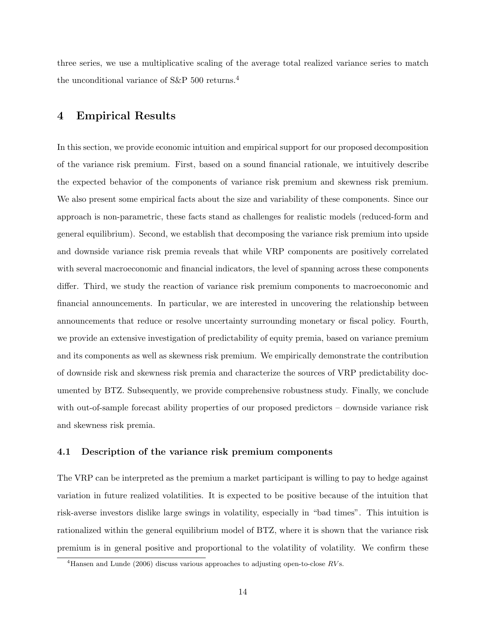three series, we use a multiplicative scaling of the average total realized variance series to match the unconditional variance of S&P 500 returns.<sup>4</sup>

# 4 Empirical Results

In this section, we provide economic intuition and empirical support for our proposed decomposition of the variance risk premium. First, based on a sound financial rationale, we intuitively describe the expected behavior of the components of variance risk premium and skewness risk premium. We also present some empirical facts about the size and variability of these components. Since our approach is non-parametric, these facts stand as challenges for realistic models (reduced-form and general equilibrium). Second, we establish that decomposing the variance risk premium into upside and downside variance risk premia reveals that while VRP components are positively correlated with several macroeconomic and financial indicators, the level of spanning across these components differ. Third, we study the reaction of variance risk premium components to macroeconomic and financial announcements. In particular, we are interested in uncovering the relationship between announcements that reduce or resolve uncertainty surrounding monetary or fiscal policy. Fourth, we provide an extensive investigation of predictability of equity premia, based on variance premium and its components as well as skewness risk premium. We empirically demonstrate the contribution of downside risk and skewness risk premia and characterize the sources of VRP predictability documented by BTZ. Subsequently, we provide comprehensive robustness study. Finally, we conclude with out-of-sample forecast ability properties of our proposed predictors – downside variance risk and skewness risk premia.

#### 4.1 Description of the variance risk premium components

The VRP can be interpreted as the premium a market participant is willing to pay to hedge against variation in future realized volatilities. It is expected to be positive because of the intuition that risk-averse investors dislike large swings in volatility, especially in "bad times". This intuition is rationalized within the general equilibrium model of BTZ, where it is shown that the variance risk premium is in general positive and proportional to the volatility of volatility. We confirm these

<sup>&</sup>lt;sup>4</sup>Hansen and Lunde (2006) discuss various approaches to adjusting open-to-close  $RV$ s.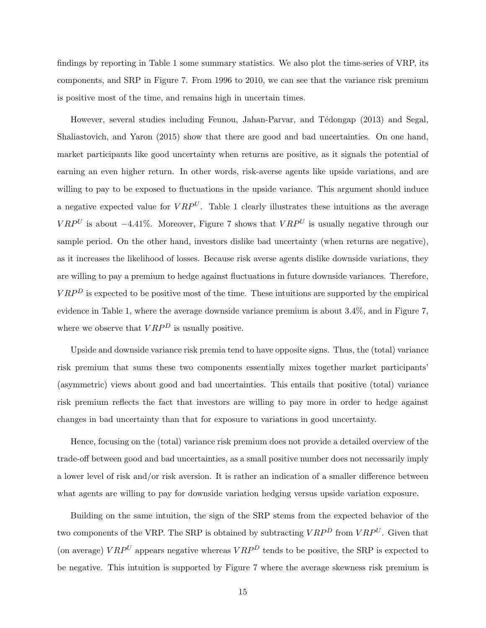findings by reporting in Table 1 some summary statistics. We also plot the time-series of VRP, its components, and SRP in Figure 7. From 1996 to 2010, we can see that the variance risk premium is positive most of the time, and remains high in uncertain times.

However, several studies including Feunou, Jahan-Parvar, and Tédongap (2013) and Segal, Shaliastovich, and Yaron (2015) show that there are good and bad uncertainties. On one hand, market participants like good uncertainty when returns are positive, as it signals the potential of earning an even higher return. In other words, risk-averse agents like upside variations, and are willing to pay to be exposed to fluctuations in the upside variance. This argument should induce a negative expected value for  $VRP^U$ . Table 1 clearly illustrates these intuitions as the average  $VRP^{U}$  is about −4.41%. Moreover, Figure 7 shows that  $VRP^{U}$  is usually negative through our sample period. On the other hand, investors dislike bad uncertainty (when returns are negative), as it increases the likelihood of losses. Because risk averse agents dislike downside variations, they are willing to pay a premium to hedge against fluctuations in future downside variances. Therefore,  $VRP<sup>D</sup>$  is expected to be positive most of the time. These intuitions are supported by the empirical evidence in Table 1, where the average downside variance premium is about 3.4%, and in Figure 7, where we observe that  $VRP<sup>D</sup>$  is usually positive.

Upside and downside variance risk premia tend to have opposite signs. Thus, the (total) variance risk premium that sums these two components essentially mixes together market participants' (asymmetric) views about good and bad uncertainties. This entails that positive (total) variance risk premium reflects the fact that investors are willing to pay more in order to hedge against changes in bad uncertainty than that for exposure to variations in good uncertainty.

Hence, focusing on the (total) variance risk premium does not provide a detailed overview of the trade-off between good and bad uncertainties, as a small positive number does not necessarily imply a lower level of risk and/or risk aversion. It is rather an indication of a smaller difference between what agents are willing to pay for downside variation hedging versus upside variation exposure.

Building on the same intuition, the sign of the SRP stems from the expected behavior of the two components of the VRP. The SRP is obtained by subtracting  $VRP<sup>D</sup>$  from  $VRP<sup>U</sup>$ . Given that (on average)  $VRP<sup>U</sup>$  appears negative whereas  $VRP<sup>D</sup>$  tends to be positive, the SRP is expected to be negative. This intuition is supported by Figure 7 where the average skewness risk premium is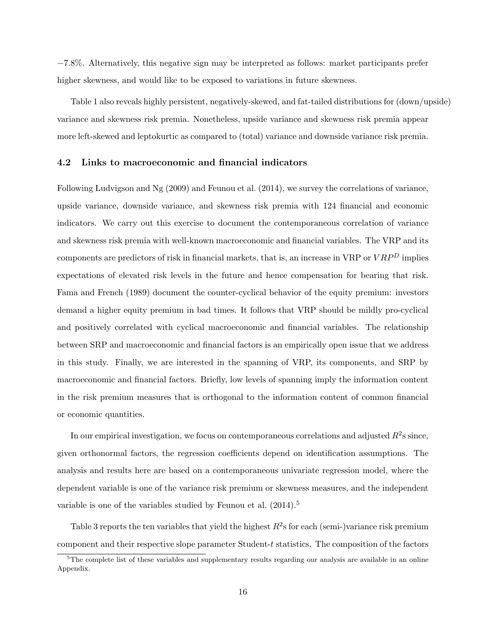−7.8%. Alternatively, this negative sign may be interpreted as follows: market participants prefer higher skewness, and would like to be exposed to variations in future skewness.

Table 1 also reveals highly persistent, negatively-skewed, and fat-tailed distributions for (down/upside) variance and skewness risk premia. Nonetheless, upside variance and skewness risk premia appear more left-skewed and leptokurtic as compared to (total) variance and downside variance risk premia.

#### 4.2 Links to macroeconomic and financial indicators

Following Ludvigson and Ng (2009) and Feunou et al. (2014), we survey the correlations of variance, upside variance, downside variance, and skewness risk premia with 124 financial and economic indicators. We carry out this exercise to document the contemporaneous correlation of variance and skewness risk premia with well-known macroeconomic and financial variables. The VRP and its components are predictors of risk in financial markets, that is, an increase in VRP or  $VRP<sup>D</sup>$  implies expectations of elevated risk levels in the future and hence compensation for bearing that risk. Fama and French (1989) document the counter-cyclical behavior of the equity premium: investors demand a higher equity premium in bad times. It follows that VRP should be mildly pro-cyclical and positively correlated with cyclical macroeconomic and financial variables. The relationship between SRP and macroeconomic and financial factors is an empirically open issue that we address in this study. Finally, we are interested in the spanning of VRP, its components, and SRP by macroeconomic and financial factors. Briefly, low levels of spanning imply the information content in the risk premium measures that is orthogonal to the information content of common financial or economic quantities.

In our empirical investigation, we focus on contemporaneous correlations and adjusted  $R^2$ s since, given orthonormal factors, the regression coefficients depend on identification assumptions. The analysis and results here are based on a contemporaneous univariate regression model, where the dependent variable is one of the variance risk premium or skewness measures, and the independent variable is one of the variables studied by Feunou et al.  $(2014).$ <sup>5</sup>

Table 3 reports the ten variables that yield the highest  $R^2$ s for each (semi-)variance risk premium component and their respective slope parameter Student- $t$  statistics. The composition of the factors

 $5$ The complete list of these variables and supplementary results regarding our analysis are available in an online Appendix.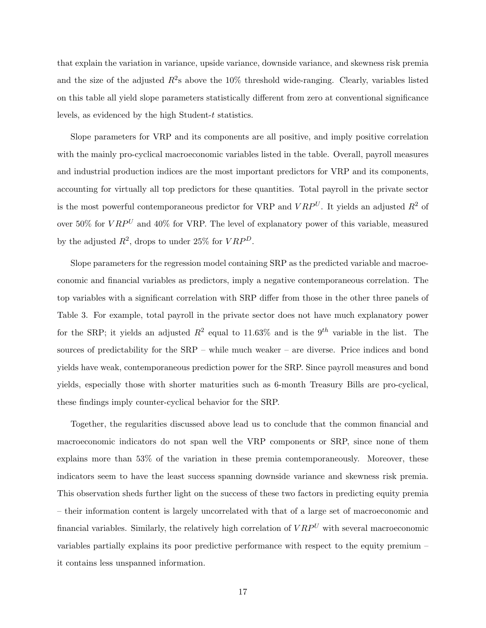that explain the variation in variance, upside variance, downside variance, and skewness risk premia and the size of the adjusted  $R^2$ s above the 10% threshold wide-ranging. Clearly, variables listed on this table all yield slope parameters statistically different from zero at conventional significance levels, as evidenced by the high Student-t statistics.

Slope parameters for VRP and its components are all positive, and imply positive correlation with the mainly pro-cyclical macroeconomic variables listed in the table. Overall, payroll measures and industrial production indices are the most important predictors for VRP and its components, accounting for virtually all top predictors for these quantities. Total payroll in the private sector is the most powerful contemporaneous predictor for VRP and  $VRP<sup>U</sup>$ . It yields an adjusted  $R<sup>2</sup>$  of over 50% for  $VRP^U$  and 40% for VRP. The level of explanatory power of this variable, measured by the adjusted  $R^2$ , drops to under 25% for  $VRP^D$ .

Slope parameters for the regression model containing SRP as the predicted variable and macroeconomic and financial variables as predictors, imply a negative contemporaneous correlation. The top variables with a significant correlation with SRP differ from those in the other three panels of Table 3. For example, total payroll in the private sector does not have much explanatory power for the SRP; it yields an adjusted  $R^2$  equal to 11.63% and is the 9<sup>th</sup> variable in the list. The sources of predictability for the SRP – while much weaker – are diverse. Price indices and bond yields have weak, contemporaneous prediction power for the SRP. Since payroll measures and bond yields, especially those with shorter maturities such as 6-month Treasury Bills are pro-cyclical, these findings imply counter-cyclical behavior for the SRP.

Together, the regularities discussed above lead us to conclude that the common financial and macroeconomic indicators do not span well the VRP components or SRP, since none of them explains more than 53% of the variation in these premia contemporaneously. Moreover, these indicators seem to have the least success spanning downside variance and skewness risk premia. This observation sheds further light on the success of these two factors in predicting equity premia – their information content is largely uncorrelated with that of a large set of macroeconomic and financial variables. Similarly, the relatively high correlation of  $VRP<sup>U</sup>$  with several macroeconomic variables partially explains its poor predictive performance with respect to the equity premium – it contains less unspanned information.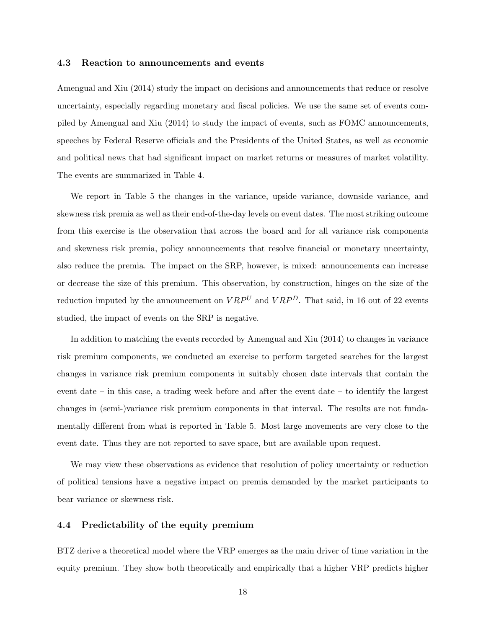#### 4.3 Reaction to announcements and events

Amengual and Xiu (2014) study the impact on decisions and announcements that reduce or resolve uncertainty, especially regarding monetary and fiscal policies. We use the same set of events compiled by Amengual and Xiu (2014) to study the impact of events, such as FOMC announcements, speeches by Federal Reserve officials and the Presidents of the United States, as well as economic and political news that had significant impact on market returns or measures of market volatility. The events are summarized in Table 4.

We report in Table 5 the changes in the variance, upside variance, downside variance, and skewness risk premia as well as their end-of-the-day levels on event dates. The most striking outcome from this exercise is the observation that across the board and for all variance risk components and skewness risk premia, policy announcements that resolve financial or monetary uncertainty, also reduce the premia. The impact on the SRP, however, is mixed: announcements can increase or decrease the size of this premium. This observation, by construction, hinges on the size of the reduction imputed by the announcement on  $VRP^U$  and  $VRP^D$ . That said, in 16 out of 22 events studied, the impact of events on the SRP is negative.

In addition to matching the events recorded by Amengual and Xiu (2014) to changes in variance risk premium components, we conducted an exercise to perform targeted searches for the largest changes in variance risk premium components in suitably chosen date intervals that contain the event date – in this case, a trading week before and after the event date – to identify the largest changes in (semi-)variance risk premium components in that interval. The results are not fundamentally different from what is reported in Table 5. Most large movements are very close to the event date. Thus they are not reported to save space, but are available upon request.

We may view these observations as evidence that resolution of policy uncertainty or reduction of political tensions have a negative impact on premia demanded by the market participants to bear variance or skewness risk.

#### 4.4 Predictability of the equity premium

BTZ derive a theoretical model where the VRP emerges as the main driver of time variation in the equity premium. They show both theoretically and empirically that a higher VRP predicts higher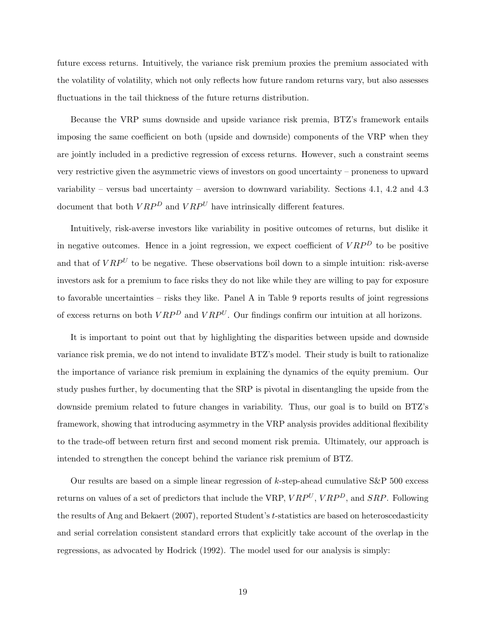future excess returns. Intuitively, the variance risk premium proxies the premium associated with the volatility of volatility, which not only reflects how future random returns vary, but also assesses fluctuations in the tail thickness of the future returns distribution.

Because the VRP sums downside and upside variance risk premia, BTZ's framework entails imposing the same coefficient on both (upside and downside) components of the VRP when they are jointly included in a predictive regression of excess returns. However, such a constraint seems very restrictive given the asymmetric views of investors on good uncertainty – proneness to upward variability – versus bad uncertainty – aversion to downward variability. Sections 4.1, 4.2 and 4.3 document that both  $VRP<sup>D</sup>$  and  $VRP<sup>U</sup>$  have intrinsically different features.

Intuitively, risk-averse investors like variability in positive outcomes of returns, but dislike it in negative outcomes. Hence in a joint regression, we expect coefficient of  $VRP<sup>D</sup>$  to be positive and that of  $VRP<sup>U</sup>$  to be negative. These observations boil down to a simple intuition: risk-averse investors ask for a premium to face risks they do not like while they are willing to pay for exposure to favorable uncertainties – risks they like. Panel A in Table 9 reports results of joint regressions of excess returns on both  $VRP<sup>D</sup>$  and  $VRP<sup>U</sup>$ . Our findings confirm our intuition at all horizons.

It is important to point out that by highlighting the disparities between upside and downside variance risk premia, we do not intend to invalidate BTZ's model. Their study is built to rationalize the importance of variance risk premium in explaining the dynamics of the equity premium. Our study pushes further, by documenting that the SRP is pivotal in disentangling the upside from the downside premium related to future changes in variability. Thus, our goal is to build on BTZ's framework, showing that introducing asymmetry in the VRP analysis provides additional flexibility to the trade-off between return first and second moment risk premia. Ultimately, our approach is intended to strengthen the concept behind the variance risk premium of BTZ.

Our results are based on a simple linear regression of  $k$ -step-ahead cumulative  $S\&P 500$  excess returns on values of a set of predictors that include the VRP,  $VRP^{U}$ ,  $VRP^{D}$ , and  $SRP$ . Following the results of Ang and Bekaert (2007), reported Student's t-statistics are based on heteroscedasticity and serial correlation consistent standard errors that explicitly take account of the overlap in the regressions, as advocated by Hodrick (1992). The model used for our analysis is simply: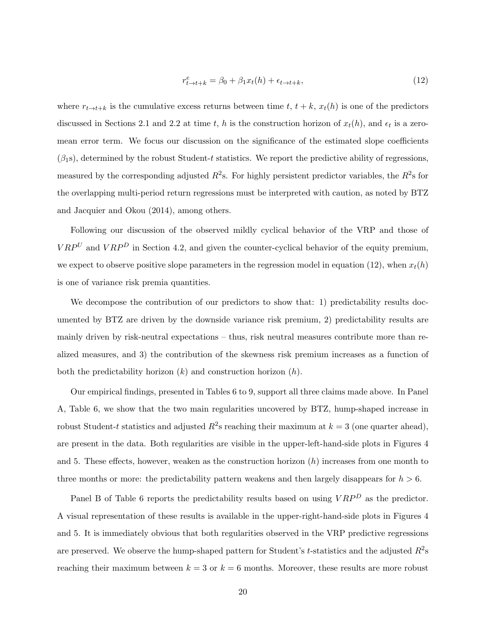$$
r_{t \to t+k}^e = \beta_0 + \beta_1 x_t(h) + \epsilon_{t \to t+k},\tag{12}
$$

where  $r_{t\to t+k}$  is the cumulative excess returns between time t,  $t + k$ ,  $x_t(h)$  is one of the predictors discussed in Sections 2.1 and 2.2 at time t, h is the construction horizon of  $x_t(h)$ , and  $\epsilon_t$  is a zeromean error term. We focus our discussion on the significance of the estimated slope coefficients  $(\beta_1$ s), determined by the robust Student-t statistics. We report the predictive ability of regressions, measured by the corresponding adjusted  $R^2$ s. For highly persistent predictor variables, the  $R^2$ s for the overlapping multi-period return regressions must be interpreted with caution, as noted by BTZ and Jacquier and Okou (2014), among others.

Following our discussion of the observed mildly cyclical behavior of the VRP and those of  $VRP<sup>U</sup>$  and  $VRP<sup>D</sup>$  in Section 4.2, and given the counter-cyclical behavior of the equity premium, we expect to observe positive slope parameters in the regression model in equation (12), when  $x_t(h)$ is one of variance risk premia quantities.

We decompose the contribution of our predictors to show that: 1) predictability results documented by BTZ are driven by the downside variance risk premium, 2) predictability results are mainly driven by risk-neutral expectations – thus, risk neutral measures contribute more than realized measures, and 3) the contribution of the skewness risk premium increases as a function of both the predictability horizon  $(k)$  and construction horizon  $(h)$ .

Our empirical findings, presented in Tables 6 to 9, support all three claims made above. In Panel A, Table 6, we show that the two main regularities uncovered by BTZ, hump-shaped increase in robust Student-t statistics and adjusted  $R^2$ s reaching their maximum at  $k = 3$  (one quarter ahead), are present in the data. Both regularities are visible in the upper-left-hand-side plots in Figures 4 and 5. These effects, however, weaken as the construction horizon  $(h)$  increases from one month to three months or more: the predictability pattern weakens and then largely disappears for  $h > 6$ .

Panel B of Table 6 reports the predictability results based on using  $VRP<sup>D</sup>$  as the predictor. A visual representation of these results is available in the upper-right-hand-side plots in Figures 4 and 5. It is immediately obvious that both regularities observed in the VRP predictive regressions are preserved. We observe the hump-shaped pattern for Student's t-statistics and the adjusted  $R^2$ s reaching their maximum between  $k = 3$  or  $k = 6$  months. Moreover, these results are more robust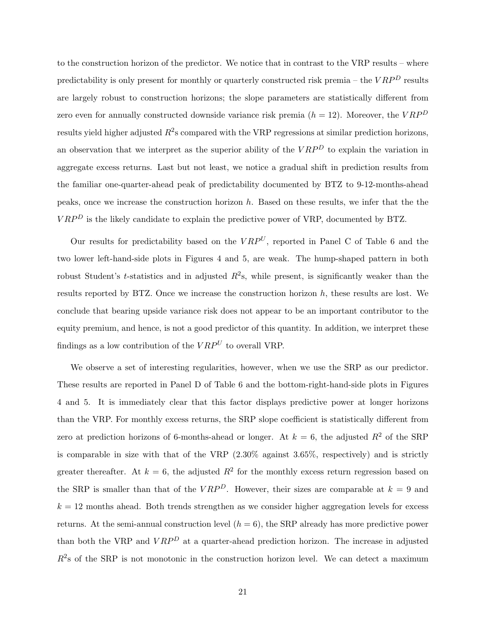to the construction horizon of the predictor. We notice that in contrast to the VRP results – where predictability is only present for monthly or quarterly constructed risk premia – the  $VRP<sup>D</sup>$  results are largely robust to construction horizons; the slope parameters are statistically different from zero even for annually constructed downside variance risk premia  $(h = 12)$ . Moreover, the  $VRP<sup>D</sup>$ results yield higher adjusted  $R^2$ s compared with the VRP regressions at similar prediction horizons, an observation that we interpret as the superior ability of the  $VRP<sup>D</sup>$  to explain the variation in aggregate excess returns. Last but not least, we notice a gradual shift in prediction results from the familiar one-quarter-ahead peak of predictability documented by BTZ to 9-12-months-ahead peaks, once we increase the construction horizon  $h$ . Based on these results, we infer that the the  $VRP<sup>D</sup>$  is the likely candidate to explain the predictive power of VRP, documented by BTZ.

Our results for predictability based on the  $VRP^{U}$ , reported in Panel C of Table 6 and the two lower left-hand-side plots in Figures 4 and 5, are weak. The hump-shaped pattern in both robust Student's *t*-statistics and in adjusted  $R^2$ s, while present, is significantly weaker than the results reported by BTZ. Once we increase the construction horizon  $h$ , these results are lost. We conclude that bearing upside variance risk does not appear to be an important contributor to the equity premium, and hence, is not a good predictor of this quantity. In addition, we interpret these findings as a low contribution of the  $VRP^U$  to overall VRP.

We observe a set of interesting regularities, however, when we use the SRP as our predictor. These results are reported in Panel D of Table 6 and the bottom-right-hand-side plots in Figures 4 and 5. It is immediately clear that this factor displays predictive power at longer horizons than the VRP. For monthly excess returns, the SRP slope coefficient is statistically different from zero at prediction horizons of 6-months-ahead or longer. At  $k = 6$ , the adjusted  $R<sup>2</sup>$  of the SRP is comparable in size with that of the VRP  $(2.30\%$  against  $3.65\%$ , respectively) and is strictly greater thereafter. At  $k = 6$ , the adjusted  $R^2$  for the monthly excess return regression based on the SRP is smaller than that of the  $VRP^D$ . However, their sizes are comparable at  $k = 9$  and  $k = 12$  months ahead. Both trends strengthen as we consider higher aggregation levels for excess returns. At the semi-annual construction level  $(h = 6)$ , the SRP already has more predictive power than both the VRP and  $VRP<sup>D</sup>$  at a quarter-ahead prediction horizon. The increase in adjusted  $R<sup>2</sup>$ s of the SRP is not monotonic in the construction horizon level. We can detect a maximum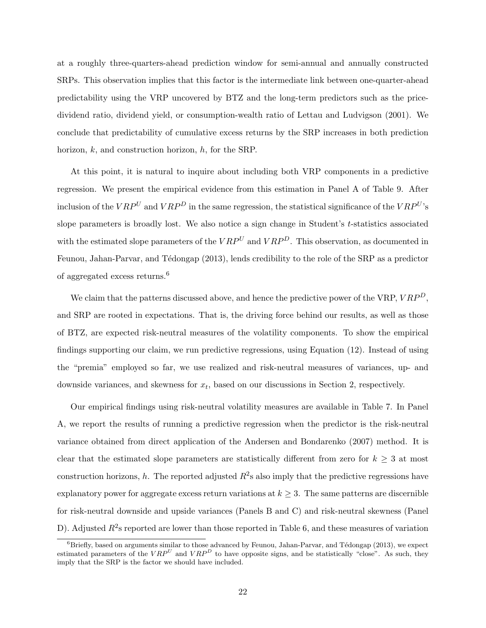at a roughly three-quarters-ahead prediction window for semi-annual and annually constructed SRPs. This observation implies that this factor is the intermediate link between one-quarter-ahead predictability using the VRP uncovered by BTZ and the long-term predictors such as the pricedividend ratio, dividend yield, or consumption-wealth ratio of Lettau and Ludvigson (2001). We conclude that predictability of cumulative excess returns by the SRP increases in both prediction horizon, k, and construction horizon, h, for the SRP.

At this point, it is natural to inquire about including both VRP components in a predictive regression. We present the empirical evidence from this estimation in Panel A of Table 9. After inclusion of the  $VRP<sup>U</sup>$  and  $VRP<sup>D</sup>$  in the same regression, the statistical significance of the  $VRP<sup>U</sup>$ 's slope parameters is broadly lost. We also notice a sign change in Student's t-statistics associated with the estimated slope parameters of the  $VRP<sup>U</sup>$  and  $VRP<sup>D</sup>$ . This observation, as documented in Feunou, Jahan-Parvar, and Tédongap (2013), lends credibility to the role of the SRP as a predictor of aggregated excess returns.<sup>6</sup>

We claim that the patterns discussed above, and hence the predictive power of the VRP,  $VRP<sup>D</sup>$ , and SRP are rooted in expectations. That is, the driving force behind our results, as well as those of BTZ, are expected risk-neutral measures of the volatility components. To show the empirical findings supporting our claim, we run predictive regressions, using Equation (12). Instead of using the "premia" employed so far, we use realized and risk-neutral measures of variances, up- and downside variances, and skewness for  $x_t$ , based on our discussions in Section 2, respectively.

Our empirical findings using risk-neutral volatility measures are available in Table 7. In Panel A, we report the results of running a predictive regression when the predictor is the risk-neutral variance obtained from direct application of the Andersen and Bondarenko (2007) method. It is clear that the estimated slope parameters are statistically different from zero for  $k \geq 3$  at most construction horizons, h. The reported adjusted  $R^2$ s also imply that the predictive regressions have explanatory power for aggregate excess return variations at  $k \geq 3$ . The same patterns are discernible for risk-neutral downside and upside variances (Panels B and C) and risk-neutral skewness (Panel D). Adjusted  $R^2$ s reported are lower than those reported in Table 6, and these measures of variation

 $6B$ riefly, based on arguments similar to those advanced by Feunou, Jahan-Parvar, and Tédongap (2013), we expect estimated parameters of the  $VRP<sup>U</sup>$  and  $VRP<sup>D</sup>$  to have opposite signs, and be statistically "close". As such, they imply that the SRP is the factor we should have included.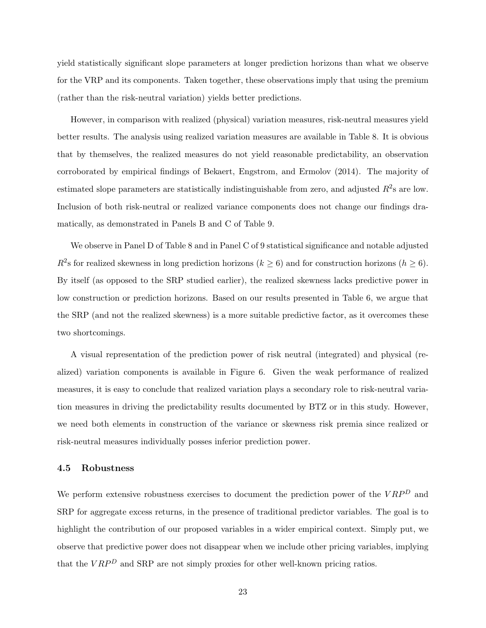yield statistically significant slope parameters at longer prediction horizons than what we observe for the VRP and its components. Taken together, these observations imply that using the premium (rather than the risk-neutral variation) yields better predictions.

However, in comparison with realized (physical) variation measures, risk-neutral measures yield better results. The analysis using realized variation measures are available in Table 8. It is obvious that by themselves, the realized measures do not yield reasonable predictability, an observation corroborated by empirical findings of Bekaert, Engstrom, and Ermolov (2014). The majority of estimated slope parameters are statistically indistinguishable from zero, and adjusted  $R^2$ s are low. Inclusion of both risk-neutral or realized variance components does not change our findings dramatically, as demonstrated in Panels B and C of Table 9.

We observe in Panel D of Table 8 and in Panel C of 9 statistical significance and notable adjusted  $R^2$ s for realized skewness in long prediction horizons ( $k \geq 6$ ) and for construction horizons ( $h \geq 6$ ). By itself (as opposed to the SRP studied earlier), the realized skewness lacks predictive power in low construction or prediction horizons. Based on our results presented in Table 6, we argue that the SRP (and not the realized skewness) is a more suitable predictive factor, as it overcomes these two shortcomings.

A visual representation of the prediction power of risk neutral (integrated) and physical (realized) variation components is available in Figure 6. Given the weak performance of realized measures, it is easy to conclude that realized variation plays a secondary role to risk-neutral variation measures in driving the predictability results documented by BTZ or in this study. However, we need both elements in construction of the variance or skewness risk premia since realized or risk-neutral measures individually posses inferior prediction power.

#### 4.5 Robustness

We perform extensive robustness exercises to document the prediction power of the  $VRP<sup>D</sup>$  and SRP for aggregate excess returns, in the presence of traditional predictor variables. The goal is to highlight the contribution of our proposed variables in a wider empirical context. Simply put, we observe that predictive power does not disappear when we include other pricing variables, implying that the  $VRP<sup>D</sup>$  and SRP are not simply proxies for other well-known pricing ratios.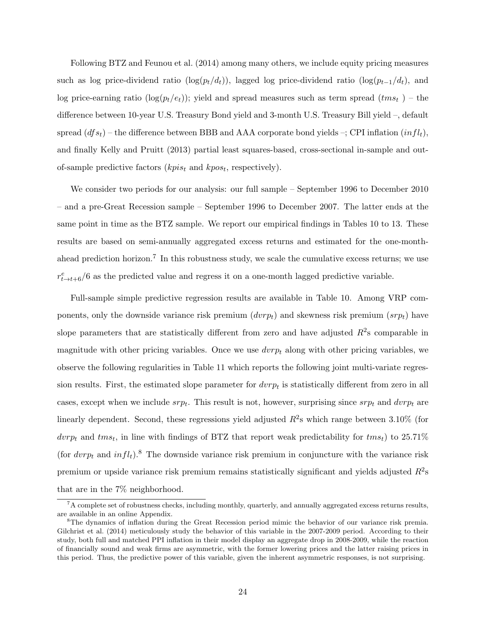Following BTZ and Feunou et al. (2014) among many others, we include equity pricing measures such as log price-dividend ratio (log( $p_t/d_t$ )), lagged log price-dividend ratio (log( $p_{t-1}/d_t$ ), and log price-earning ratio  $(\log(p_t/e_t))$ ; yield and spread measures such as term spread  $(tms_t)$  – the difference between 10-year U.S. Treasury Bond yield and 3-month U.S. Treasury Bill yield –, default spread  $(df_{st})$  – the difference between BBB and AAA corporate bond yields –; CPI inflation  $(infl_t)$ , and finally Kelly and Pruitt (2013) partial least squares-based, cross-sectional in-sample and outof-sample predictive factors ( $kpis_t$  and  $kpos_t$ , respectively).

We consider two periods for our analysis: our full sample – September 1996 to December 2010 – and a pre-Great Recession sample – September 1996 to December 2007. The latter ends at the same point in time as the BTZ sample. We report our empirical findings in Tables 10 to 13. These results are based on semi-annually aggregated excess returns and estimated for the one-monthahead prediction horizon.<sup>7</sup> In this robustness study, we scale the cumulative excess returns; we use  $r_{t\rightarrow t+6}^{e}/6$  as the predicted value and regress it on a one-month lagged predictive variable.

Full-sample simple predictive regression results are available in Table 10. Among VRP components, only the downside variance risk premium  $(dvrp_t)$  and skewness risk premium  $(srp_t)$  have slope parameters that are statistically different from zero and have adjusted  $R^2$ s comparable in magnitude with other pricing variables. Once we use  $dvrp_t$  along with other pricing variables, we observe the following regularities in Table 11 which reports the following joint multi-variate regression results. First, the estimated slope parameter for  $d v r p_t$  is statistically different from zero in all cases, except when we include  $srp_t$ . This result is not, however, surprising since  $srp_t$  and  $dvrp_t$  are linearly dependent. Second, these regressions yield adjusted  $R^2$ s which range between 3.10% (for  $dvrp_t$  and  $tms_t$ , in line with findings of BTZ that report weak predictability for  $tms_t$ ) to 25.71% (for  $d\nu p_t$  and  $infl_t$ ).<sup>8</sup> The downside variance risk premium in conjuncture with the variance risk premium or upside variance risk premium remains statistically significant and yields adjusted  $R^2$ s that are in the 7% neighborhood.

<sup>7</sup>A complete set of robustness checks, including monthly, quarterly, and annually aggregated excess returns results, are available in an online Appendix.

<sup>&</sup>lt;sup>8</sup>The dynamics of inflation during the Great Recession period mimic the behavior of our variance risk premia. Gilchrist et al. (2014) meticulously study the behavior of this variable in the 2007-2009 period. According to their study, both full and matched PPI inflation in their model display an aggregate drop in 2008-2009, while the reaction of financially sound and weak firms are asymmetric, with the former lowering prices and the latter raising prices in this period. Thus, the predictive power of this variable, given the inherent asymmetric responses, is not surprising.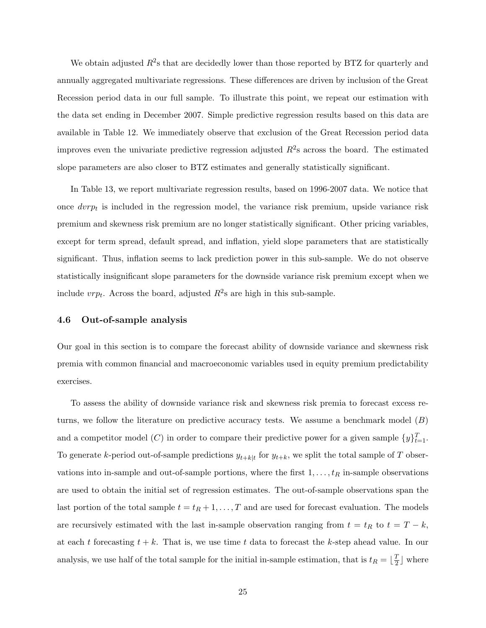We obtain adjusted  $R^2$ s that are decidedly lower than those reported by BTZ for quarterly and annually aggregated multivariate regressions. These differences are driven by inclusion of the Great Recession period data in our full sample. To illustrate this point, we repeat our estimation with the data set ending in December 2007. Simple predictive regression results based on this data are available in Table 12. We immediately observe that exclusion of the Great Recession period data improves even the univariate predictive regression adjusted  $R^2$ s across the board. The estimated slope parameters are also closer to BTZ estimates and generally statistically significant.

In Table 13, we report multivariate regression results, based on 1996-2007 data. We notice that once  $d\nu r p_t$  is included in the regression model, the variance risk premium, upside variance risk premium and skewness risk premium are no longer statistically significant. Other pricing variables, except for term spread, default spread, and inflation, yield slope parameters that are statistically significant. Thus, inflation seems to lack prediction power in this sub-sample. We do not observe statistically insignificant slope parameters for the downside variance risk premium except when we include  $v r p_t$ . Across the board, adjusted  $R^2$ s are high in this sub-sample.

#### 4.6 Out-of-sample analysis

Our goal in this section is to compare the forecast ability of downside variance and skewness risk premia with common financial and macroeconomic variables used in equity premium predictability exercises.

To assess the ability of downside variance risk and skewness risk premia to forecast excess returns, we follow the literature on predictive accuracy tests. We assume a benchmark model  $(B)$ and a competitor model (C) in order to compare their predictive power for a given sample  $\{y\}_{t=1}^{T}$ . To generate k-period out-of-sample predictions  $y_{t+k|t}$  for  $y_{t+k}$ , we split the total sample of T observations into in-sample and out-of-sample portions, where the first  $1, \ldots, t_R$  in-sample observations are used to obtain the initial set of regression estimates. The out-of-sample observations span the last portion of the total sample  $t = t_R + 1, \ldots, T$  and are used for forecast evaluation. The models are recursively estimated with the last in-sample observation ranging from  $t = t_R$  to  $t = T - k$ , at each t forecasting  $t + k$ . That is, we use time t data to forecast the k-step ahead value. In our analysis, we use half of the total sample for the initial in-sample estimation, that is  $t_R = \lfloor \frac{T}{2} \rfloor$  $\frac{T}{2}$  where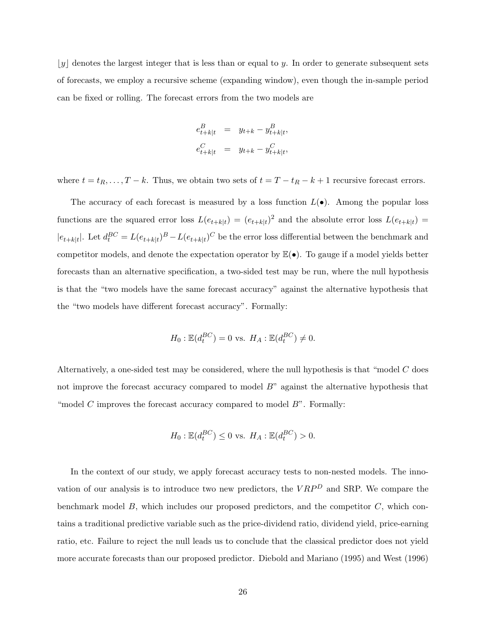$\lfloor y \rfloor$  denotes the largest integer that is less than or equal to y. In order to generate subsequent sets of forecasts, we employ a recursive scheme (expanding window), even though the in-sample period can be fixed or rolling. The forecast errors from the two models are

$$
\begin{array}{rcl} e_{t+k|t}^B & = & y_{t+k} - y_{t+k|t}^B, \\[2mm] e_{t+k|t}^C & = & y_{t+k} - y_{t+k|t}^C, \end{array}
$$

where  $t = t_R, \ldots, T - k$ . Thus, we obtain two sets of  $t = T - t_R - k + 1$  recursive forecast errors.

The accuracy of each forecast is measured by a loss function  $L(\bullet)$ . Among the popular loss functions are the squared error loss  $L(e_{t+k|t}) = (e_{t+k|t})^2$  and the absolute error loss  $L(e_{t+k|t}) =$  $|e_{t+k|t}|$ . Let  $d_t^{BC} = L(e_{t+k|t})^B - L(e_{t+k|t})^C$  be the error loss differential between the benchmark and competitor models, and denote the expectation operator by  $\mathbb{E}(\bullet)$ . To gauge if a model yields better forecasts than an alternative specification, a two-sided test may be run, where the null hypothesis is that the "two models have the same forecast accuracy" against the alternative hypothesis that the "two models have different forecast accuracy". Formally:

$$
H_0: \mathbb{E}(d_t^{BC}) = 0
$$
 vs.  $H_A: \mathbb{E}(d_t^{BC}) \neq 0$ .

Alternatively, a one-sided test may be considered, where the null hypothesis is that "model C does not improve the forecast accuracy compared to model B" against the alternative hypothesis that "model C improves the forecast accuracy compared to model  $B$ ". Formally:

$$
H_0: \mathbb{E}(d_t^{BC}) \le 0 \text{ vs. } H_A: \mathbb{E}(d_t^{BC}) > 0.
$$

In the context of our study, we apply forecast accuracy tests to non-nested models. The innovation of our analysis is to introduce two new predictors, the  $VRP<sup>D</sup>$  and SRP. We compare the benchmark model  $B$ , which includes our proposed predictors, and the competitor  $C$ , which contains a traditional predictive variable such as the price-dividend ratio, dividend yield, price-earning ratio, etc. Failure to reject the null leads us to conclude that the classical predictor does not yield more accurate forecasts than our proposed predictor. Diebold and Mariano (1995) and West (1996)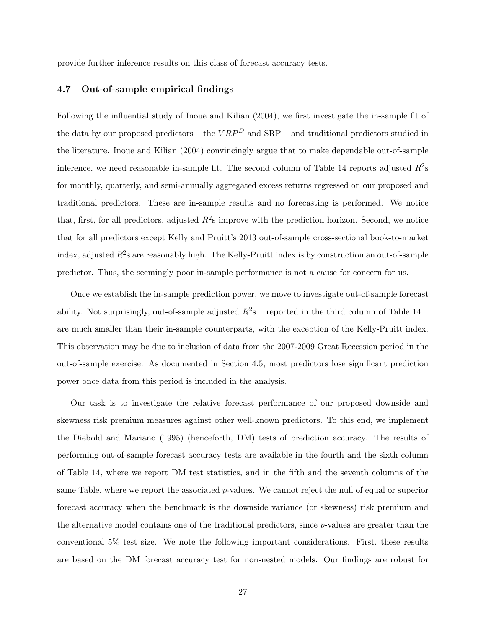provide further inference results on this class of forecast accuracy tests.

#### 4.7 Out-of-sample empirical findings

Following the influential study of Inoue and Kilian (2004), we first investigate the in-sample fit of the data by our proposed predictors – the  $VRP<sup>D</sup>$  and SRP – and traditional predictors studied in the literature. Inoue and Kilian (2004) convincingly argue that to make dependable out-of-sample inference, we need reasonable in-sample fit. The second column of Table 14 reports adjusted  $R^2$ s for monthly, quarterly, and semi-annually aggregated excess returns regressed on our proposed and traditional predictors. These are in-sample results and no forecasting is performed. We notice that, first, for all predictors, adjusted  $R^2$ s improve with the prediction horizon. Second, we notice that for all predictors except Kelly and Pruitt's 2013 out-of-sample cross-sectional book-to-market index, adjusted  $R^2$ s are reasonably high. The Kelly-Pruitt index is by construction an out-of-sample predictor. Thus, the seemingly poor in-sample performance is not a cause for concern for us.

Once we establish the in-sample prediction power, we move to investigate out-of-sample forecast ability. Not surprisingly, out-of-sample adjusted  $R^2$ s – reported in the third column of Table 14 – are much smaller than their in-sample counterparts, with the exception of the Kelly-Pruitt index. This observation may be due to inclusion of data from the 2007-2009 Great Recession period in the out-of-sample exercise. As documented in Section 4.5, most predictors lose significant prediction power once data from this period is included in the analysis.

Our task is to investigate the relative forecast performance of our proposed downside and skewness risk premium measures against other well-known predictors. To this end, we implement the Diebold and Mariano (1995) (henceforth, DM) tests of prediction accuracy. The results of performing out-of-sample forecast accuracy tests are available in the fourth and the sixth column of Table 14, where we report DM test statistics, and in the fifth and the seventh columns of the same Table, where we report the associated p-values. We cannot reject the null of equal or superior forecast accuracy when the benchmark is the downside variance (or skewness) risk premium and the alternative model contains one of the traditional predictors, since p-values are greater than the conventional 5% test size. We note the following important considerations. First, these results are based on the DM forecast accuracy test for non-nested models. Our findings are robust for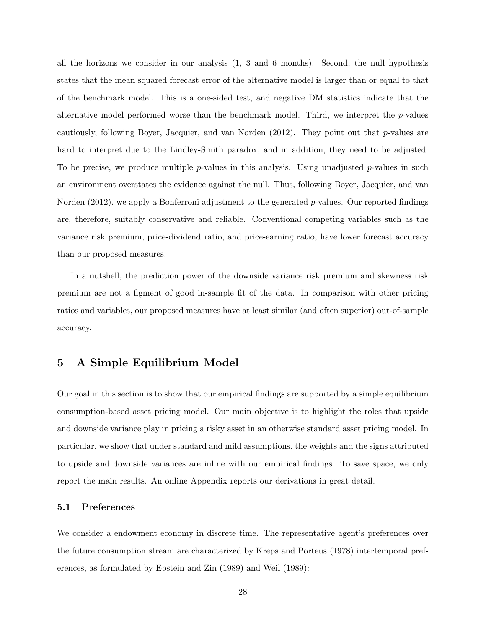all the horizons we consider in our analysis (1, 3 and 6 months). Second, the null hypothesis states that the mean squared forecast error of the alternative model is larger than or equal to that of the benchmark model. This is a one-sided test, and negative DM statistics indicate that the alternative model performed worse than the benchmark model. Third, we interpret the  $p$ -values cautiously, following Boyer, Jacquier, and van Norden  $(2012)$ . They point out that p-values are hard to interpret due to the Lindley-Smith paradox, and in addition, they need to be adjusted. To be precise, we produce multiple p-values in this analysis. Using unadjusted p-values in such an environment overstates the evidence against the null. Thus, following Boyer, Jacquier, and van Norden (2012), we apply a Bonferroni adjustment to the generated p-values. Our reported findings are, therefore, suitably conservative and reliable. Conventional competing variables such as the variance risk premium, price-dividend ratio, and price-earning ratio, have lower forecast accuracy than our proposed measures.

In a nutshell, the prediction power of the downside variance risk premium and skewness risk premium are not a figment of good in-sample fit of the data. In comparison with other pricing ratios and variables, our proposed measures have at least similar (and often superior) out-of-sample accuracy.

# 5 A Simple Equilibrium Model

Our goal in this section is to show that our empirical findings are supported by a simple equilibrium consumption-based asset pricing model. Our main objective is to highlight the roles that upside and downside variance play in pricing a risky asset in an otherwise standard asset pricing model. In particular, we show that under standard and mild assumptions, the weights and the signs attributed to upside and downside variances are inline with our empirical findings. To save space, we only report the main results. An online Appendix reports our derivations in great detail.

#### 5.1 Preferences

We consider a endowment economy in discrete time. The representative agent's preferences over the future consumption stream are characterized by Kreps and Porteus (1978) intertemporal preferences, as formulated by Epstein and Zin (1989) and Weil (1989):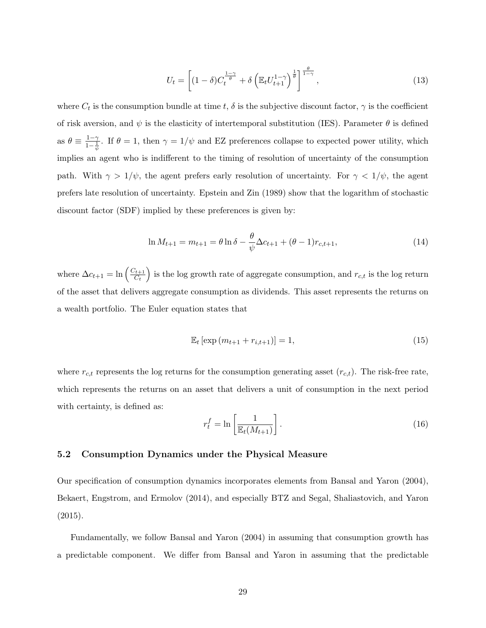$$
U_t = \left[ (1 - \delta) C_t^{\frac{1 - \gamma}{\theta}} + \delta \left( \mathbb{E}_t U_{t+1}^{1 - \gamma} \right)^{\frac{1}{\theta}} \right]^{\frac{\theta}{1 - \gamma}},\tag{13}
$$

where  $C_t$  is the consumption bundle at time t,  $\delta$  is the subjective discount factor,  $\gamma$  is the coefficient of risk aversion, and  $\psi$  is the elasticity of intertemporal substitution (IES). Parameter  $\theta$  is defined as  $\theta \equiv \frac{1-\gamma}{1-1}$  $\frac{1-\gamma}{1-\frac{1}{\psi}}$ . If  $\theta=1$ , then  $\gamma=1/\psi$  and EZ preferences collapse to expected power utility, which implies an agent who is indifferent to the timing of resolution of uncertainty of the consumption path. With  $\gamma > 1/\psi$ , the agent prefers early resolution of uncertainty. For  $\gamma < 1/\psi$ , the agent prefers late resolution of uncertainty. Epstein and Zin (1989) show that the logarithm of stochastic discount factor (SDF) implied by these preferences is given by:

$$
\ln M_{t+1} = m_{t+1} = \theta \ln \delta - \frac{\theta}{\psi} \Delta c_{t+1} + (\theta - 1) r_{c,t+1},
$$
\n(14)

where  $\Delta c_{t+1} = \ln \left( \frac{C_{t+1}}{C_t} \right)$  $\left(\frac{C_{t+1}}{C_t}\right)$  is the log growth rate of aggregate consumption, and  $r_{c,t}$  is the log return of the asset that delivers aggregate consumption as dividends. This asset represents the returns on a wealth portfolio. The Euler equation states that

$$
\mathbb{E}_{t} \left[ \exp \left( m_{t+1} + r_{i,t+1} \right) \right] = 1, \tag{15}
$$

where  $r_{c,t}$  represents the log returns for the consumption generating asset  $(r_{c,t})$ . The risk-free rate, which represents the returns on an asset that delivers a unit of consumption in the next period with certainty, is defined as:

$$
r_t^f = \ln\left[\frac{1}{\mathbb{E}_t(M_{t+1})}\right].\tag{16}
$$

#### 5.2 Consumption Dynamics under the Physical Measure

Our specification of consumption dynamics incorporates elements from Bansal and Yaron (2004), Bekaert, Engstrom, and Ermolov (2014), and especially BTZ and Segal, Shaliastovich, and Yaron  $(2015).$ 

Fundamentally, we follow Bansal and Yaron (2004) in assuming that consumption growth has a predictable component. We differ from Bansal and Yaron in assuming that the predictable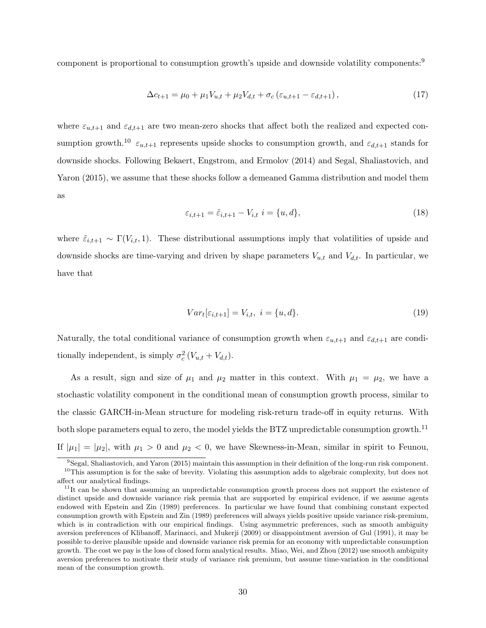component is proportional to consumption growth's upside and downside volatility components:<sup>9</sup>

$$
\Delta c_{t+1} = \mu_0 + \mu_1 V_{u,t} + \mu_2 V_{d,t} + \sigma_c (\varepsilon_{u,t+1} - \varepsilon_{d,t+1}), \qquad (17)
$$

where  $\varepsilon_{u,t+1}$  and  $\varepsilon_{d,t+1}$  are two mean-zero shocks that affect both the realized and expected consumption growth.<sup>10</sup>  $\varepsilon_{u,t+1}$  represents upside shocks to consumption growth, and  $\varepsilon_{d,t+1}$  stands for downside shocks. Following Bekaert, Engstrom, and Ermolov (2014) and Segal, Shaliastovich, and Yaron (2015), we assume that these shocks follow a demeaned Gamma distribution and model them as

$$
\varepsilon_{i,t+1} = \tilde{\varepsilon}_{i,t+1} - V_{i,t} \quad i = \{u, d\},\tag{18}
$$

where  $\tilde{\varepsilon}_{i,t+1} \sim \Gamma(V_{i,t}, 1)$ . These distributional assumptions imply that volatilities of upside and downside shocks are time-varying and driven by shape parameters  $V_{u,t}$  and  $V_{d,t}$ . In particular, we have that

$$
Var_t[\varepsilon_{i,t+1}] = V_{i,t}, \ i = \{u, d\}.
$$
 (19)

Naturally, the total conditional variance of consumption growth when  $\varepsilon_{u,t+1}$  and  $\varepsilon_{d,t+1}$  are conditionally independent, is simply  $\sigma_c^2(V_{u,t} + V_{d,t})$ .

As a result, sign and size of  $\mu_1$  and  $\mu_2$  matter in this context. With  $\mu_1 = \mu_2$ , we have a stochastic volatility component in the conditional mean of consumption growth process, similar to the classic GARCH-in-Mean structure for modeling risk-return trade-off in equity returns. With both slope parameters equal to zero, the model yields the BTZ unpredictable consumption growth.<sup>11</sup> If  $|\mu_1| = |\mu_2|$ , with  $\mu_1 > 0$  and  $\mu_2 < 0$ , we have Skewness-in-Mean, similar in spirit to Feunou,

<sup>9</sup>Segal, Shaliastovich, and Yaron (2015) maintain this assumption in their definition of the long-run risk component.  $10$ This assumption is for the sake of brevity. Violating this assumption adds to algebraic complexity, but does not affect our analytical findings.

<sup>&</sup>lt;sup>11</sup>It can be shown that assuming an unpredictable consumption growth process does not support the existence of distinct upside and downside variance risk premia that are supported by empirical evidence, if we assume agents endowed with Epstein and Zin (1989) preferences. In particular we have found that combining constant expected consumption growth with Epstein and Zin (1989) preferences will always yields positive upside variance risk-premium, which is in contradiction with our empirical findings. Using asymmetric preferences, such as smooth ambiguity aversion preferences of Klibanoff, Marinacci, and Mukerji (2009) or disappointment aversion of Gul (1991), it may be possible to derive plausible upside and downside variance risk premia for an economy with unpredictable consumption growth. The cost we pay is the loss of closed form analytical results. Miao, Wei, and Zhou (2012) use smooth ambiguity aversion preferences to motivate their study of variance risk premium, but assume time-variation in the conditional mean of the consumption growth.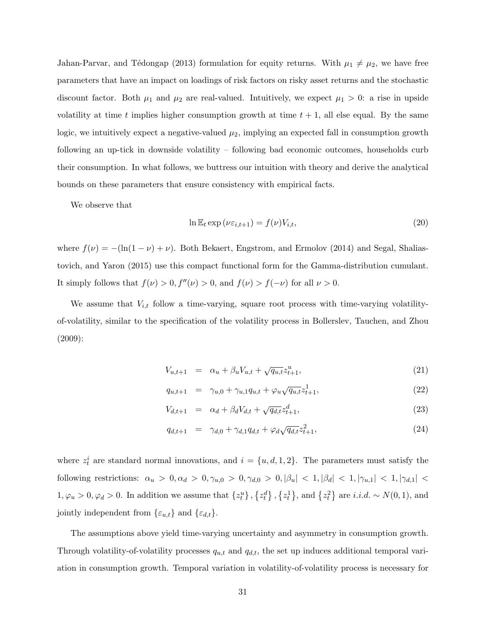Jahan-Parvar, and Tédongap (2013) formulation for equity returns. With  $\mu_1 \neq \mu_2$ , we have free parameters that have an impact on loadings of risk factors on risky asset returns and the stochastic discount factor. Both  $\mu_1$  and  $\mu_2$  are real-valued. Intuitively, we expect  $\mu_1 > 0$ : a rise in upside volatility at time t implies higher consumption growth at time  $t + 1$ , all else equal. By the same logic, we intuitively expect a negative-valued  $\mu_2$ , implying an expected fall in consumption growth following an up-tick in downside volatility – following bad economic outcomes, households curb their consumption. In what follows, we buttress our intuition with theory and derive the analytical bounds on these parameters that ensure consistency with empirical facts.

We observe that

$$
\ln \mathbb{E}_t \exp \left( \nu \varepsilon_{i,t+1} \right) = f(\nu) V_{i,t},\tag{20}
$$

where  $f(\nu) = -(\ln(1 - \nu) + \nu)$ . Both Bekaert, Engstrom, and Ermolov (2014) and Segal, Shaliastovich, and Yaron (2015) use this compact functional form for the Gamma-distribution cumulant. It simply follows that  $f(\nu) > 0$ ,  $f''(\nu) > 0$ , and  $f(\nu) > f(-\nu)$  for all  $\nu > 0$ .

We assume that  $V_{i,t}$  follow a time-varying, square root process with time-varying volatilityof-volatility, similar to the specification of the volatility process in Bollerslev, Tauchen, and Zhou (2009):

$$
V_{u,t+1} = \alpha_u + \beta_u V_{u,t} + \sqrt{q_{u,t}} z_{t+1}^u,
$$
\n(21)

$$
q_{u,t+1} = \gamma_{u,0} + \gamma_{u,1}q_{u,t} + \varphi_u \sqrt{q_{u,t}} z_{t+1}^1,
$$
\n(22)

$$
V_{d,t+1} = \alpha_d + \beta_d V_{d,t} + \sqrt{q_{d,t}} z_{t+1}^d,
$$
\n(23)

$$
q_{d,t+1} = \gamma_{d,0} + \gamma_{d,1} q_{d,t} + \varphi_d \sqrt{q_{d,t}} z_{t+1}^2,
$$
\n(24)

where  $z_t^i$  are standard normal innovations, and  $i = \{u, d, 1, 2\}$ . The parameters must satisfy the following restrictions:  $\alpha_u > 0, \alpha_d > 0, \gamma_{u,0} > 0, \gamma_{d,0} > 0, |\beta_u| < 1, |\beta_d| < 1, |\gamma_{u,1}| < 1, |\gamma_{d,1}| <$  $1, \varphi_u > 0, \varphi_d > 0$ . In addition we assume that  $\{z_t^u\}$ ,  $\{z_t^d\}$ ,  $\{z_t^1\}$ , and  $\{z_t^2\}$  are *i.i.d.* ~  $N(0, 1)$ , and jointly independent from  $\{\varepsilon_{u,t}\}\$  and  $\{\varepsilon_{d,t}\}.$ 

The assumptions above yield time-varying uncertainty and asymmetry in consumption growth. Through volatility-of-volatility processes  $q_{u,t}$  and  $q_{d,t}$ , the set up induces additional temporal variation in consumption growth. Temporal variation in volatility-of-volatility process is necessary for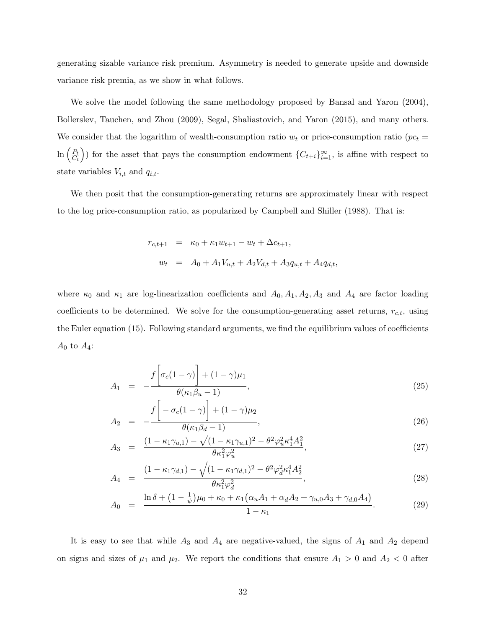generating sizable variance risk premium. Asymmetry is needed to generate upside and downside variance risk premia, as we show in what follows.

We solve the model following the same methodology proposed by Bansal and Yaron (2004), Bollerslev, Tauchen, and Zhou (2009), Segal, Shaliastovich, and Yaron (2015), and many others. We consider that the logarithm of wealth-consumption ratio  $w_t$  or price-consumption ratio ( $pc_t$  =  $\ln\left(\frac{P_t}{C}\right)$  $\left(\frac{P_t}{C_t}\right)$  for the asset that pays the consumption endowment  $\{C_{t+i}\}_{i=1}^{\infty}$ , is affine with respect to state variables  $V_{i,t}$  and  $q_{i,t}$ .

We then posit that the consumption-generating returns are approximately linear with respect to the log price-consumption ratio, as popularized by Campbell and Shiller (1988). That is:

$$
r_{c,t+1} = \kappa_0 + \kappa_1 w_{t+1} - w_t + \Delta c_{t+1},
$$
  

$$
w_t = A_0 + A_1 V_{u,t} + A_2 V_{d,t} + A_3 q_{u,t} + A_4 q_{d,t},
$$

where  $\kappa_0$  and  $\kappa_1$  are log-linearization coefficients and  $A_0$ ,  $A_1$ ,  $A_2$ ,  $A_3$  and  $A_4$  are factor loading coefficients to be determined. We solve for the consumption-generating asset returns,  $r_{c,t}$ , using the Euler equation (15). Following standard arguments, we find the equilibrium values of coefficients  $A_0$  to  $A_4$ :

$$
A_1 = -\frac{f\left[\sigma_c(1-\gamma)\right] + (1-\gamma)\mu_1}{\theta(\kappa_1\beta_u - 1)},\tag{25}
$$

$$
A_2 = -\frac{f\left[-\sigma_c(1-\gamma)\right] + (1-\gamma)\mu_2}{\theta(\kappa_1\beta_d - 1)},
$$
\n(26)

$$
A_3 = \frac{(1 - \kappa_1 \gamma_{u,1}) - \sqrt{(1 - \kappa_1 \gamma_{u,1})^2 - \theta^2 \varphi_u^2 \kappa_1^4 A_1^2}}{\theta \kappa_1^2 \varphi_u^2},
$$
\n(27)

$$
A_4 = \frac{(1 - \kappa_1 \gamma_{d,1}) - \sqrt{(1 - \kappa_1 \gamma_{d,1})^2 - \theta^2 \varphi_d^2 \kappa_1^4 A_2^2}}{\theta \kappa_1^2 \varphi_d^2},
$$
\n(28)

$$
A_0 = \frac{\ln \delta + (1 - \frac{1}{\psi})\mu_0 + \kappa_0 + \kappa_1(\alpha_u A_1 + \alpha_d A_2 + \gamma_{u,0} A_3 + \gamma_{d,0} A_4)}{1 - \kappa_1}.
$$
 (29)

It is easy to see that while  $A_3$  and  $A_4$  are negative-valued, the signs of  $A_1$  and  $A_2$  depend on signs and sizes of  $\mu_1$  and  $\mu_2$ . We report the conditions that ensure  $A_1 > 0$  and  $A_2 < 0$  after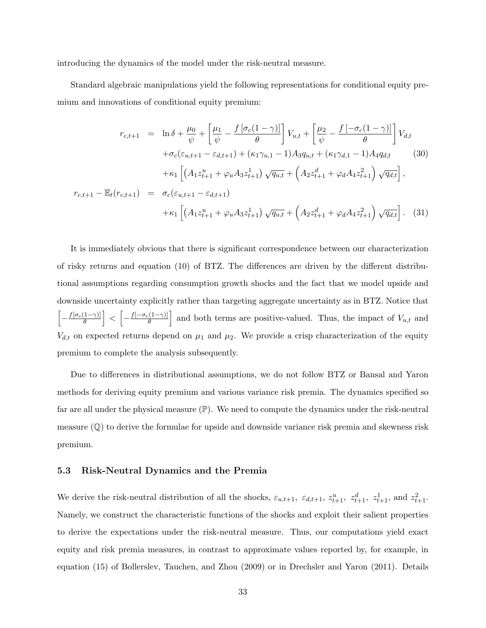introducing the dynamics of the model under the risk-neutral measure.

Standard algebraic manipulations yield the following representations for conditional equity premium and innovations of conditional equity premium:

$$
r_{c,t+1} = \ln \delta + \frac{\mu_0}{\psi} + \left[ \frac{\mu_1}{\psi} - \frac{f[\sigma_c(1-\gamma)]}{\theta} \right] V_{u,t} + \left[ \frac{\mu_2}{\psi} - \frac{f[-\sigma_c(1-\gamma)]}{\theta} \right] V_{d,t}
$$

$$
+ \sigma_c(\varepsilon_{u,t+1} - \varepsilon_{d,t+1}) + (\kappa_1 \gamma_{u,1} - 1) A_3 q_{u,t} + (\kappa_1 \gamma_{d,1} - 1) A_4 q_{d,t} \qquad (30)
$$

$$
+ \kappa_1 \left[ \left( A_1 z_{t+1}^u + \varphi_u A_3 z_{t+1}^1 \right) \sqrt{q_{u,t}} + \left( A_2 z_{t+1}^d + \varphi_d A_4 z_{t+1}^2 \right) \sqrt{q_{d,t}} \right],
$$

$$
r_{c,t+1} - \mathbb{E}_t(r_{c,t+1}) = \sigma_c(\varepsilon_{u,t+1} - \varepsilon_{d,t+1})
$$

$$
+ \kappa_1 \left[ \left( A_1 z_{t+1}^u + \varphi_u A_3 z_{t+1}^1 \right) \sqrt{q_{u,t}} + \left( A_2 z_{t+1}^d + \varphi_d A_4 z_{t+1}^2 \right) \sqrt{q_{d,t}} \right]. \qquad (31)
$$

It is immediately obvious that there is significant correspondence between our characterization of risky returns and equation (10) of BTZ. The differences are driven by the different distributional assumptions regarding consumption growth shocks and the fact that we model upside and downside uncertainty explicitly rather than targeting aggregate uncertainty as in BTZ. Notice that  $\left[-\frac{f[\sigma_c(1-\gamma)]}{\theta}\right]$  $\left\lceil \frac{1-\gamma}{\theta} \right\rceil < \left\lceil -\frac{f[-\sigma_c(1-\gamma)]}{\theta} \right\rceil$  $\left[\frac{((1-\gamma))}{\theta}\right]$  and both terms are positive-valued. Thus, the impact of  $V_{u,t}$  and  $V_{d,t}$  on expected returns depend on  $\mu_1$  and  $\mu_2$ . We provide a crisp characterization of the equity premium to complete the analysis subsequently.

Due to differences in distributional assumptions, we do not follow BTZ or Bansal and Yaron methods for deriving equity premium and various variance risk premia. The dynamics specified so far are all under the physical measure  $(\mathbb{P})$ . We need to compute the dynamics under the risk-neutral measure  $(\mathbb{Q})$  to derive the formulae for upside and downside variance risk premia and skewness risk premium.

#### 5.3 Risk-Neutral Dynamics and the Premia

We derive the risk-neutral distribution of all the shocks,  $\varepsilon_{u,t+1}$ ,  $\varepsilon_{d,t+1}$ ,  $z_{t+1}^u$ ,  $z_{t+1}^d$ , and  $z_{t+1}^2$ . Namely, we construct the characteristic functions of the shocks and exploit their salient properties to derive the expectations under the risk-neutral measure. Thus, our computations yield exact equity and risk premia measures, in contrast to approximate values reported by, for example, in equation (15) of Bollerslev, Tauchen, and Zhou (2009) or in Drechsler and Yaron (2011). Details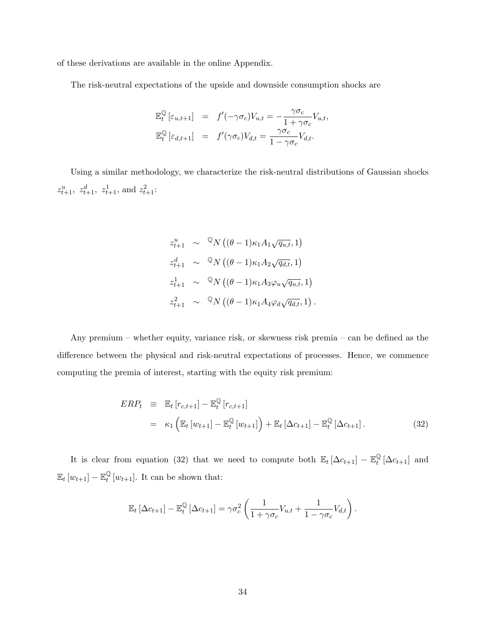of these derivations are available in the online Appendix.

The risk-neutral expectations of the upside and downside consumption shocks are

$$
\mathbb{E}_{t}^{\mathbb{Q}}\left[\varepsilon_{u,t+1}\right] = f'(-\gamma\sigma_{c})V_{u,t} = -\frac{\gamma\sigma_{c}}{1+\gamma\sigma_{c}}V_{u,t},
$$
  

$$
\mathbb{E}_{t}^{\mathbb{Q}}\left[\varepsilon_{d,t+1}\right] = f'(\gamma\sigma_{c})V_{d,t} = \frac{\gamma\sigma_{c}}{1-\gamma\sigma_{c}}V_{d,t}.
$$

Using a similar methodology, we characterize the risk-neutral distributions of Gaussian shocks  $z_{t+1}^u$ ,  $z_{t+1}^d$ ,  $z_{t+1}^1$ , and  $z_{t+1}^2$ :

$$
z_{t+1}^{u} \sim {}^{\mathbb{Q}}N((\theta - 1)\kappa_1 A_1 \sqrt{q_{u,t}}, 1)
$$
  
\n
$$
z_{t+1}^{d} \sim {}^{\mathbb{Q}}N((\theta - 1)\kappa_1 A_2 \sqrt{q_{d,t}}, 1)
$$
  
\n
$$
z_{t+1}^{1} \sim {}^{\mathbb{Q}}N((\theta - 1)\kappa_1 A_3 \varphi_u \sqrt{q_{u,t}}, 1)
$$
  
\n
$$
z_{t+1}^{2} \sim {}^{\mathbb{Q}}N((\theta - 1)\kappa_1 A_4 \varphi_d \sqrt{q_{d,t}}, 1).
$$

Any premium – whether equity, variance risk, or skewness risk premia – can be defined as the difference between the physical and risk-neutral expectations of processes. Hence, we commence computing the premia of interest, starting with the equity risk premium:

$$
ERP_t \equiv \mathbb{E}_t [r_{c,t+1}] - \mathbb{E}_t^{\mathbb{Q}} [r_{c,t+1}]
$$
  

$$
= \kappa_1 \left( \mathbb{E}_t [w_{t+1}] - \mathbb{E}_t^{\mathbb{Q}} [w_{t+1}] \right) + \mathbb{E}_t [\Delta c_{t+1}] - \mathbb{E}_t^{\mathbb{Q}} [\Delta c_{t+1}]. \tag{32}
$$

It is clear from equation (32) that we need to compute both  $\mathbb{E}_t[\Delta c_{t+1}] - \mathbb{E}_t^{\mathbb{Q}}$  $_t^{\mathcal{Q}}\left[\Delta c_{t+1}\right]$  and  $\mathbb{E}_t \left[ w_{t+1} \right] - \mathbb{E}^{\mathbb{Q}}_t$  $\mathcal{L}_t^{\mathbb{Q}}[w_{t+1}]$ . It can be shown that:

$$
\mathbb{E}_t \left[ \Delta c_{t+1} \right] - \mathbb{E}_t^{\mathbb{Q}} \left[ \Delta c_{t+1} \right] = \gamma \sigma_c^2 \left( \frac{1}{1 + \gamma \sigma_c} V_{u,t} + \frac{1}{1 - \gamma \sigma_c} V_{d,t} \right).
$$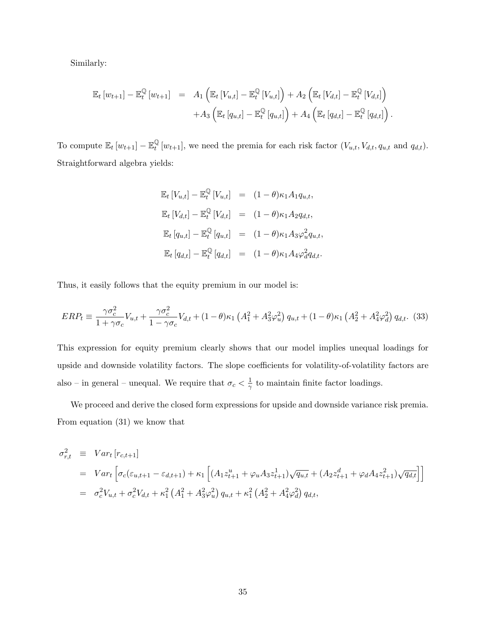Similarly:

$$
\mathbb{E}_{t}\left[w_{t+1}\right] - \mathbb{E}_{t}^{\mathbb{Q}}\left[w_{t+1}\right] = A_{1}\left(\mathbb{E}_{t}\left[V_{u,t}\right] - \mathbb{E}_{t}^{\mathbb{Q}}\left[V_{u,t}\right]\right) + A_{2}\left(\mathbb{E}_{t}\left[V_{d,t}\right] - \mathbb{E}_{t}^{\mathbb{Q}}\left[V_{d,t}\right]\right) + A_{3}\left(\mathbb{E}_{t}\left[q_{u,t}\right] - \mathbb{E}_{t}^{\mathbb{Q}}\left[q_{u,t}\right]\right) + A_{4}\left(\mathbb{E}_{t}\left[q_{d,t}\right] - \mathbb{E}_{t}^{\mathbb{Q}}\left[q_{d,t}\right]\right).
$$

To compute  $\mathbb{E}_t [w_{t+1}] - \mathbb{E}_t^{\mathbb{Q}}$  $\mathcal{L}_{t}^{Q}[w_{t+1}]$ , we need the premia for each risk factor  $(V_{u,t}, V_{d,t}, q_{u,t} \text{ and } q_{d,t}).$ Straightforward algebra yields:

$$
\mathbb{E}_{t}\left[V_{u,t}\right] - \mathbb{E}_{t}^{\mathbb{Q}}\left[V_{u,t}\right] = (1-\theta)\kappa_{1}A_{1}q_{u,t},
$$
\n
$$
\mathbb{E}_{t}\left[V_{d,t}\right] - \mathbb{E}_{t}^{\mathbb{Q}}\left[V_{d,t}\right] = (1-\theta)\kappa_{1}A_{2}q_{d,t},
$$
\n
$$
\mathbb{E}_{t}\left[q_{u,t}\right] - \mathbb{E}_{t}^{\mathbb{Q}}\left[q_{u,t}\right] = (1-\theta)\kappa_{1}A_{3}\varphi_{u}^{2}q_{u,t},
$$
\n
$$
\mathbb{E}_{t}\left[q_{d,t}\right] - \mathbb{E}_{t}^{\mathbb{Q}}\left[q_{d,t}\right] = (1-\theta)\kappa_{1}A_{4}\varphi_{d}^{2}q_{d,t}.
$$

Thus, it easily follows that the equity premium in our model is:

$$
ERP_t \equiv \frac{\gamma \sigma_c^2}{1 + \gamma \sigma_c} V_{u,t} + \frac{\gamma \sigma_c^2}{1 - \gamma \sigma_c} V_{d,t} + (1 - \theta) \kappa_1 \left( A_1^2 + A_3^2 \varphi_u^2 \right) q_{u,t} + (1 - \theta) \kappa_1 \left( A_2^2 + A_4^2 \varphi_d^2 \right) q_{d,t}. \tag{33}
$$

This expression for equity premium clearly shows that our model implies unequal loadings for upside and downside volatility factors. The slope coefficients for volatility-of-volatility factors are also – in general – unequal. We require that  $\sigma_c < \frac{1}{\gamma}$  $\frac{1}{\gamma}$  to maintain finite factor loadings.

We proceed and derive the closed form expressions for upside and downside variance risk premia. From equation (31) we know that

$$
\sigma_{r,t}^2 \equiv Var_t [r_{c,t+1}]
$$
\n
$$
= Var_t \left[ \sigma_c (\varepsilon_{u,t+1} - \varepsilon_{d,t+1}) + \kappa_1 \left[ (A_1 z_{t+1}^u + \varphi_u A_3 z_{t+1}^1) \sqrt{q_{u,t}} + (A_2 z_{t+1}^d + \varphi_d A_4 z_{t+1}^2) \sqrt{q_{d,t}} \right] \right]
$$
\n
$$
= \sigma_c^2 V_{u,t} + \sigma_c^2 V_{d,t} + \kappa_1^2 (A_1^2 + A_3^2 \varphi_u^2) q_{u,t} + \kappa_1^2 (A_2^2 + A_4^2 \varphi_d^2) q_{d,t},
$$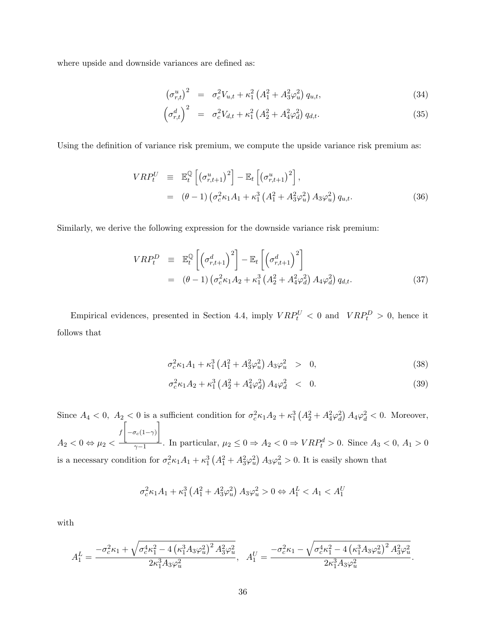where upside and downside variances are defined as:

$$
\left(\sigma_{r,t}^u\right)^2 = \sigma_c^2 V_{u,t} + \kappa_1^2 \left(A_1^2 + A_3^2 \varphi_u^2\right) q_{u,t},\tag{34}
$$

$$
\left(\sigma_{r,t}^d\right)^2 = \sigma_c^2 V_{d,t} + \kappa_1^2 \left(A_2^2 + A_4^2 \varphi_d^2\right) q_{d,t}.
$$
\n(35)

Using the definition of variance risk premium, we compute the upside variance risk premium as:

$$
VRP_t^U \equiv \mathbb{E}_t^{\mathbb{Q}} \left[ \left( \sigma_{r,t+1}^u \right)^2 \right] - \mathbb{E}_t \left[ \left( \sigma_{r,t+1}^u \right)^2 \right],
$$
  

$$
= \left( \theta - 1 \right) \left( \sigma_c^2 \kappa_1 A_1 + \kappa_1^3 \left( A_1^2 + A_3^2 \varphi_u^2 \right) A_3 \varphi_u^2 \right) q_{u,t}.
$$
 (36)

Similarly, we derive the following expression for the downside variance risk premium:

$$
VRP_t^D \equiv \mathbb{E}_t^{\mathbb{Q}} \left[ \left( \sigma_{r,t+1}^d \right)^2 \right] - \mathbb{E}_t \left[ \left( \sigma_{r,t+1}^d \right)^2 \right]
$$
  
= 
$$
(\theta - 1) \left( \sigma_c^2 \kappa_1 A_2 + \kappa_1^3 \left( A_2^2 + A_4^2 \varphi_d^2 \right) A_4 \varphi_d^2 \right) q_{d,t}.
$$
 (37)

Empirical evidences, presented in Section 4.4, imply  $VRP_t^U < 0$  and  $VRP_t^D > 0$ , hence it follows that

$$
\sigma_c^2 \kappa_1 A_1 + \kappa_1^3 \left( A_1^2 + A_3^2 \varphi_u^2 \right) A_3 \varphi_u^2 > 0, \tag{38}
$$

$$
\sigma_c^2 \kappa_1 A_2 + \kappa_1^3 \left( A_2^2 + A_4^2 \varphi_d^2 \right) A_4 \varphi_d^2 \quad < \quad 0. \tag{39}
$$

Since  $A_4 < 0$ ,  $A_2 < 0$  is a sufficient condition for  $\sigma_c^2 \kappa_1 A_2 + \kappa_1^3 (A_2^2 + A_4^2 \varphi_d^2) A_4 \varphi_d^2 < 0$ . Moreover,  $A_2 < 0 \Leftrightarrow \mu_2 <$  $\int \left[ -\sigma_c(1-\gamma) \right]$  $\frac{1}{\gamma-1}$ . In particular,  $\mu_2 \leq 0 \Rightarrow A_2 < 0 \Rightarrow VRP_t^d > 0$ . Since  $A_3 < 0, A_1 > 0$ is a necessary condition for  $\sigma_c^2 \kappa_1 A_1 + \kappa_1^3 (A_1^2 + A_3^2 \varphi_u^2) A_3 \varphi_u^2 > 0$ . It is easily shown that

$$
\sigma_c^2 \kappa_1 A_1 + \kappa_1^3 \left( A_1^2 + A_3^2 \varphi_u^2 \right) A_3 \varphi_u^2 > 0 \Leftrightarrow A_1^L < A_1 < A_1^U
$$

with

$$
A_1^L = \frac{-\sigma_c^2 \kappa_1 + \sqrt{\sigma_c^4 \kappa_1^2 - 4\left(\kappa_1^3 A_3 \varphi_u^2\right)^2 A_3^2 \varphi_u^2}}{2\kappa_1^3 A_3 \varphi_u^2}, \quad A_1^U = \frac{-\sigma_c^2 \kappa_1 - \sqrt{\sigma_c^4 \kappa_1^2 - 4\left(\kappa_1^3 A_3 \varphi_u^2\right)^2 A_3^2 \varphi_u^2}}{2\kappa_1^3 A_3 \varphi_u^2}.
$$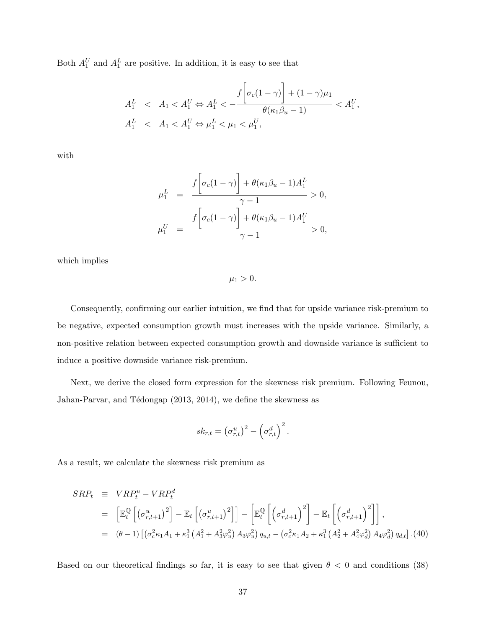Both  $A_1^U$  and  $A_1^L$  are positive. In addition, it is easy to see that

$$
A_1^L < A_1 < A_1^U \Leftrightarrow A_1^L < \frac{f\left[\sigma_c(1-\gamma)\right] + (1-\gamma)\mu_1}{\theta(\kappa_1\beta_u - 1)} < A_1^U,
$$
  

$$
A_1^L < A_1 < A_1^U \Leftrightarrow \mu_1^L < \mu_1 < \mu_1^U,
$$

with

$$
\mu_1^L = \frac{f\left[\sigma_c(1-\gamma)\right] + \theta(\kappa_1\beta_u - 1)A_1^L}{\gamma - 1} > 0,
$$
  

$$
\mu_1^U = \frac{f\left[\sigma_c(1-\gamma)\right] + \theta(\kappa_1\beta_u - 1)A_1^U}{\gamma - 1} > 0,
$$

which implies

 $\mu_1 > 0.$ 

Consequently, confirming our earlier intuition, we find that for upside variance risk-premium to be negative, expected consumption growth must increases with the upside variance. Similarly, a non-positive relation between expected consumption growth and downside variance is sufficient to induce a positive downside variance risk-premium.

Next, we derive the closed form expression for the skewness risk premium. Following Feunou, Jahan-Parvar, and Tédongap (2013, 2014), we define the skewness as

$$
sk_{r,t} = (\sigma_{r,t}^u)^2 - (\sigma_{r,t}^d)^2.
$$

As a result, we calculate the skewness risk premium as

$$
SRP_t \equiv VRP_t^u - VRP_t^d
$$
  
=  $\left[\mathbb{E}_t^{\mathbb{Q}}\left[\left(\sigma_{r,t+1}^u\right)^2\right] - \mathbb{E}_t\left[\left(\sigma_{r,t+1}^u\right)^2\right]\right] - \left[\mathbb{E}_t^{\mathbb{Q}}\left[\left(\sigma_{r,t+1}^d\right)^2\right] - \mathbb{E}_t\left[\left(\sigma_{r,t+1}^d\right)^2\right]\right],$   
=  $(\theta - 1)\left[\left(\sigma_c^2\kappa_1A_1 + \kappa_1^3\left(A_1^2 + A_3^2\varphi_u^2\right)A_3\varphi_u^2\right)q_{u,t} - \left(\sigma_c^2\kappa_1A_2 + \kappa_1^3\left(A_2^2 + A_4^2\varphi_d^2\right)A_4\varphi_d^2\right)q_{d,t}\right].(40)$ 

Based on our theoretical findings so far, it is easy to see that given  $\theta$  < 0 and conditions (38)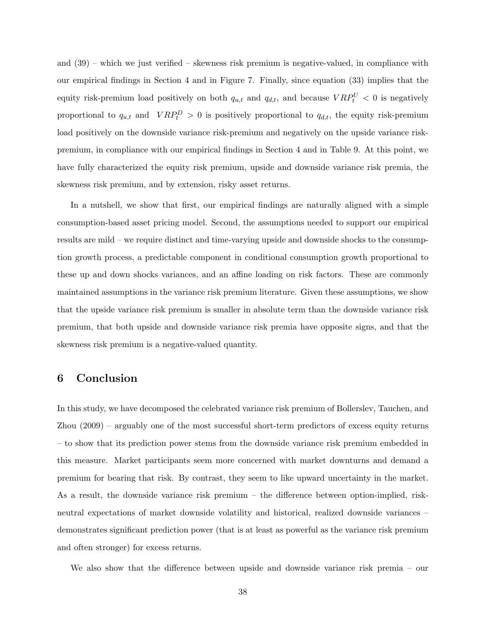and (39) – which we just verified – skewness risk premium is negative-valued, in compliance with our empirical findings in Section 4 and in Figure 7. Finally, since equation (33) implies that the equity risk-premium load positively on both  $q_{u,t}$  and  $q_{d,t}$ , and because  $VRP_t^U < 0$  is negatively proportional to  $q_{u,t}$  and  $VRP_t^D > 0$  is positively proportional to  $q_{d,t}$ , the equity risk-premium load positively on the downside variance risk-premium and negatively on the upside variance riskpremium, in compliance with our empirical findings in Section 4 and in Table 9. At this point, we have fully characterized the equity risk premium, upside and downside variance risk premia, the skewness risk premium, and by extension, risky asset returns.

In a nutshell, we show that first, our empirical findings are naturally aligned with a simple consumption-based asset pricing model. Second, the assumptions needed to support our empirical results are mild – we require distinct and time-varying upside and downside shocks to the consumption growth process, a predictable component in conditional consumption growth proportional to these up and down shocks variances, and an affine loading on risk factors. These are commonly maintained assumptions in the variance risk premium literature. Given these assumptions, we show that the upside variance risk premium is smaller in absolute term than the downside variance risk premium, that both upside and downside variance risk premia have opposite signs, and that the skewness risk premium is a negative-valued quantity.

## 6 Conclusion

In this study, we have decomposed the celebrated variance risk premium of Bollerslev, Tauchen, and Zhou (2009) – arguably one of the most successful short-term predictors of excess equity returns – to show that its prediction power stems from the downside variance risk premium embedded in this measure. Market participants seem more concerned with market downturns and demand a premium for bearing that risk. By contrast, they seem to like upward uncertainty in the market. As a result, the downside variance risk premium – the difference between option-implied, riskneutral expectations of market downside volatility and historical, realized downside variances – demonstrates significant prediction power (that is at least as powerful as the variance risk premium and often stronger) for excess returns.

We also show that the difference between upside and downside variance risk premia – our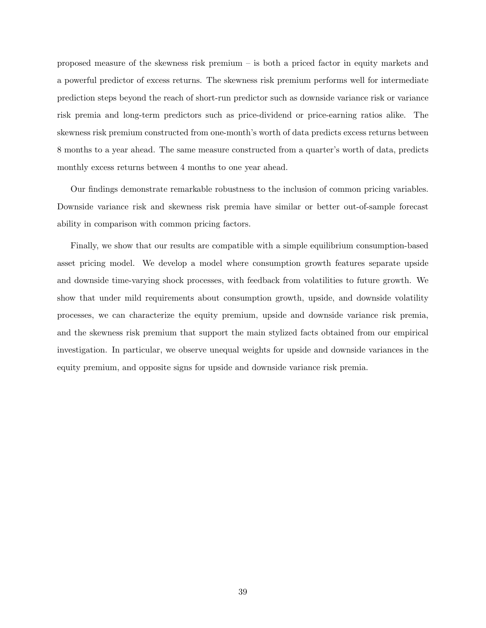proposed measure of the skewness risk premium – is both a priced factor in equity markets and a powerful predictor of excess returns. The skewness risk premium performs well for intermediate prediction steps beyond the reach of short-run predictor such as downside variance risk or variance risk premia and long-term predictors such as price-dividend or price-earning ratios alike. The skewness risk premium constructed from one-month's worth of data predicts excess returns between 8 months to a year ahead. The same measure constructed from a quarter's worth of data, predicts monthly excess returns between 4 months to one year ahead.

Our findings demonstrate remarkable robustness to the inclusion of common pricing variables. Downside variance risk and skewness risk premia have similar or better out-of-sample forecast ability in comparison with common pricing factors.

Finally, we show that our results are compatible with a simple equilibrium consumption-based asset pricing model. We develop a model where consumption growth features separate upside and downside time-varying shock processes, with feedback from volatilities to future growth. We show that under mild requirements about consumption growth, upside, and downside volatility processes, we can characterize the equity premium, upside and downside variance risk premia, and the skewness risk premium that support the main stylized facts obtained from our empirical investigation. In particular, we observe unequal weights for upside and downside variances in the equity premium, and opposite signs for upside and downside variance risk premia.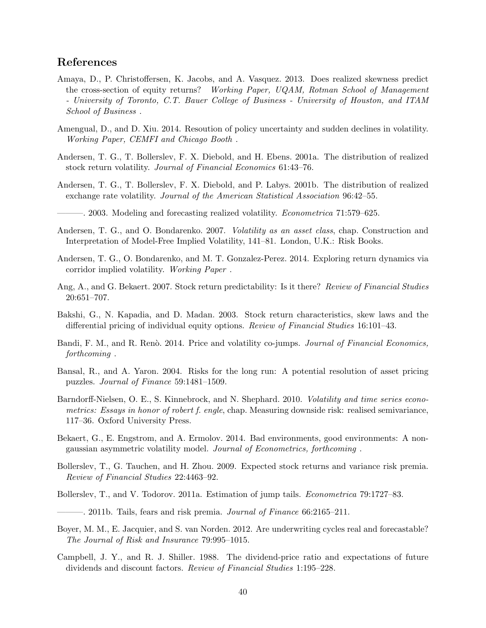# References

- Amaya, D., P. Christoffersen, K. Jacobs, and A. Vasquez. 2013. Does realized skewness predict the cross-section of equity returns? Working Paper, UQAM, Rotman School of Management - University of Toronto, C.T. Bauer College of Business - University of Houston, and ITAM School of Business .
- Amengual, D., and D. Xiu. 2014. Resoution of policy uncertainty and sudden declines in volatility. Working Paper, CEMFI and Chicago Booth .
- Andersen, T. G., T. Bollerslev, F. X. Diebold, and H. Ebens. 2001a. The distribution of realized stock return volatility. Journal of Financial Economics 61:43–76.
- Andersen, T. G., T. Bollerslev, F. X. Diebold, and P. Labys. 2001b. The distribution of realized exchange rate volatility. Journal of the American Statistical Association 96:42–55.
- 2003. Modeling and forecasting realized volatility. *Econometrica* 71:579–625.
- Andersen, T. G., and O. Bondarenko. 2007. Volatility as an asset class, chap. Construction and Interpretation of Model-Free Implied Volatility, 141–81. London, U.K.: Risk Books.
- Andersen, T. G., O. Bondarenko, and M. T. Gonzalez-Perez. 2014. Exploring return dynamics via corridor implied volatility. Working Paper .
- Ang, A., and G. Bekaert. 2007. Stock return predictability: Is it there? Review of Financial Studies 20:651–707.
- Bakshi, G., N. Kapadia, and D. Madan. 2003. Stock return characteristics, skew laws and the differential pricing of individual equity options. Review of Financial Studies 16:101–43.
- Bandi, F. M., and R. Renò. 2014. Price and volatility co-jumps. *Journal of Financial Economics*, forthcoming .
- Bansal, R., and A. Yaron. 2004. Risks for the long run: A potential resolution of asset pricing puzzles. Journal of Finance 59:1481–1509.
- Barndorff-Nielsen, O. E., S. Kinnebrock, and N. Shephard. 2010. Volatility and time series econometrics: Essays in honor of robert f. engle, chap. Measuring downside risk: realised semivariance, 117–36. Oxford University Press.
- Bekaert, G., E. Engstrom, and A. Ermolov. 2014. Bad environments, good environments: A nongaussian asymmetric volatility model. Journal of Econometrics, forthcoming .
- Bollerslev, T., G. Tauchen, and H. Zhou. 2009. Expected stock returns and variance risk premia. Review of Financial Studies 22:4463–92.
- Bollerslev, T., and V. Todorov. 2011a. Estimation of jump tails. *Econometrica* 79:1727–83.
- $-$ . 2011b. Tails, fears and risk premia. *Journal of Finance* 66:2165–211.
- Boyer, M. M., E. Jacquier, and S. van Norden. 2012. Are underwriting cycles real and forecastable? The Journal of Risk and Insurance 79:995–1015.
- Campbell, J. Y., and R. J. Shiller. 1988. The dividend-price ratio and expectations of future dividends and discount factors. Review of Financial Studies 1:195–228.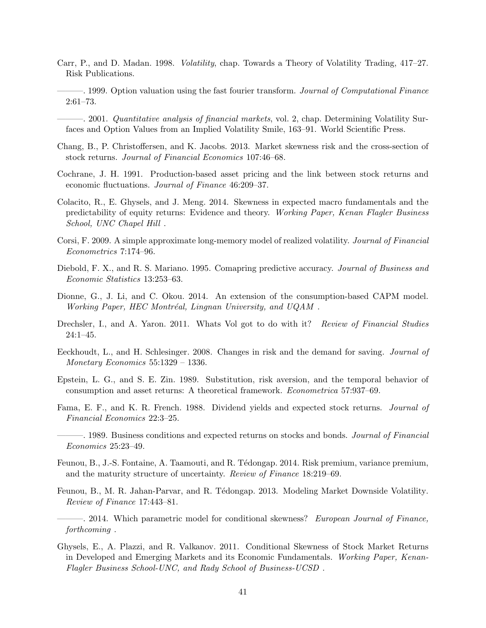- Carr, P., and D. Madan. 1998. Volatility, chap. Towards a Theory of Volatility Trading, 417–27. Risk Publications.
	- ———. 1999. Option valuation using the fast fourier transform. Journal of Computational Finance 2:61–73.
- ———. 2001. Quantitative analysis of financial markets, vol. 2, chap. Determining Volatility Surfaces and Option Values from an Implied Volatility Smile, 163–91. World Scientific Press.
- Chang, B., P. Christoffersen, and K. Jacobs. 2013. Market skewness risk and the cross-section of stock returns. Journal of Financial Economics 107:46–68.
- Cochrane, J. H. 1991. Production-based asset pricing and the link between stock returns and economic fluctuations. Journal of Finance 46:209–37.
- Colacito, R., E. Ghysels, and J. Meng. 2014. Skewness in expected macro fundamentals and the predictability of equity returns: Evidence and theory. Working Paper, Kenan Flagler Business School, UNC Chapel Hill .
- Corsi, F. 2009. A simple approximate long-memory model of realized volatility. Journal of Financial Econometrics 7:174–96.
- Diebold, F. X., and R. S. Mariano. 1995. Comapring predictive accuracy. Journal of Business and Economic Statistics 13:253–63.
- Dionne, G., J. Li, and C. Okou. 2014. An extension of the consumption-based CAPM model. Working Paper, HEC Montréal, Lingnan University, and UQAM.
- Drechsler, I., and A. Yaron. 2011. Whats Vol got to do with it? Review of Financial Studies 24:1–45.
- Eeckhoudt, L., and H. Schlesinger. 2008. Changes in risk and the demand for saving. Journal of Monetary Economics 55:1329 – 1336.
- Epstein, L. G., and S. E. Zin. 1989. Substitution, risk aversion, and the temporal behavior of consumption and asset returns: A theoretical framework. Econometrica 57:937–69.
- Fama, E. F., and K. R. French. 1988. Dividend yields and expected stock returns. Journal of Financial Economics 22:3–25.
- 1989. Business conditions and expected returns on stocks and bonds. *Journal of Financial* Economics 25:23–49.
- Feunou, B., J.-S. Fontaine, A. Taamouti, and R. T´edongap. 2014. Risk premium, variance premium, and the maturity structure of uncertainty. Review of Finance 18:219–69.
- Feunou, B., M. R. Jahan-Parvar, and R. Tédongap. 2013. Modeling Market Downside Volatility. Review of Finance 17:443–81.
- 2014. Which parametric model for conditional skewness? European Journal of Finance, forthcoming .
- Ghysels, E., A. Plazzi, and R. Valkanov. 2011. Conditional Skewness of Stock Market Returns in Developed and Emerging Markets and its Economic Fundamentals. Working Paper, Kenan-Flagler Business School-UNC, and Rady School of Business-UCSD .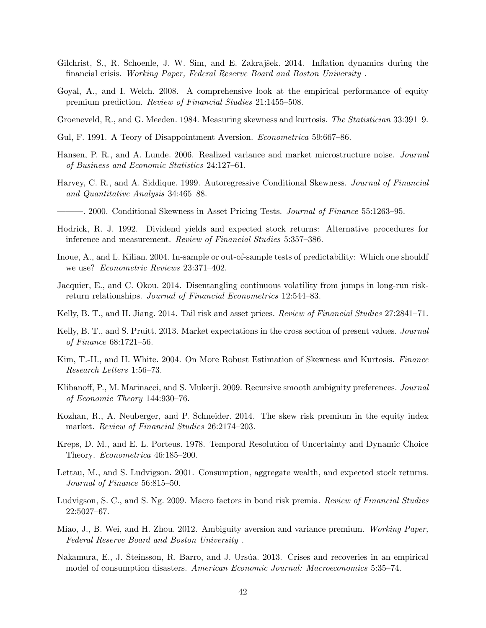- Gilchrist, S., R. Schoenle, J. W. Sim, and E. Zakrajšek. 2014. Inflation dynamics during the financial crisis. Working Paper, Federal Reserve Board and Boston University .
- Goyal, A., and I. Welch. 2008. A comprehensive look at the empirical performance of equity premium prediction. Review of Financial Studies 21:1455–508.
- Groeneveld, R., and G. Meeden. 1984. Measuring skewness and kurtosis. The Statistician 33:391–9.
- Gul, F. 1991. A Teory of Disappointment Aversion. Econometrica 59:667–86.
- Hansen, P. R., and A. Lunde. 2006. Realized variance and market microstructure noise. Journal of Business and Economic Statistics 24:127–61.
- Harvey, C. R., and A. Siddique. 1999. Autoregressive Conditional Skewness. Journal of Financial and Quantitative Analysis 34:465–88.
- ———. 2000. Conditional Skewness in Asset Pricing Tests. Journal of Finance 55:1263–95.
- Hodrick, R. J. 1992. Dividend yields and expected stock returns: Alternative procedures for inference and measurement. Review of Financial Studies 5:357–386.
- Inoue, A., and L. Kilian. 2004. In-sample or out-of-sample tests of predictability: Which one shouldf we use? Econometric Reviews 23:371–402.
- Jacquier, E., and C. Okou. 2014. Disentangling continuous volatility from jumps in long-run riskreturn relationships. Journal of Financial Econometrics 12:544–83.
- Kelly, B. T., and H. Jiang. 2014. Tail risk and asset prices. Review of Financial Studies 27:2841–71.
- Kelly, B. T., and S. Pruitt. 2013. Market expectations in the cross section of present values. Journal of Finance 68:1721–56.
- Kim, T.-H., and H. White. 2004. On More Robust Estimation of Skewness and Kurtosis. Finance Research Letters 1:56–73.
- Klibanoff, P., M. Marinacci, and S. Mukerji. 2009. Recursive smooth ambiguity preferences. *Journal* of Economic Theory 144:930–76.
- Kozhan, R., A. Neuberger, and P. Schneider. 2014. The skew risk premium in the equity index market. *Review of Financial Studies* 26:2174-203.
- Kreps, D. M., and E. L. Porteus. 1978. Temporal Resolution of Uncertainty and Dynamic Choice Theory. Econometrica 46:185–200.
- Lettau, M., and S. Ludvigson. 2001. Consumption, aggregate wealth, and expected stock returns. Journal of Finance 56:815–50.
- Ludvigson, S. C., and S. Ng. 2009. Macro factors in bond risk premia. Review of Financial Studies 22:5027–67.
- Miao, J., B. Wei, and H. Zhou. 2012. Ambiguity aversion and variance premium. Working Paper, Federal Reserve Board and Boston University .
- Nakamura, E., J. Steinsson, R. Barro, and J. Ursúa. 2013. Crises and recoveries in an empirical model of consumption disasters. American Economic Journal: Macroeconomics 5:35–74.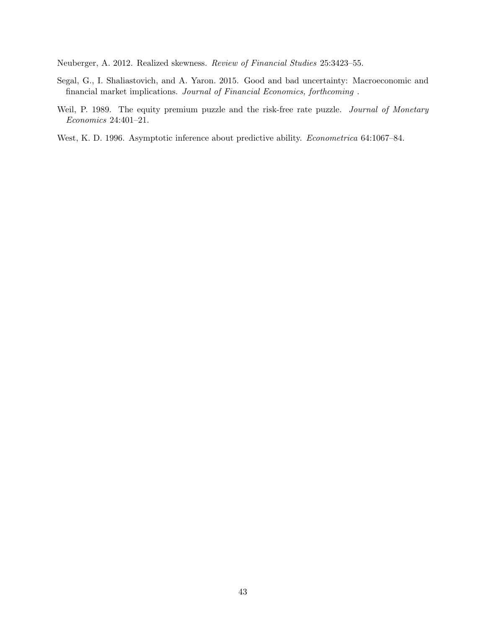Neuberger, A. 2012. Realized skewness. Review of Financial Studies 25:3423–55.

- Segal, G., I. Shaliastovich, and A. Yaron. 2015. Good and bad uncertainty: Macroeconomic and financial market implications. Journal of Financial Economics, forthcoming .
- Weil, P. 1989. The equity premium puzzle and the risk-free rate puzzle. Journal of Monetary Economics 24:401–21.
- West, K. D. 1996. Asymptotic inference about predictive ability. Econometrica 64:1067–84.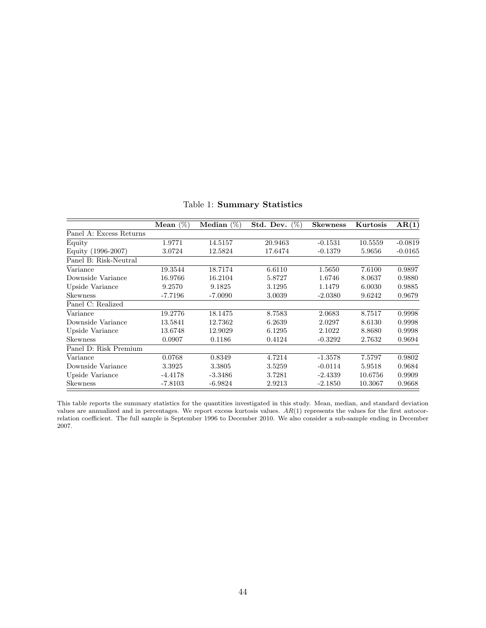|                         | Mean $(\%)$ | Median $(\%)$ | $(\%)$<br>Std. Dev. | <b>Skewness</b> | Kurtosis | AR(1)     |
|-------------------------|-------------|---------------|---------------------|-----------------|----------|-----------|
| Panel A: Excess Returns |             |               |                     |                 |          |           |
| Equity                  | 1.9771      | 14.5157       | 20.9463             | $-0.1531$       | 10.5559  | $-0.0819$ |
| Equity (1996-2007)      | 3.0724      | 12.5824       | 17.6474             | $-0.1379$       | 5.9656   | $-0.0165$ |
| Panel B: Risk-Neutral   |             |               |                     |                 |          |           |
| Variance                | 19.3544     | 18.7174       | 6.6110              | 1.5650          | 7.6100   | 0.9897    |
| Downside Variance       | 16.9766     | 16.2104       | 5.8727              | 1.6746          | 8.0637   | 0.9880    |
| Upside Variance         | 9.2570      | 9.1825        | 3.1295              | 1.1479          | 6.0030   | 0.9885    |
| Skewness                | $-7.7196$   | $-7.0090$     | 3.0039              | $-2.0380$       | 9.6242   | 0.9679    |
| Panel C: Realized       |             |               |                     |                 |          |           |
| Variance                | 19.2776     | 18.1475       | 8.7583              | 2.0683          | 8.7517   | 0.9998    |
| Downside Variance       | 13.5841     | 12.7362       | 6.2639              | 2.0297          | 8.6130   | 0.9998    |
| Upside Variance         | 13.6748     | 12.9029       | 6.1295              | 2.1022          | 8.8680   | 0.9998    |
| <b>Skewness</b>         | 0.0907      | 0.1186        | 0.4124              | $-0.3292$       | 2.7632   | 0.9694    |
| Panel D: Risk Premium   |             |               |                     |                 |          |           |
| Variance                | 0.0768      | 0.8349        | 4.7214              | $-1.3578$       | 7.5797   | 0.9802    |
| Downside Variance       | 3.3925      | 3.3805        | 3.5259              | $-0.0114$       | 5.9518   | 0.9684    |
| Upside Variance         | $-4.4178$   | $-3.3486$     | 3.7281              | $-2.4339$       | 10.6756  | 0.9909    |
| Skewness                | $-7.8103$   | $-6.9824$     | 2.9213              | $-2.1850$       | 10.3067  | 0.9668    |

Table 1: Summary Statistics

This table reports the summary statistics for the quantities investigated in this study. Mean, median, and standard deviation values are annualized and in percentages. We report excess kurtosis values.  $AR(1)$  represents the values for the first autocorrelation coefficient. The full sample is September 1996 to December 2010. We also consider a sub-sample ending in December 2007.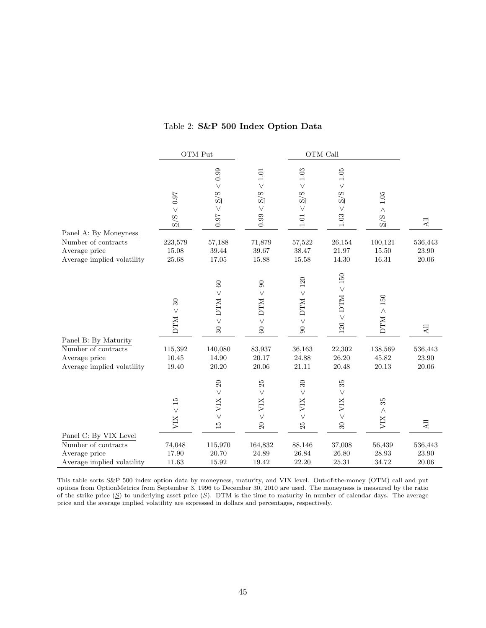|                                             |                                  | OTM Put                                                         |                                                            |                                                                | OTM Call                                                     |                                                    |                      |
|---------------------------------------------|----------------------------------|-----------------------------------------------------------------|------------------------------------------------------------|----------------------------------------------------------------|--------------------------------------------------------------|----------------------------------------------------|----------------------|
|                                             | < 0.97<br>S/S                    | 0.99<br>$\vee$<br>$\overline{S}/\overline{S}$<br>$\vee$<br>16.0 | $<1.01\,$<br>$\overline{S}/\overline{S}$<br>$\vee$<br>0.99 | $<1.03\,$<br>$\overline{S}/\overline{S}$<br>$\vee$<br>$1.01\,$ | $<1.05$<br>$\overline{S}/\overline{S}$<br>$\vee$<br>$1.03$   | $1.05\,$<br>$\land$<br>$\overline{S}/\overline{S}$ | $\overline{AB}$      |
| Panel A: By Moneyness                       |                                  |                                                                 |                                                            |                                                                |                                                              |                                                    |                      |
| Number of contracts                         | 223,579                          | 57,188                                                          | 71,879                                                     | 57,522                                                         | 26,154                                                       | 100,121                                            | 536,443              |
| Average price<br>Average implied volatility | 15.08<br>25.68                   | 39.44<br>17.05                                                  | 39.67<br>15.88                                             | 38.47<br>$15.58\,$                                             | $21.97\,$<br>14.30                                           | 15.50<br>$16.31\,$                                 | 23.90<br>20.06       |
|                                             | $30\,$<br>$\text{DTM} <$         | $60\,$<br>$\vee$<br>$\times$ DTM<br>$30\,$                      | $90\,$<br>$\vee$<br><b>DTM</b><br>$\vee$<br>$60\,$         | $120\,$<br>$\vee$<br>$<$ DTM<br>$\infty$                       | $<150\,$<br><b>DTM</b><br>$\vee$<br>120                      | $150\,$<br>$\text{DTM} >$                          | $\Lambda \rm{ll}$    |
| Panel B: By Maturity                        |                                  |                                                                 |                                                            |                                                                |                                                              |                                                    |                      |
| Number of contracts<br>Average price        | 115,392<br>10.45                 | 140,080<br>14.90                                                | 83,937<br>20.17                                            | 36,163<br>24.88                                                | 22,302<br>26.20                                              | 138,569<br>45.82                                   | 536,443<br>$23.90\,$ |
| Average implied volatility                  | 19.40                            | 20.20                                                           | 20.06                                                      | 21.11                                                          | 20.48                                                        | 20.13                                              | 20.06                |
|                                             | $\overline{15}$<br>$\vee$<br>XIV | $20\,$<br>$\vee$<br>VIX<br>$\vee$<br>$\overline{15}$            | 25<br>$\vee$<br>VIX<br>$\vee$<br>$\Omega$                  | $\rm 30$<br>$\vee$<br>VIX<br>$\vee$<br>25                      | $35^{\circ}$<br>$\vee$<br>VIX<br>$\vee$<br>$\boldsymbol{30}$ | $35^{\circ}$<br>$\land$<br>XIN                     | $\Xi$                |
| Panel C: By VIX Level                       |                                  |                                                                 |                                                            |                                                                |                                                              |                                                    |                      |
| Number of contracts                         | 74,048                           | 115,970                                                         | 164,832                                                    | 88,146                                                         | 37,008                                                       | 56,439                                             | 536,443              |
| Average price                               | 17.90                            | 20.70                                                           | 24.89                                                      | 26.84                                                          | 26.80                                                        | 28.93                                              | 23.90                |
| Average implied volatility                  | $11.63\,$                        | 15.92                                                           | 19.42                                                      | 22.20                                                          | 25.31                                                        | 34.72                                              | 20.06                |

## Table 2: S&P 500 Index Option Data

This table sorts S&P 500 index option data by moneyness, maturity, and VIX level. Out-of-the-money (OTM) call and put options from OptionMetrics from September 3, 1996 to December 30, 2010 are used. The moneyness is measured by the ratio of the strike price  $(S)$  to underlying asset price  $(S)$ . DTM is the time to maturity in number of calendar days. The average price and the average implied volatility are expressed in dollars and percentages, respectively.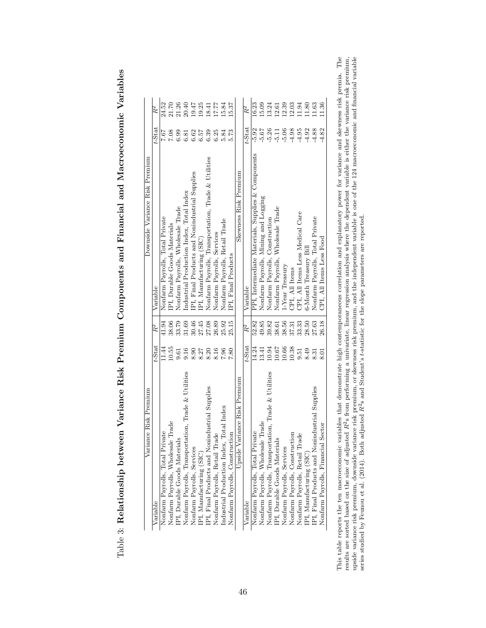Table 3: Relationship between Variance Risk Premium Components and Financial and Macroeconomic Variables Table 3: Relationship between Variance Risk Premium Components and Financial and Macroeconomic Variables

| Variance Risk Premium                                  |                 |       | Downside Variance Risk Premium                      |                 |           |
|--------------------------------------------------------|-----------------|-------|-----------------------------------------------------|-----------------|-----------|
| Variable                                               | $t\text{-Stat}$ | $R^2$ | Variable                                            | $t\text{-Stat}$ | $R^2$     |
| Nonfarm Payrolls, Total Private                        | 11.44           | 41.94 | Nonfarm Payrolls, Total Private                     | 7.67            | 24.52     |
| Nonfarm Payrolls, Wholesale Trade                      | 10.55           | 38.06 | IPI, Durable Goods Materials                        | 7.08            | $21.70\,$ |
| PI, Durable Goods Materials                            | 9.61            | 33.79 | Nonfarm Payrolls, Wholesale Trade                   | 6.99            | $21.26\,$ |
| Trade & Utilities<br>Nonfarm Payrolls, Transportation, | 0.16            | 31.69 | Industrial Production Index, Total Index            | 6.81            | 20.40     |
| Nonfarm Payrolls, Services                             | 8.90            | 30.46 | IPI, Final Products and Nonindustrial Supplies      | 6.62            | 19.47     |
| PI, Manufacturing (SIC)                                | 8.27            | 27.45 | PI, Manufacturing (SIC)                             | 6.57            | 19.25     |
| PI, Final Products and Nonindustrial Supplies          | 8.20            | 27.08 | Nonfarm Payrolls, Transportation, Trade & Utilities | 6.39            | 18.41     |
| Nonfarm Payrolls, Retail Trade                         | 8.16            | 26.89 | Nonfarm Payrolls, Services                          | 6.25            | 17.77     |
| Index<br>Industrial Production Index, Total            | 7.96            | 25.92 | Nonfarm Payrolls, Retail Trade                      | 5.84            | 15.84     |
| Nonfarm Payrolls, Construction                         | 7.80            | 25.15 | IPI, Final Products                                 | 5.73            | 15.37     |
| Risk Premium<br>Upside Variance                        |                 |       | Skewness Risk Premium                               |                 |           |
| Variable                                               | $t$ -Stat       | $R^2$ | Variable                                            | $t$ -Stat       | $R^2$     |
| Nonfarm Payrolls, Total Private                        | 14.24           | 52.82 | PPI, Intermediate Materials, Supplies & Components  | $-5.92$         | 16.23     |
| Nonfarm Payrolls, Wholesale Trade                      | 13.41           | 49.85 | Nonfarm Payrolls, Mining and Logging                | $-5.67$         | 15.09     |
| Irade & Utilities<br>Nonfarm Payrolls, Transportation, | 10.94           | 39.82 | Nonfarm Payrolls, Construction                      | $-5.26$         | 13.24     |
| PI, Durable Goods Materials                            | 10.67           | 38.61 | Nonfarm Payrolls, Wholesale Trade                   | $-5.11$         | $12.61\,$ |
| Nonfarm Payrolls, Services                             | 10.66           | 38.56 | <b>I-Year Treasury</b>                              | $-5.06$         | 12.39     |
| Nonfarm Payrolls, Construction                         | 10.38           | 37.31 | CPI, All Items                                      | $-4.98$         | 12.03     |
| Nonfarm Payrolls, Retail Trade                         | 9.51            | 33.33 | <b>CPI, All Items Less Medical Care</b>             | $-4.95$         | 11.94     |
| PI, Manufacturing (SIC)                                | 8.49            | 28.50 | 5-Month Treasury Bil                                | $-4.92$         | 11.80     |
| IPI, Final Products and Nonindustrial Supplies         | 8.31            | 27.63 | Nonfarm Payrolls, Total Private                     | $-4.88$         | 11.63     |
| Nonfarm Payrolls, Financial Sector                     | 8.01            | 26.18 | CPI, All Items Less Food                            | $-4.82$         | 11.36     |

This table reports the ten macroeconomic variables that demonstrate high contemporaneous correlation and explanatory power for variance and skewness risk premia. The results are sorted based on the size of adjusted  $R^2$ s This table reports the ten macroeconomic variables that demonstrate high contemporaneous correlation and explanatory power for variance and skewness risk premia. The results are sorted based on the size of adjusted R2s from performing a univariate, linear regression analysis where the dependent variable is either the variance risk premium, upside variance risk premium, downside variance risk premium, or skewness risk premium, and the independent variable is one of the 124 macroeconomic and financial variable series studied by Feunou et al. (2014). Both adjusted  $R^2$ s and Student's t-statistic for the slope parameters are reported.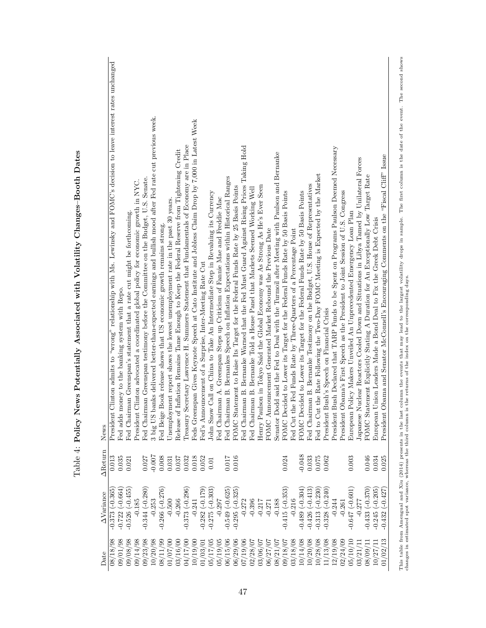| Date     | $\Delta$ Variance      | AReturn  | News                                                                                                                                                                                                                              |
|----------|------------------------|----------|-----------------------------------------------------------------------------------------------------------------------------------------------------------------------------------------------------------------------------------|
| 08/18/98 | $-0.373(-0.365)$       | 0.013    | Clinton admits to "wrong" relationship with Ms. Lewinsky and FOMC's decision to leave interest rates unchanged<br>President                                                                                                       |
| 09/01/98 | $-0.722(-0.664)$       | 0.035    | Fed adds money to the banking system with Repo                                                                                                                                                                                    |
| 09/08/98 | $-0.526(-0.455)$       | 0.021    | Fed Chairman Greenspan's statement that a rate cut might be forthcoming.                                                                                                                                                          |
| 09/14/98 | $-0.185$               |          | Clinton advocated a coordinated global policy for economic growth in NYC.<br>President                                                                                                                                            |
| 09/23/98 | $-0.344(-0.280)$       | 0.027    | Fed Chairman Greenspan testimony before the Committee on the Budget, U.S. Senate.                                                                                                                                                 |
| 10/20/98 | $-0.253$               | $-0.007$ | 3 big US banks delivered better-than-expected earnings and bullish mood after Fed rate cut previous week.                                                                                                                         |
| 08/11/99 | $-0.266(-0.276)$       | 0.008    | Fed Beige Book release shows that US economic growth remains strong                                                                                                                                                               |
| 01/07/00 | $-0.500$               | 0.031    | Unemployment report shows the lowest unemployment rate in the past 30 years.                                                                                                                                                      |
| 03/16/00 | $-0.266$               | 0.037    | Inflation Remains Tame Enough to Keep the Federal Reserve from Tightening Credit<br>Release of                                                                                                                                    |
| 04/17/00 | $-0.373(-0.296)$       | 0.032    | Treasury Secretary Lawrence H. Summers Statement that Fundamentals of Economy are in Place                                                                                                                                        |
| 10/19/00 | $-0.241$               | 0.018    | Feds Greenspan Gives Keynote Speech at Cato Institute and Jobless Claim Drop by 7,000 in Latest Week                                                                                                                              |
| 01/03/01 | $-0.282(-0.179)$       | 0.052    | Fed's Announcement of a Surprise, Inter-Meeting Rate Cut                                                                                                                                                                          |
| 05/17/05 | $-0.275 (-0.303)$      | 0.01     | John Snow Call on China to Take An Intermediate Step in Revaluing its Currency                                                                                                                                                    |
| 05/19/05 | $-0.297$               |          | Fed Chairman A. Greenspan Steps up Criticism of Fannie Mae and Freddie Mac                                                                                                                                                        |
| 06/15/06 | $-0.549(-0.625)$       | 710.0    | Fed Chairman B. Bernankes Speech on Inflation Expectations within Historical Ranges                                                                                                                                               |
| 06/29/06 | $-0.295 (-0.325)$      | 0.016    | FOMC Statement to Raise Its Target for the Federal Funds Rate by 25 Basis Points                                                                                                                                                  |
| 07/19/06 | $-0.272$               |          | Fed Chairman B. Bernanke Warned that the Fed Must Guard Against Rising Prices Taking Hold                                                                                                                                         |
| 02/28/07 | $-0.396$               |          | Fed Chairman B. Bernanke Told a House Panel that Markets Seemed Working Well                                                                                                                                                      |
| 03/06/07 | $-0.217$               |          | Henry Paulson in Tokyo Said the Global Economy was As Strong As He's Ever Seen                                                                                                                                                    |
| 06/27/07 | $-0.271$               |          | FOMC Announcement Generated Market Rebound the Previous Date                                                                                                                                                                      |
| 08/21/07 | $-0.188$               |          | Senator Dodd said the Fed to Deal with the Turmoil after Meeting with Paulson and Bernanke                                                                                                                                        |
| 09/18/07 | $-0.415(-0.353)$       | 0.024    | FOMC Decided to Lower its Target for the Federal Funds Rate by 50 Basis Points                                                                                                                                                    |
| 03/18/08 | $-0.216$               |          | Fed Cut the Fed Funds Rate by Three-Quarters of a Percentage Point                                                                                                                                                                |
| 10/14/08 | $-0.489(-0.304)$       | $-0.048$ | FOMC Decided to Lower its Target for the Federal Funds Rate by 50 Basis Points                                                                                                                                                    |
| 10/20/08 | $-0.426(-0.413)$       | 0.033    | Fed Chairman B. Bernanke Testimony on the Budget, U.S. House of Representatives                                                                                                                                                   |
| 10/28/08 | $-0.313(-0.230)$       | 0.075    | Fed to Cut the Rate Following the Two-Day FOMC Meeting is Expected by the Market                                                                                                                                                  |
| 11/13/08 | $-0.328(-0.240)$       | 0.062    | Bush's Speech on Financial Crisis<br>President                                                                                                                                                                                    |
| 12/19/08 | $-0.244$               |          | Bush Declared that TARP Funds to be Spent on Programs Paulson Deemed Necessary<br>President                                                                                                                                       |
| 02/24/09 | $-0.261$               |          | Obama's First Speech as the President to Joint Session of U.S. Congress<br>President                                                                                                                                              |
| 05/10/10 | $-0.647$ ( $-0.601$ )  | 0.003    | Policy Makers Unveiled An Unprecedented Emergency Loan Plan<br>European                                                                                                                                                           |
| 03/21/11 | $-0.277$               |          | Japanese Nuclear Reactors Cooled Down and Situations in Libya Tamed by Unilateral Forces                                                                                                                                          |
| 08/09/11 | $-0.433(-0.370)$       | 0.046    | FOMC Statement Explicitly Stating A Duration for An Exceptionally Low Target Rate                                                                                                                                                 |
| 10/27/11 | $(-0.205)$<br>$-0.245$ | 0.034    | Union Leaders Made a Bond Deal to Fix the Greek Debt Crisis<br>European                                                                                                                                                           |
| 01/02/13 | $-0.432(-0.427)$       | 0.025    | Obama and Senator McConnell's Encouraging Comments on the "Fiscal Cliff" Issue<br>President                                                                                                                                       |
|          |                        |          | This table from Amengual and Xiu (2014) presents in the last column the events that may lead to the largest volatlity drops in sample. The first column is the date of the event. The second shows<br>changes in estimated spot v |

Table 4: Policy News Potentially Associated with Volatility Changes-Booth Dates Table 4: Policy News Potentially Associated with Volatility Changes–Booth Dates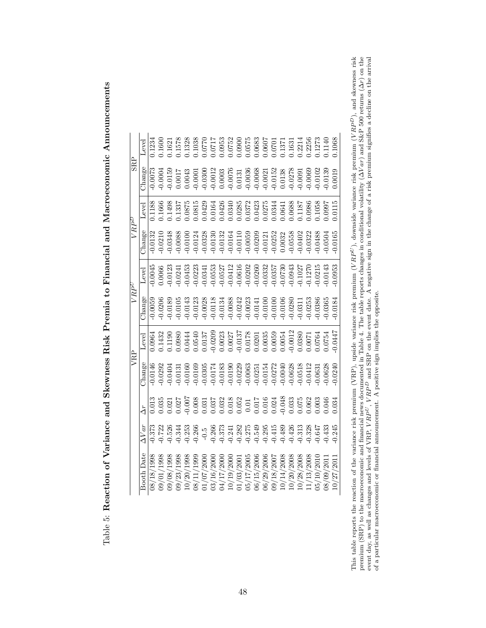| e Rier Premie to Himena and Merceroponomic and the Armonic stage<br>; |
|-----------------------------------------------------------------------|
| i<br>1<br>i                                                           |
| ו<br>ו<br>$\overline{a}$                                              |
| )<br>2<br>2<br>2<br>2<br>2<br>2<br>2<br>2<br>1<br>ï                   |
| nne and Steurnes<br>)<br>}<br>}<br>)<br>1                             |
|                                                                       |
|                                                                       |

|            | Level                       | 1234       | 1.1600 | 1.1621               |                |       | $\begin{array}{l} 1.1578 \\ 1.1328 \\ 1.1328 \\ 1.035 \\ 1.0770 \\ 1.0770 \\ 1.0770 \\ 1.0770 \\ 1.0770 \\ 1.0770 \\ 1.0770 \\ 1.083 \\ 1.0573 \\ 1.0573 \\ 1.0573 \\ 1.0573 \\ 1.0573 \\ 1.0573 \\ 1.0573 \\ 1.0573 \\ 1.000 \\ 1.1371 \\ 1.031 \\ 1.031 \\ 1.031 \\ 1.031 \\ 1.031 \\ 1.03$ |                                                                                      |         |           |         |                                                                                                               |           |           |          |       |           |          |         |                    |        | .1068   |
|------------|-----------------------------|------------|--------|----------------------|----------------|-------|-----------------------------------------------------------------------------------------------------------------------------------------------------------------------------------------------------------------------------------------------------------------------------------------------|--------------------------------------------------------------------------------------|---------|-----------|---------|---------------------------------------------------------------------------------------------------------------|-----------|-----------|----------|-------|-----------|----------|---------|--------------------|--------|---------|
| <b>SRP</b> | $\mathbb{C}^{\text{hange}}$ | 0.0073     | 0.0004 | 0.0159               | 1.0017         | 0.043 |                                                                                                                                                                                                                                                                                               | $\begin{array}{c} 0.0001\\ -0.0300\\ -0.0012\\ 0.0003\\ 0.0076\\ 0.0076 \end{array}$ |         |           |         | $\begin{array}{l} 0.0036\\0.0068\\0.0021\\0.0152\\0.0152\\0.0278\\0.0278\\0.0091\\0.0009\\0.0009 \end{array}$ |           |           |          |       |           |          |         |                    | 0.0139 | 0.0019  |
|            | _evel                       | 1.1188     | .1666  |                      |                |       | $\begin{array}{l} 1.1498\\ 1.1337\\ 1.0875\\ 1.0815\\ 1.0426\\ 1.0426\\ 1.0426\\ 1.0436\\ 1.0436\\ 1.0436\\ 1.0377\\ 1.0437\\ 1.0437\\ 1.0437\\ 1.0437\\ 1.0437\\ 1.0437\\ 1.0437\\ 1.0437\\ 1.0437\\ 1.0437\\ 1.0438\\ 1.0086\\ 1.0097\\ 1.0086\\ 1.0097\\ 1.00$                             |                                                                                      |         |           |         |                                                                                                               |           |           |          |       |           |          |         |                    |        | .0115   |
| $VRP^L$    | $\Delta$ hange              | 0.0132     |        |                      |                |       |                                                                                                                                                                                                                                                                                               |                                                                                      |         |           |         |                                                                                                               |           |           |          |       |           |          |         |                    |        | 0.0165  |
|            | Level                       | 0.0045     |        |                      |                |       | $\begin{array}{l} 0.0066\\ 0.0123\\ 0.0241\\ 0.0453\\ 0.03141\\ 0.0533\\ 0.0537\\ 0.0057\\ 0.0057\\ 0.0052\\ 0.0052\\ 0.0000\\ 0.0000\\ 0.0000\\ 0.0000\\ 0.0000\\ 0.0000\\ 0.0000\\ 0.0000\\ 0.0000\\ 0.0010\\ 0.0015\\ 0.0015\\ 0.0016\\ 0.0000\\ 0.0000\\ 0.0$                             |                                                                                      |         |           |         |                                                                                                               |           |           |          |       |           |          |         |                    | 0.143  | 0.0953  |
| VRP        | $_{\rm hange}$              | 0.0059     |        | $0.0206$<br>$0.0189$ | 0.0105         |       |                                                                                                                                                                                                                                                                                               |                                                                                      |         |           |         |                                                                                                               |           |           |          |       |           |          |         |                    | 0.0365 | 0.0184  |
|            | Level                       | 0.0964     |        |                      |                |       | $\begin{array}{l} 0.1432 \\ 0.1190 \\ 0.0980 \\ 0.0444 \\ 0.0540 \\ 0.0137 \\ 0.0023 \\ 0.0002 \\ 0.0003 \\ 0.0003 \\ 0.0003 \\ 0.0003 \\ 0.0003 \\ 0.0005 \\ 0.0005 \\ 0.0005 \\ 0.0007 \\ 0.0003 \\ 0.0005 \\ 0.0007 \\ 0.0003 \\ 0.0007 \\ 0.0003 \\ 0.0007 \\ 0.0003 \\ 0.0007 \\ 0.00$   |                                                                                      |         |           |         |                                                                                                               |           |           |          |       |           |          |         |                    |        | 15750.0 |
| VRP        | $\Delta$ hange              | $-0.0146$  | 0.0292 | 0.0404               |                |       | $\begin{array}{l} 0.0131 \\ 0.01000 \\ 0.01000 \\ 0.0101 \\ 0.01000 \\ 0.0101 \\ 0.01000 \\ 0.01000 \\ 0.01000 \\ 0.01000 \\ 0.01000 \\ 0.01000 \\ 0.0101 \\ 0.0101 \\ 0.0101 \\ 0.0101 \\ 0.0101 \\ 0.0101 \\ 0.0101 \\ 0.0101 \\ 0.0101 \\ 0.0101 \\ 0.0101 \\ 0.0101 \\ 0.0101 \\ 0.0$     |                                                                                      |         |           |         |                                                                                                               |           |           |          |       |           |          |         |                    |        | 0.024C  |
|            | à                           |            |        |                      |                |       | $\begin{array}{l} 0.021 \\ 0.027 \\ 0.006 \\ 0.003 \\ 0.003 \\ 0.033 \\ 0.032 \\ 0.034 \\ 0.032 \\ 0.01 \\ 0.01 \\ 0.01 \\ 0.01 \\ 0.024 \\ 0.048 \\ 0.048 \\ 0.048 \\ \end{array}$                                                                                                           |                                                                                      |         |           |         |                                                                                                               |           |           |          |       | 0.33      |          | 0.075   | $0.003$<br>$0.046$ |        | .034    |
|            |                             | 0.373      |        | 0.526                | 0.344          | 0.253 | 0.266                                                                                                                                                                                                                                                                                         | $\frac{0.5}{0.373}$                                                                  |         | 0.241     |         | 0.282<br>0.275<br>0.549                                                                                       |           | 0.295     | 0.415    | 0.489 | 0.426     | 0.313    | 0.328   | 1.647              | 0.43   | 0.245   |
|            | Booth Date                  | 08/18/1998 | /1998  | /1998<br>9/08/       | /1998<br>9/23/ | /1998 | $^{1999}$                                                                                                                                                                                                                                                                                     | 3/16/200                                                                             | 17/2000 | 0/19/2000 | /03/200 | <b>15/17/2008</b>                                                                                             | 6/15/2006 | 6/29/2006 | 9/18/200 |       | 1/20/2008 | /28/2008 | 13/2008 |                    |        |         |

This table reports the reaction of the variance risk premium (VRP), upside variance risk premium (VRP<sup>U</sup>), downside variance risk premium (VRP<sup>L</sup>), and skewness risk<br>premium (SRP) to the macroeconomic and financial news d This table reports the reaction of the variance risk premium (VRP), upside variance risk premium (VRP<sup>U</sup>), downside variance risk premium (VRP<sup>D</sup>), and skewness risk premium (SRP) to the macroeconomic and financial news documented in Table 4. The table reports changes in conditional volatility ( $\Delta V$  ar) and S&P 500 returns ( $\Delta r$ ) on the event day, as well as changes and levels of VRP,  $VRP^D$  and SRP on the event date. A negative sign in the change of a risk premium signifies a decline on the arrival of a particular macroeconomic or financial announcement. A positive sign implies the opposite.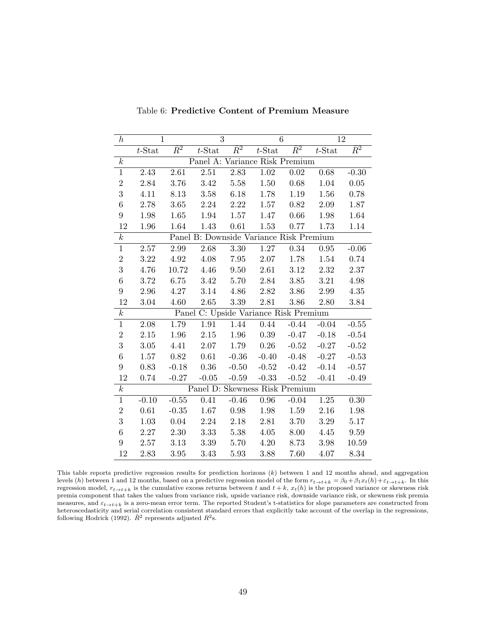| $\boldsymbol{h}$ | 1         |             | 3                                       |             | 6                 |             | 12         |             |
|------------------|-----------|-------------|-----------------------------------------|-------------|-------------------|-------------|------------|-------------|
|                  | $t$ -Stat | $\bar{R}^2$ | $t$ -Stat                               | $\bar{R}^2$ | $t$ -Stat         | $\bar{R}^2$ | $t$ -Stat  | $\bar{R}^2$ |
| $\boldsymbol{k}$ |           |             | Panel A: Variance Risk Premium          |             |                   |             |            |             |
| $\mathbf{1}$     | 2.43      | 2.61        | $2.51\,$                                | 2.83        | $\overline{1.02}$ | 0.02        | 0.68       | $-0.30$     |
| $\sqrt{2}$       | 2.84      | 3.76        | 3.42                                    | 5.58        | $1.50\,$          | $0.68\,$    | 1.04       | 0.05        |
| 3                | 4.11      | 8.13        | $3.58\,$                                | $6.18\,$    | 1.78              | $1.19\,$    | 1.56       | 0.78        |
| $\boldsymbol{6}$ | 2.78      | 3.65        | 2.24                                    | 2.22        | $1.57\,$          | $0.82\,$    | $2.09\,$   | 1.87        |
| $\overline{9}$   | 1.98      | 1.65        | 1.94                                    | 1.57        | 1.47              | $0.66\,$    | 1.98       | 1.64        |
| $12\,$           | 1.96      | 1.64        | 1.43                                    | $0.61\,$    | $1.53\,$          | 0.77        | 1.73       | 1.14        |
| $\boldsymbol{k}$ |           |             | Panel B: Downside Variance Risk Premium |             |                   |             |            |             |
| $\mathbf{1}$     | 2.57      | 2.99        | 2.68                                    | 3.30        | 1.27              | 0.34        | $\rm 0.95$ | $-0.06$     |
| $\overline{2}$   | 3.22      | 4.92        | 4.08                                    | 7.95        | 2.07              | 1.78        | $1.54\,$   | 0.74        |
| $\boldsymbol{3}$ | 4.76      | 10.72       | 4.46                                    | $9.50\,$    | 2.61              | $3.12\,$    | $2.32\,$   | 2.37        |
| $\boldsymbol{6}$ | 3.72      | $6.75\,$    | 3.42                                    | 5.70        | 2.84              | 3.85        | 3.21       | 4.98        |
| $\overline{9}$   | 2.96      | 4.27        | $3.14\,$                                | $4.86\,$    | $2.82\,$          | $3.86\,$    | $2.99\,$   | $4.35\,$    |
| 12               | 3.04      | 4.60        | 2.65                                    | 3.39        | 2.81              | 3.86        | 2.80       | 3.84        |
| $\boldsymbol{k}$ |           |             | Panel C: Upside Variance Risk Premium   |             |                   |             |            |             |
| $\mathbf{1}$     | $2.08\,$  | $1.79\,$    | 1.91                                    | 1.44        | $0.44\,$          | $-0.44$     | $-0.04$    | $-0.55$     |
| $\overline{2}$   | 2.15      | 1.96        | $2.15\,$                                | 1.96        | $0.39\,$          | $-0.47$     | $-0.18$    | $-0.54$     |
| 3                | $3.05\,$  | 4.41        | $2.07\,$                                | 1.79        | 0.26              | $-0.52$     | $-0.27$    | $-0.52$     |
| $\overline{6}$   | 1.57      | $0.82\,$    | 0.61                                    | $-0.36$     | $-0.40$           | $-0.48$     | $-0.27$    | $-0.53$     |
| $\overline{9}$   | 0.83      | $-0.18$     | 0.36                                    | $-0.50$     | $-0.52$           | $-0.42$     | $-0.14$    | $-0.57$     |
| $12\,$           | 0.74      | $-0.27$     | $-0.05$                                 | $-0.59$     | $-0.33$           | $-0.52$     | $-0.41$    | $-0.49$     |
| $\boldsymbol{k}$ |           |             | Panel D: Skewness Risk Premium          |             |                   |             |            |             |
| $\mathbf{1}$     | $-0.10$   | $-0.55$     | 0.41                                    | $-0.46$     | $\rm 0.96$        | $-0.04$     | $1.25\,$   | 0.30        |
| $\overline{2}$   | $0.61\,$  | $-0.35$     | 1.67                                    | 0.98        | 1.98              | 1.59        | $2.16\,$   | 1.98        |
| 3                | 1.03      | $0.04\,$    | 2.24                                    | 2.18        | 2.81              | 3.70        | 3.29       | 5.17        |
| $\overline{6}$   | 2.27      | 2.30        | 3.33                                    | 5.38        | $4.05\,$          | 8.00        | 4.45       | $\,9.59$    |
| $\boldsymbol{9}$ | 2.57      | 3.13        | 3.39                                    | 5.70        | 4.20              | 8.73        | 3.98       | 10.59       |
| 12               | 2.83      | 3.95        | 3.43                                    | 5.93        | 3.88              | 7.60        | 4.07       | 8.34        |

Table 6: Predictive Content of Premium Measure

This table reports predictive regression results for prediction horizons  $(k)$  between 1 and 12 months ahead, and aggregation levels (h) between 1 and 12 months, based on a predictive regression model of the form  $r_{t\to t+k} = \beta_0 + \beta_1 x_t(h) + \varepsilon_{t\to t+k}$ . In this regression model,  $r_{t\to t+k}$  is the cumulative excess returns between t and  $t + k$ ,  $x_t(h)$  is the proposed variance or skewness risk premia component that takes the values from variance risk, upside variance risk, downside variance risk, or skewness risk premia measures, and  $\varepsilon_{t\to t+k}$  is a zero-mean error term. The reported Student's t-statistics for slope parameters are constructed from heteroscedasticity and serial correlation consistent standard errors that explicitly take account of the overlap in the regressions, following Hodrick (1992).  $\bar{R}^2$  represents adjusted  $R^2$ s.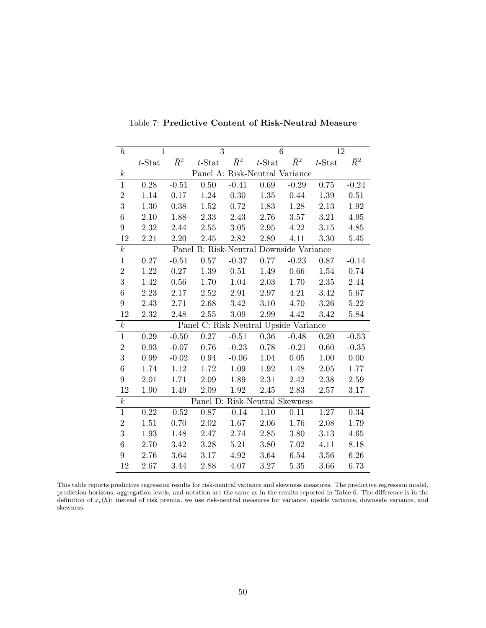| $\boldsymbol{h}$ | $\mathbf{1}$ |             | 3                                       |             | 6                 |             | 12        |             |
|------------------|--------------|-------------|-----------------------------------------|-------------|-------------------|-------------|-----------|-------------|
|                  | $t$ -Stat    | $\bar{R}^2$ | $t$ -Stat                               | $\bar{R}^2$ | $t$ -Stat         | $\bar{R}^2$ | $t$ -Stat | $\bar{R}^2$ |
| $\boldsymbol{k}$ |              |             | Panel A: Risk-Neutral Variance          |             |                   |             |           |             |
| $\,1$            | 0.28         | $-0.51$     | 0.50                                    | $-0.41$     | 0.69              | $-0.29$     | 0.75      | $-0.24$     |
| $\overline{2}$   | 1.14         | 0.17        | 1.24                                    | $0.30\,$    | 1.35              | 0.44        | 1.39      | 0.51        |
| $\overline{3}$   | $1.30\,$     | 0.38        | $1.52\,$                                | $0.72\,$    | 1.83              | $1.28\,$    | $2.13\,$  | $1.92\,$    |
| $\,6\,$          | $2.10\,$     | 1.88        | 2.33                                    | $2.43\,$    | 2.76              | 3.57        | $3.21\,$  | $4.95\,$    |
| $\boldsymbol{9}$ | $2.32\,$     | 2.44        | $2.55\,$                                | $3.05\,$    | $\phantom{-}2.95$ | 4.22        | $3.15\,$  | 4.85        |
| 12               | 2.21         | 2.20        | 2.45                                    | $2.82\,$    | 2.89              | 4.11        | 3.30      | 5.45        |
| $\boldsymbol{k}$ |              |             | Panel B: Risk-Neutral Downside Variance |             |                   |             |           |             |
| $\mathbf{1}$     | 0.27         | $-0.51$     | 0.57                                    | $-0.37$     | $0.77\,$          | $-0.23$     | 0.87      | $-0.14$     |
| $\overline{2}$   | 1.22         | $0.27\,$    | 1.39                                    | $0.51\,$    | 1.49              | $0.66\,$    | 1.54      | 0.74        |
| 3                | 1.42         | 0.56        | 1.70                                    | $1.04\,$    | $2.03\,$          | 1.70        | $2.35\,$  | 2.44        |
| $\,6\,$          | $2.23\,$     | $2.17\,$    | 2.52                                    | $2.91\,$    | $2.97\,$          | 4.21        | $3.42\,$  | 5.67        |
| $9\phantom{.}$   | 2.43         | 2.71        | 2.68                                    | $3.42\,$    | $3.10\,$          | 4.70        | $3.26\,$  | $5.22\,$    |
| 12               | 2.32         | 2.48        | 2.55                                    | 3.09        | 2.99              | 4.42        | 3.42      | 5.84        |
| $\boldsymbol{k}$ |              |             | Panel C: Risk-Neutral Upside Variance   |             |                   |             |           |             |
| $\mathbf{1}$     | 0.29         | $-0.50$     | $0.27\,$                                | $-0.51$     | $0.36\,$          | $-0.48$     | 0.20      | $-0.53$     |
| $\boldsymbol{2}$ | 0.93         | $-0.07$     | 0.76                                    | $-0.23$     | 0.78              | $-0.21$     | $0.60\,$  | $-0.35$     |
| 3                | 0.99         | $-0.02$     | $\rm 0.94$                              | $-0.06$     | 1.04              | $0.05\,$    | $1.00\,$  | $0.00\,$    |
| $\,6\,$          | 1.74         | $1.12\,$    | $1.72\,$                                | 1.09        | $1.92\,$          | 1.48        | $2.05\,$  | 1.77        |
| $\boldsymbol{9}$ | 2.01         | 1.71        | 2.09                                    | 1.89        | 2.31              | 2.42        | 2.38      | 2.59        |
| 12               | $1.90\,$     | $1.49\,$    | 2.09                                    | $1.92\,$    | $2.45\,$          | $2.83\,$    | $2.57\,$  | $3.17\,$    |
| $\boldsymbol{k}$ |              |             | Panel D: Risk-Neutral Skewness          |             |                   |             |           |             |
| $\mathbf{1}$     | 0.22         | $-0.52$     | 0.87                                    | $-0.14$     | 1.10              | 0.11        | 1.27      | 0.34        |
| $\sqrt{2}$       | 1.51         | 0.70        | $2.02\,$                                | $1.67\,$    | $2.06\,$          | 1.76        | $2.08\,$  | 1.79        |
| 3                | 1.93         | 1.48        | 2.47                                    | $2.74\,$    | $2.85\,$          | $3.80\,$    | $3.13\,$  | 4.65        |
| $\,6$            | 2.70         | $3.42\,$    | $3.28\,$                                | $5.21\,$    | $3.80\,$          | $7.02\,$    | 4.11      | 8.18        |
| $9\phantom{.}$   | $2.76\,$     | $3.64\,$    | $3.17\,$                                | $4.92\,$    | 3.64              | $6.54\,$    | 3.56      | 6.26        |
| 12               | 2.67         | 3.44        | 2.88                                    | 4.07        | 3.27              | 5.35        | $3.66\,$  | 6.73        |

Table 7: Predictive Content of Risk-Neutral Measure

This table reports predictive regression results for risk-neutral variance and skewness measures. The predictive regression model, prediction horizons, aggregation levels, and notation are the same as in the results reported in Table 6. The difference is in the definition of  $x_t(h)$ : instead of risk premia, we use risk-neutral measures for variance, upside variance, downside variance, and skewness.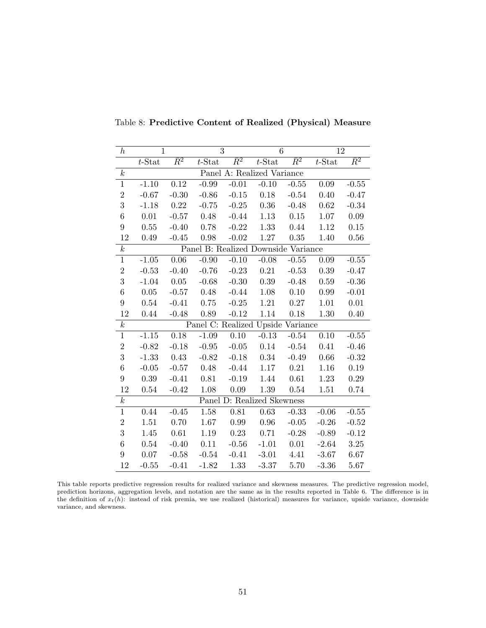| $\boldsymbol{h}$ | $\mathbf{1}$ |             | 3                                   |             | 6                          |             | 12        |             |
|------------------|--------------|-------------|-------------------------------------|-------------|----------------------------|-------------|-----------|-------------|
|                  | $t$ -Stat    | $\bar{R}^2$ | $t$ -Stat                           | $\bar{R}^2$ | $t$ -Stat                  | $\bar{R}^2$ | $t$ -Stat | $\bar{R}^2$ |
| $\boldsymbol{k}$ |              |             |                                     |             | Panel A: Realized Variance |             |           |             |
| $\mathbf{1}$     | $-1.10$      | 0.12        | $-0.99$                             | $-0.01$     | $-0.10$                    | $-0.55$     | 0.09      | $-0.55$     |
| $\overline{2}$   | $-0.67$      | $-0.30$     | $-0.86$                             | $-0.15$     | 0.18                       | $-0.54$     | 0.40      | $-0.47$     |
| 3                | $-1.18$      | 0.22        | $-0.75$                             | $-0.25$     | 0.36                       | $-0.48$     | 0.62      | $-0.34$     |
| $\overline{6}$   | 0.01         | $-0.57$     | 0.48                                | $-0.44$     | 1.13                       | $0.15\,$    | 1.07      | $0.09\,$    |
| 9                | 0.55         | $-0.40$     | 0.78                                | $-0.22$     | 1.33                       | 0.44        | 1.12      | 0.15        |
| $12\,$           | 0.49         | $-0.45$     | 0.98                                | $-0.02$     | 1.27                       | 0.35        | 1.40      | 0.56        |
| $\boldsymbol{k}$ |              |             | Panel B: Realized Downside Variance |             |                            |             |           |             |
| $\,1$            | $-1.05$      | $0.06\,$    | $-0.90$                             | $-0.10$     | $-0.08$                    | $-0.55$     | 0.09      | $-0.55$     |
| $\sqrt{2}$       | $-0.53$      | $-0.40$     | $-0.76$                             | $-0.23$     | 0.21                       | $-0.53$     | 0.39      | $-0.47$     |
| 3                | $-1.04$      | $0.05\,$    | $-0.68$                             | $-0.30$     | 0.39                       | $-0.48$     | 0.59      | $-0.36$     |
| $\boldsymbol{6}$ | 0.05         | $-0.57$     | 0.48                                | $-0.44$     | 1.08                       | 0.10        | 0.99      | $-0.01$     |
| 9                | 0.54         | $-0.41$     | 0.75                                | $-0.25$     | $1.21\,$                   | 0.27        | 1.01      | $0.01\,$    |
| 12               | 0.44         | $-0.48$     | 0.89                                | $-0.12$     | 1.14                       | 0.18        | 1.30      | 0.40        |
| $\boldsymbol{k}$ |              |             | Panel C: Realized Upside Variance   |             |                            |             |           |             |
| $\mathbf{1}$     | $-1.15$      | 0.18        | $-1.09$                             | 0.10        | $-0.13$                    | $-0.54$     | 0.10      | $-0.55$     |
| $\overline{2}$   | $-0.82$      | $-0.18$     | $-0.95$                             | $-0.05$     | 0.14                       | $-0.54$     | 0.41      | $-0.46$     |
| 3                | $-1.33$      | 0.43        | $-0.82$                             | $-0.18$     | 0.34                       | $-0.49$     | 0.66      | $-0.32$     |
| $\overline{6}$   | $-0.05$      | $-0.57$     | 0.48                                | $-0.44$     | $1.17\,$                   | 0.21        | 1.16      | 0.19        |
| $\boldsymbol{9}$ | 0.39         | $-0.41$     | 0.81                                | $-0.19$     | 1.44                       | 0.61        | 1.23      | 0.29        |
| 12               | 0.54         | $-0.42$     | 1.08                                | $0.09\,$    | 1.39                       | 0.54        | 1.51      | 0.74        |
| $\boldsymbol{k}$ |              |             |                                     |             | Panel D: Realized Skewness |             |           |             |
| $\,1$            | 0.44         | $-0.45$     | 1.58                                | 0.81        | 0.63                       | $-0.33$     | $-0.06$   | $-0.55$     |
| $\overline{2}$   | 1.51         | 0.70        | 1.67                                | 0.99        | 0.96                       | $-0.05$     | $-0.26$   | $-0.52$     |
| 3                | 1.45         | 0.61        | 1.19                                | 0.23        | 0.71                       | $-0.28$     | $-0.89$   | $-0.12$     |
| $\boldsymbol{6}$ | 0.54         | $-0.40$     | 0.11                                | $-0.56$     | $-1.01$                    | 0.01        | $-2.64$   | $3.25\,$    |
| 9                | 0.07         | $-0.58$     | $-0.54$                             | $-0.41$     | $-3.01$                    | 4.41        | $-3.67$   | 6.67        |
| 12               | $-0.55$      | $-0.41$     | $-1.82$                             | 1.33        | $-3.37$                    | 5.70        | $-3.36$   | 5.67        |

Table 8: Predictive Content of Realized (Physical) Measure

This table reports predictive regression results for realized variance and skewness measures. The predictive regression model, prediction horizons, aggregation levels, and notation are the same as in the results reported in Table 6. The difference is in the definition of  $x_t(h)$ : instead of risk premia, we use realized (historical) measures for variance, upside variance, downside variance, and skewness.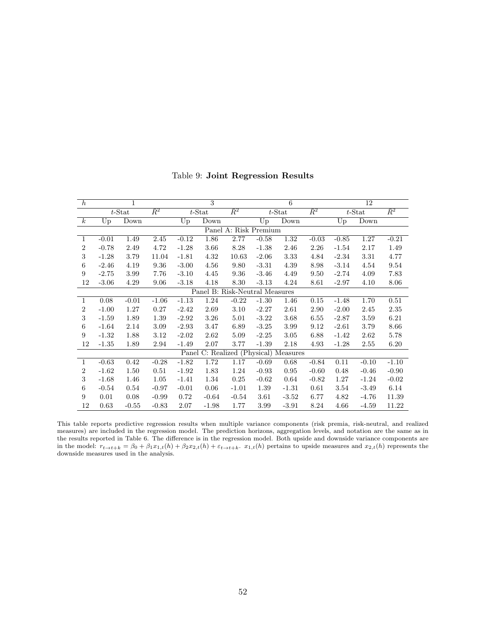| $\boldsymbol{h}$ |         | $\mathbf{1}$ |             |             | 3                              |                       |         | 6                               |             |             | 12        |             |
|------------------|---------|--------------|-------------|-------------|--------------------------------|-----------------------|---------|---------------------------------|-------------|-------------|-----------|-------------|
|                  |         | $t$ -Stat    | $\bar{R}^2$ |             | $t$ -Stat                      | $\bar{R}^2$           |         | $t$ -Stat                       | $\bar{R}^2$ |             | $t$ -Stat | $\bar{R}^2$ |
| $\boldsymbol{k}$ | Up      | Down         |             | $U_{\rm p}$ | Down                           |                       | Up      | Down                            |             | $U_{\rm p}$ | Down      |             |
|                  |         |              |             |             |                                | Panel A: Risk Premium |         |                                 |             |             |           |             |
| $\mathbf{1}$     | $-0.01$ | 1.49         | 2.45        | $-0.12$     | 1.86                           | 2.77                  | $-0.58$ | 1.32                            | $-0.03$     | $-0.85$     | 1.27      | $-0.21$     |
| $\overline{2}$   | $-0.78$ | 2.49         | 4.72        | $-1.28$     | 3.66                           | 8.28                  | $-1.38$ | 2.46                            | 2.26        | $-1.54$     | 2.17      | 1.49        |
| 3                | $-1.28$ | 3.79         | 11.04       | $-1.81$     | 4.32                           | 10.63                 | $-2.06$ | 3.33                            | 4.84        | $-2.34$     | 3.31      | 4.77        |
| 6                | $-2.46$ | 4.19         | 9.36        | $-3.00$     | 4.56                           | 9.80                  | $-3.31$ | 4.39                            | 8.98        | $-3.14$     | 4.54      | 9.54        |
| 9                | $-2.75$ | 3.99         | 7.76        | $-3.10$     | 4.45                           | 9.36                  | $-3.46$ | 4.49                            | 9.50        | $-2.74$     | 4.09      | 7.83        |
| 12               | $-3.06$ | 4.29         | 9.06        | $-3.18$     | 4.18                           | 8.30                  | $-3.13$ | 4.24                            | 8.61        | $-2.97$     | 4.10      | 8.06        |
|                  |         |              |             |             | Panel B: Risk-Neutral Measures |                       |         |                                 |             |             |           |             |
| 1                | 0.08    | $-0.01$      | $-1.06$     | $-1.13$     | 1.24                           | $-0.22$               | $-1.30$ | 1.46                            | 0.15        | $-1.48$     | 1.70      | 0.51        |
| $\overline{2}$   | $-1.00$ | 1.27         | 0.27        | $-2.42$     | 2.69                           | 3.10                  | $-2.27$ | 2.61                            | 2.90        | $-2.00$     | 2.45      | 2.35        |
| $\sqrt{3}$       | $-1.59$ | 1.89         | 1.39        | $-2.92$     | 3.26                           | 5.01                  | $-3.22$ | 3.68                            | 6.55        | $-2.87$     | 3.59      | 6.21        |
| $6\phantom{.}6$  | $-1.64$ | 2.14         | 3.09        | $-2.93$     | 3.47                           | 6.89                  | $-3.25$ | 3.99                            | 9.12        | $-2.61$     | 3.79      | 8.66        |
| 9                | $-1.32$ | 1.88         | 3.12        | $-2.02$     | 2.62                           | 5.09                  | $-2.25$ | 3.05                            | 6.88        | $-1.42$     | 2.62      | 5.78        |
| 12               | $-1.35$ | 1.89         | 2.94        | $-1.49$     | 2.07                           | 3.77                  | $-1.39$ | 2.18                            | 4.93        | $-1.28$     | 2.55      | 6.20        |
|                  |         |              |             | Panel       |                                |                       |         | C: Realized (Physical) Measures |             |             |           |             |
| 1                | $-0.63$ | 0.42         | $-0.28$     | $-1.82$     | 1.72                           | 1.17                  | $-0.69$ | 0.68                            | $-0.84$     | 0.11        | $-0.10$   | $-1.10$     |
| $\overline{2}$   | $-1.62$ | 1.50         | 0.51        | $-1.92$     | 1.83                           | 1.24                  | $-0.93$ | 0.95                            | $-0.60$     | 0.48        | $-0.46$   | $-0.90$     |
| 3                | $-1.68$ | 1.46         | 1.05        | $-1.41$     | 1.34                           | 0.25                  | $-0.62$ | 0.64                            | $-0.82$     | 1.27        | $-1.24$   | $-0.02$     |
| $6\phantom{.}6$  | $-0.54$ | 0.54         | $-0.97$     | $-0.01$     | 0.06                           | $-1.01$               | 1.39    | $-1.31$                         | 0.61        | 3.54        | $-3.49$   | 6.14        |
| 9                | 0.01    | 0.08         | $-0.99$     | 0.72        | $-0.64$                        | $-0.54$               | 3.61    | $-3.52$                         | 6.77        | 4.82        | $-4.76$   | 11.39       |
| 12               | 0.63    | $-0.55$      | $-0.83$     | 2.07        | $-1.98$                        | 1.77                  | 3.99    | $-3.91$                         | 8.24        | 4.66        | $-4.59$   | 11.22       |

Table 9: Joint Regression Results

This table reports predictive regression results when multiple variance components (risk premia, risk-neutral, and realized measures) are included in the regression model. The prediction horizons, aggregation levels, and notation are the same as in the results reported in Table 6. The difference is in the regression model. Both upside and downside variance components are in the model:  $r_{t\to t+k} = \beta_0 + \beta_1 x_{1,t}(h) + \beta_2 x_{2,t}(h) + \varepsilon_{t\to t+k}$ .  $x_{1,t}(h)$  pertains to upside measures and  $x_{2,t}(h)$  represents the downside measures used in the analysis.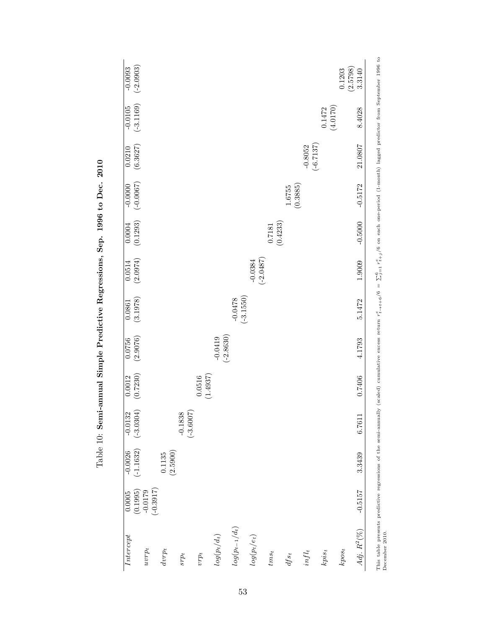| $(-2.0903)$<br>$-0.0093$<br>$\frac{-0.0105}{(-3.1169)}$ |                          |         |                          |                          |                          |                    |                    |                          | $(0.1472$<br>(4.0170) | 0.1203   | (2.5798)<br>3.3140<br>8.4028 |
|---------------------------------------------------------|--------------------------|---------|--------------------------|--------------------------|--------------------------|--------------------|--------------------|--------------------------|-----------------------|----------|------------------------------|
| $\begin{array}{c} 0.0210 \\ (6.3627) \end{array}$       |                          |         |                          |                          |                          |                    |                    | $(-6.7137)$<br>$-0.8052$ |                       |          | 21.0807                      |
| $(-0.0067)$<br>$-0.0000$                                |                          |         |                          |                          |                          |                    | (0.3885)<br>1.6755 |                          |                       |          | $-0.5172$                    |
| $\begin{array}{c} 0.0004 \ (0.1293) \end{array}$        |                          |         |                          |                          |                          | (0.4233)<br>0.7181 |                    |                          |                       |          | $-0.5000$                    |
| (2.0974)<br>0.0514                                      |                          |         |                          |                          | $(-2.0487)$<br>$-0.0384$ |                    |                    |                          |                       |          | 1.9009                       |
| (3.1978)<br>0.0861                                      |                          |         |                          | $(-3.1550)$<br>$-0.0478$ |                          |                    |                    |                          |                       |          | 5.1472                       |
| (2.9076)<br>0.0756                                      |                          |         | $(-2.8630)$<br>$-0.0419$ |                          |                          |                    |                    |                          |                       |          | 4.1793                       |
| (0.7230)<br>0.0012                                      |                          | 0.0516  | (1.4937)                 |                          |                          |                    |                    |                          |                       |          | 0.7406                       |
| $-0.0132$<br>$(-3.0304)$                                | $-0.1838$<br>$(-3.6007)$ |         |                          |                          |                          |                    |                    |                          |                       |          | 6.7611                       |
| $(-1.1632)$<br>$-0.0026$                                | (2.5900)<br>0.1135       |         |                          |                          |                          |                    |                    |                          |                       |          | 3.3439                       |
| $(-0.3917)$<br>(0.1995)<br>$-0.0179$<br>0.0005          |                          |         |                          |                          |                          |                    |                    |                          |                       |          | $-0.5157$                    |
| Intercept<br>$uvrp_t$                                   | $d v r p_t$<br>$srp_t$   | $vrp_t$ | $\log (p_t / d_t)$       | $\log(p_{t-1}/d_t)$      | $log(p_t/e_t)$           | $\mathit{tms}_t$   | $\mathit{dfs}_t$   | $inf_{t}$                | $kpis_t$              | $kpos_t$ | Adj. $R^2(\%)$               |

Table 10: Semi-annual Simple Predictive Regressions, Sep. 1996 to Dec. 2010 Table 10: Semi-annual Simple Predictive Regressions, Sep. 1996 to Dec. 2010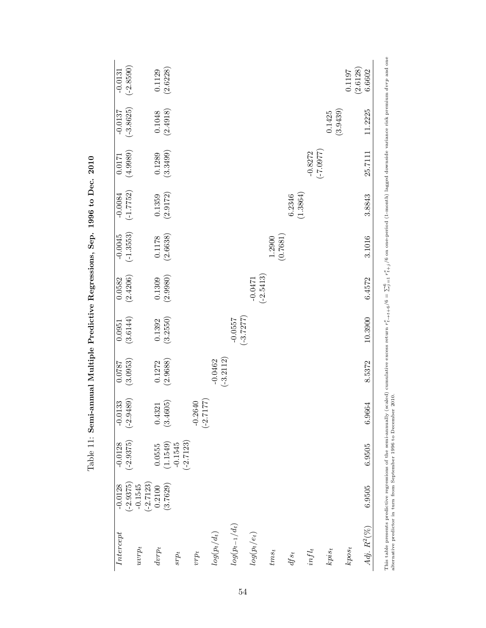| $(-2.8590)$<br>$-0.0131$ |                          | $(0.1129)$<br>(2.6228) |                                      |                          |                          |                          |                          |                      |                    |                          |                    | (2.6128)<br>0.1197 | 6.6602           |
|--------------------------|--------------------------|------------------------|--------------------------------------|--------------------------|--------------------------|--------------------------|--------------------------|----------------------|--------------------|--------------------------|--------------------|--------------------|------------------|
| $(-3.8625)$<br>$-0.0137$ |                          | (2.4918)<br>$0.1048\,$ |                                      |                          |                          |                          |                          |                      |                    |                          | (3.9439)<br>0.1425 |                    | 11.2225          |
| (4.9989)<br>0.0171       |                          | (3.3499)<br>0.1289     |                                      |                          |                          |                          |                          |                      |                    | $-0.8272$<br>$(-7.0977)$ |                    |                    | 25.7111          |
| $(-1.7752)$<br>$-0.0084$ |                          | (2.9172)<br>0.1359     |                                      |                          |                          |                          |                          |                      | (1.3864)<br>6.2346 |                          |                    |                    | 3.8843           |
| $(-1.3553)$<br>$-0.0045$ |                          | (2.6638)<br>$0.1178\,$ |                                      |                          |                          |                          |                          | $1.2900$<br>(0.7681) |                    |                          |                    |                    | 3.1016           |
| (2.4206)<br>0.0582       |                          | (2.9980)<br>0.1309     |                                      |                          |                          |                          | $(-2.5413)$<br>$-0.0471$ |                      |                    |                          |                    |                    | 6.4572           |
| (3.6144)<br>0.0951       |                          | (3.2550)<br>0.1392     |                                      |                          |                          | $(-3.7277)$<br>$-0.0557$ |                          |                      |                    |                          |                    |                    | 10.3900          |
| (3.0953)<br>0.0787       |                          | (2.9688)<br>0.1272     |                                      |                          | $(-3.2112)$<br>$-0.0462$ |                          |                          |                      |                    |                          |                    |                    | 8.5372           |
| $(-2.9489)$<br>$-0.0133$ |                          | (3.4605)<br>0.4321     |                                      | $(-2.7177)$<br>$-0.2640$ |                          |                          |                          |                      |                    |                          |                    |                    | 6.9664           |
| $(-2.9375)$<br>$-0.0128$ |                          | 0.0555                 | $(-2.7123)$<br>$(1.1549)$<br>-0.1545 |                          |                          |                          |                          |                      |                    |                          |                    |                    | 6.9505           |
| $(-2.9375)$<br>$-0.0128$ | $(-2.7123)$<br>$-0.1545$ | (3.7629)<br>0.2100     |                                      |                          |                          |                          |                          |                      |                    |                          |                    |                    | 6.9505           |
| Intercept                | $uvrp_t$                 | $dvrp_t$               | $srp_t$                              | $vrp_t$                  | $\log(p_t/d_t)$          | $\log(p_{t-1}/d_t)$      | $log(p_t/e_t)$           | $\mathit{tms}_t$     | $\mathcal{A}s_t$   | $inf_{t}$                | $kpis_t$           | $kpos_t$           | $Adj. R^{2}(\%)$ |

Table 11: Semi-annual Multiple Predictive Regressions, Sep. 1996 to Dec. 2010 Table 11: Semi-annual Multiple Predictive Regressions, Sep. 1996 to Dec. 2010

54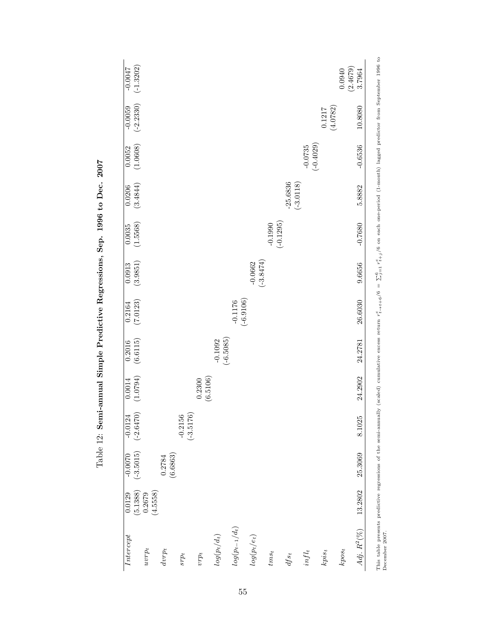| $(-1.3202)$<br>$-0.0047$                            |                               |                          |                          |                          |                           |                          |                           | 0.0940   | $(2.4679)$<br>3.7964 |
|-----------------------------------------------------|-------------------------------|--------------------------|--------------------------|--------------------------|---------------------------|--------------------------|---------------------------|----------|----------------------|
| $\begin{array}{c} -0.0059 \\ (-2.2330) \end{array}$ |                               |                          |                          |                          |                           |                          | $\frac{0.1217}{(4.0782)}$ |          | 10.8080              |
| (1.0608)<br>0.0052                                  |                               |                          |                          |                          |                           | $(-0.4029)$<br>$-0.0735$ |                           |          | $-0.6536$            |
| (3.4844)<br>0.0206                                  |                               |                          |                          |                          | $(-3.0118)$<br>$-25.6836$ |                          |                           |          | 5.8882               |
| (1.5568)<br>0.0035                                  |                               |                          |                          | $(-0.1295)$<br>$-0.1990$ |                           |                          |                           |          | $-0.7680$            |
| (3.9851)<br>0.0913                                  |                               |                          | $(-3.8474)$<br>$-0.0662$ |                          |                           |                          |                           |          | 9.6656               |
| (7.0123)<br>0.2164                                  |                               | $(-6.9106)$<br>$-0.1176$ |                          |                          |                           |                          |                           |          | 26.6030              |
| (6.6115)<br>0.2016                                  | $(-6.5085)$<br>$-0.1092$      |                          |                          |                          |                           |                          |                           |          | 24.2781              |
| (1.0794)<br>0.0014                                  | (6.5106)<br>0.2300            |                          |                          |                          |                           |                          |                           |          | 24.2902              |
| $(-2.6470)$<br>$-0.2156$<br>$-0.0124$               | $(-3.5176)$                   |                          |                          |                          |                           |                          |                           |          | 8.1025               |
| $-0.0070$<br>$(-3.5015)$<br>(6.6863)<br>0.2784      |                               |                          |                          |                          |                           |                          |                           |          | 25.3069              |
| (5.1388)<br>(4.5558)<br>0.2679<br>0.0129            |                               |                          |                          |                          |                           |                          |                           |          | 13.2802              |
| Intercept<br>$uvrp_t$<br>$d v r p_t$<br>$srp_t$     | $\log (p_t / d_t)$<br>$vrp_t$ | $\log(p_{t-1}/d_t)$      | $log(p_t/e_t)$           | $\mathit{tms}_t$         | $\mathit{dfs}_t$          | $inf_{t}$                | $kpis_t$                  | $kpos_t$ | $Adj. R^{2}(\%)$     |

Table 12: Semi-annual Simple Predictive Regressions, Sep. 1996 to Dec. 2007 Table 12: Semi-annual Simple Predictive Regressions, Sep. 1996 to Dec. 2007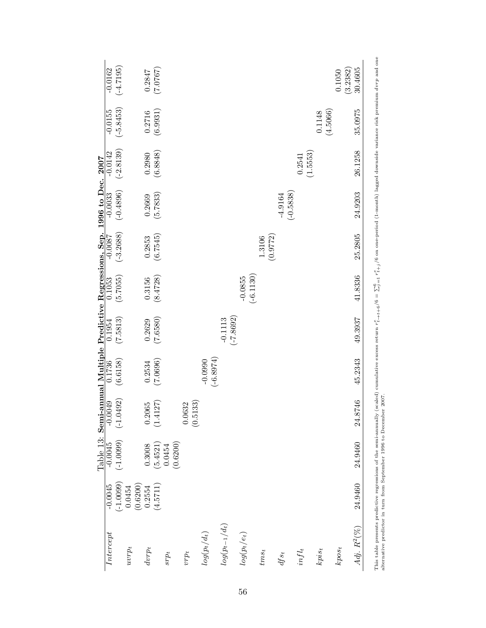|                                                                               | $-0.0162$          | $(-4.7195)$                 |                    | 0.2847      | (7.0767)                 |         |          |                    |                          |                          |                          |         |          |                          |                    |                    | (3.2382)<br>0.1050 | 30.4605        |
|-------------------------------------------------------------------------------|--------------------|-----------------------------|--------------------|-------------|--------------------------|---------|----------|--------------------|--------------------------|--------------------------|--------------------------|---------|----------|--------------------------|--------------------|--------------------|--------------------|----------------|
|                                                                               | $-0.0155$          | $(-5.8453)$                 |                    | 0.2716      | (6.9931)                 |         |          |                    |                          |                          |                          |         |          |                          |                    | (4.5066)<br>0.1148 |                    | 35.0975        |
|                                                                               | $-0.0142$          | $(-2.8139)$                 |                    | 0.2980      | (6.8848)                 |         |          |                    |                          |                          |                          |         |          |                          | (1.5553)<br>0.2541 |                    |                    | 26.1258        |
| Table 13: Semi-annual Multiple Predictive Regressions, Sep. 1996 to Dec. 2007 |                    | $\frac{-0.0033}{(-0.4896)}$ |                    | 0.2669      | (5.7833)                 |         |          |                    |                          |                          |                          |         |          | $(-0.5838)$<br>$-4.9164$ |                    |                    |                    | 24.9203        |
|                                                                               | $-0.0087$          | $(-3.2688)$                 |                    | 0.2853      | (6.7545)                 |         |          |                    |                          |                          |                          | 1.3106  | (0.9772) |                          |                    |                    |                    | 25.2805        |
|                                                                               | 0.1053             | (5.7055)                    |                    | 0.3156      | (8.4728)                 |         |          |                    |                          |                          | $(-6.1130)$<br>$-0.0855$ |         |          |                          |                    |                    |                    | 41.8336        |
|                                                                               | 0.1954             | (7.5813)                    |                    | 0.2629      | (7.6580)                 |         |          |                    |                          | $(-7.8692)$<br>$-0.1113$ |                          |         |          |                          |                    |                    |                    | 49.3937        |
|                                                                               | $\frac{0.1736}{ }$ | (6.6158)                    |                    | 0.2534      | (7.0696)                 |         |          |                    | $(-6.8974)$<br>$-0.0990$ |                          |                          |         |          |                          |                    |                    |                    | 45.2343        |
|                                                                               | $-0.0049$          | $(-1.0492)$                 |                    | 0.2065      | 127)<br>$\overline{1.4}$ |         |          | (0.5133)<br>0.0632 |                          |                          |                          |         |          |                          |                    |                    |                    | ,746<br>24.8   |
|                                                                               | $-0.0045$          | $(-1.0099)$                 |                    | 0.3008      | (5.4521)                 | 0.0454  | (0.6200) |                    |                          |                          |                          |         |          |                          |                    |                    |                    | 24.9460        |
|                                                                               | $-0.0045$          | $(-1.0099)$                 | (0.6200)<br>0.0454 | 0.2554      | (4.5711)                 |         |          |                    |                          |                          |                          |         |          |                          |                    |                    |                    | 24.9460        |
|                                                                               | Intercept          |                             | $uvrp_t$           | $d v r p_t$ |                          | $srp_t$ |          | irpi               | $\log(p_t/d_t)$          | $\log(p_{t-1}/d_t)$      | $log(p_t/e_t)$           | $ims_t$ |          | $\mathit{dfs_t}$         | $infl_t$           | $kpis_t$           | $kpos_t$           | Adj. $R^2(\%)$ |

This table presents predictive regressions of the semi-annually (scaled) cumulative excess return  $r_{++}^e$ + $\frac{1}{t}$  of  $\frac{6}{t}$  =  $\sum_{j=1}^{6} \frac{r_{+j}^e}{r_{+j}^e}$ /6 on one-period (1-month) lagged downside variance risk p  $\frac{1}{2}$  $\frac{1}{2}$  $\frac{5}{4}$ This table presents predictive regressions of the semi-annually (scaled) alternative predictor in turn from September 1996 to December 2007. alternative predictor in turn from September 1996 to December 2007.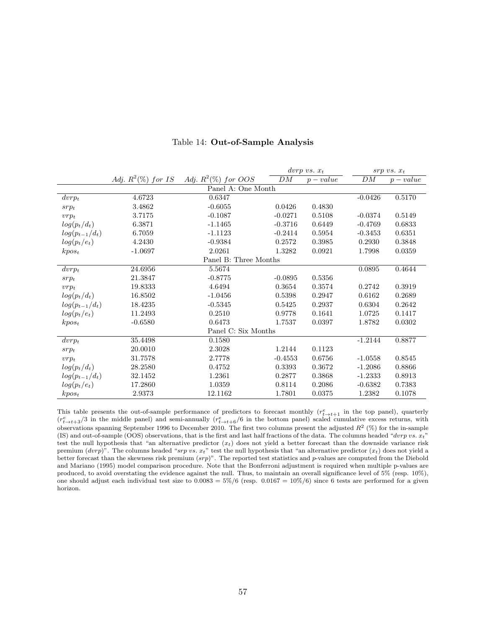|                       |                       |                        | $\textit{dorp}\ vs.\ x_t$ |           |           | $srp vs. x_t$ |  |  |  |  |  |  |
|-----------------------|-----------------------|------------------------|---------------------------|-----------|-----------|---------------|--|--|--|--|--|--|
|                       | Adj. $R^2(\%)$ for IS | Adj. $R^2(\%)$ for OOS | DM                        | $p-value$ | DM        | $p-value$     |  |  |  |  |  |  |
| Panel A: One Month    |                       |                        |                           |           |           |               |  |  |  |  |  |  |
| $dvrp_t$              | 4.6723                | 0.6347                 |                           |           | $-0.0426$ | 0.5170        |  |  |  |  |  |  |
| $srp_t$               | 3.4862                | $-0.6055$              | 0.0426                    | 0.4830    |           |               |  |  |  |  |  |  |
| $vrp_t$               | 3.7175                | $-0.1087$              | $-0.0271$                 | 0.5108    | $-0.0374$ | 0.5149        |  |  |  |  |  |  |
| $log(p_t/d_t)$        | 6.3871                | $-1.1465$              | $-0.3716$                 | 0.6449    | $-0.4769$ | 0.6833        |  |  |  |  |  |  |
| $log(p_{t-1}/d_t)$    | 6.7059                | $-1.1123$              | $-0.2414$                 | 0.5954    | $-0.3453$ | 0.6351        |  |  |  |  |  |  |
| $log(p_t/e_t)$        | 4.2430                | $-0.9384$              | 0.2572                    | 0.3985    | 0.2930    | 0.3848        |  |  |  |  |  |  |
| $kpos_t$              | $-1.0697$             | 2.0261                 | 1.3282                    | 0.0921    | 1.7998    | 0.0359        |  |  |  |  |  |  |
| Panel B: Three Months |                       |                        |                           |           |           |               |  |  |  |  |  |  |
| $dvrp_t$              | 24.6956               | 5.5674                 |                           |           | 0.0895    | 0.4644        |  |  |  |  |  |  |
| $srp_t$               | 21.3847               | $-0.8775$              | $-0.0895$                 | 0.5356    |           |               |  |  |  |  |  |  |
| $vrp_t$               | 19.8333               | 4.6494                 | 0.3654                    | 0.3574    | 0.2742    | 0.3919        |  |  |  |  |  |  |
| $log(p_t/d_t)$        | 16.8502               | $-1.0456$              | 0.5398                    | 0.2947    | 0.6162    | 0.2689        |  |  |  |  |  |  |
| $log(p_{t-1}/d_t)$    | 18.4235               | $-0.5345$              | 0.5425                    | 0.2937    | 0.6304    | 0.2642        |  |  |  |  |  |  |
| $log(p_t/e_t)$        | 11.2493               | 0.2510                 | 0.9778                    | 0.1641    | 1.0725    | 0.1417        |  |  |  |  |  |  |
| $kpos_t$              | $-0.6580$             | 0.6473                 | 1.7537                    | 0.0397    | 1.8782    | 0.0302        |  |  |  |  |  |  |
|                       | Panel C: Six Months   |                        |                           |           |           |               |  |  |  |  |  |  |
| $dvrp_t$              | 35.4498               | 0.1580                 |                           |           | $-1.2144$ | 0.8877        |  |  |  |  |  |  |
| $srp_t$               | 20.0010               | 2.3028                 | 1.2144                    | 0.1123    |           |               |  |  |  |  |  |  |
| $vrp_t$               | 31.7578               | 2.7778                 | $-0.4553$                 | 0.6756    | $-1.0558$ | 0.8545        |  |  |  |  |  |  |
| $log(p_t/d_t)$        | 28.2580               | 0.4752                 | 0.3393                    | 0.3672    | $-1.2086$ | 0.8866        |  |  |  |  |  |  |
| $log(p_{t-1}/d_t)$    | 32.1452               | 1.2361                 | 0.2877                    | 0.3868    | $-1.2333$ | 0.8913        |  |  |  |  |  |  |
| $log(p_t/e_t)$        | 17.2860               | 1.0359                 | 0.8114                    | 0.2086    | $-0.6382$ | 0.7383        |  |  |  |  |  |  |
| $kpos_t$              | 2.9373                | 12.1162                | 1.7801                    | 0.0375    | 1.2382    | 0.1078        |  |  |  |  |  |  |

#### Table 14: Out-of-Sample Analysis

This table presents the out-of-sample performance of predictors to forecast monthly  $(r_{t\to t+1}^e)$  in the top panel), quarterly  $(r_{t\to t+3}^e/3)$  in the middle panel) and semi-annually  $(r_{t\to t+6}^e/6)$  in the bottom panel) observations spanning September 1996 to December 2010. The first two columns present the adjusted  $R^2$  (%) for the in-sample (IS) and out-of-sample (OOS) observations, that is the first and last half fractions of the data. The columns headed "dvrp vs.  $x_t$ " test the null hypothesis that "an alternative predictor  $(x_t)$  does not yield a better forecast than the downside variance risk premium  $(dvrp)$ ". The columns headed "srp vs.  $x_t$ " test the null hypothesis that "an alternative predictor  $(x_t)$  does not yield a better forecast than the skewness risk premium (srp)". The reported test statistics and p-values are computed from the Diebold and Mariano (1995) model comparison procedure. Note that the Bonferroni adjustment is required when multiple p-values are produced, to avoid overstating the evidence against the null. Thus, to maintain an overall significance level of 5% (resp. 10%), one should adjust each individual test size to  $0.0083 = 5\%/6$  (resp.  $0.0167 = 10\%/6$ ) since 6 tests are performed for a given horizon.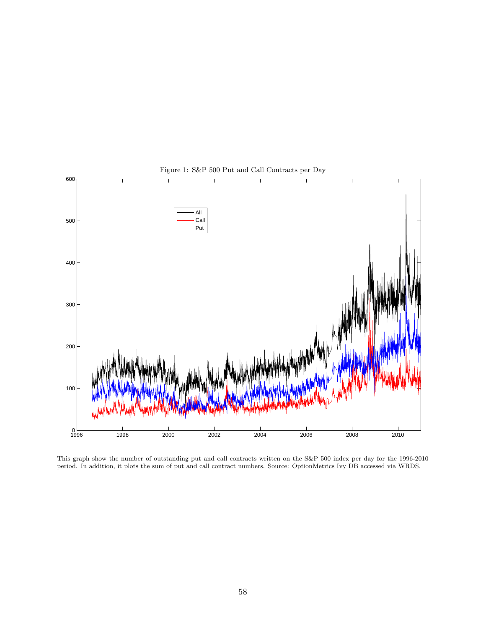

Figure 1: S&P 500 Put and Call Contracts per Day

This graph show the number of outstanding put and call contracts written on the S&P 500 index per day for the 1996-2010 period. In addition, it plots the sum of put and call contract numbers. Source: OptionMetrics Ivy DB accessed via WRDS.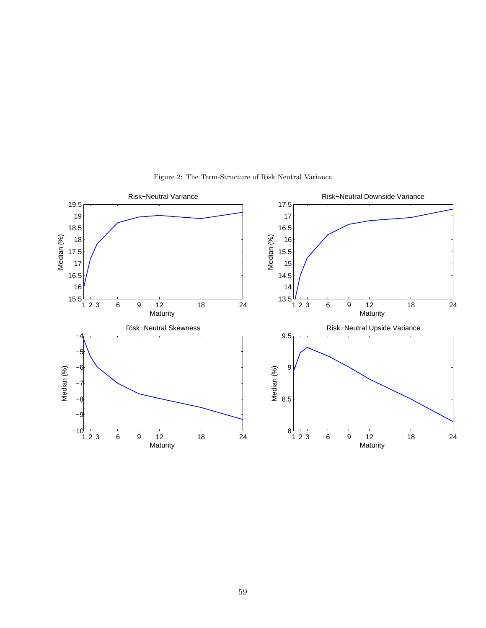

Figure 2: The Term-Structure of Risk Neutral Variance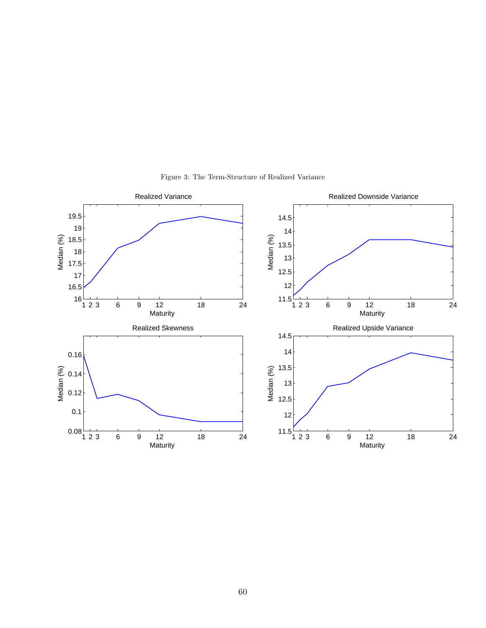

Figure 3: The Term-Structure of Realized Variance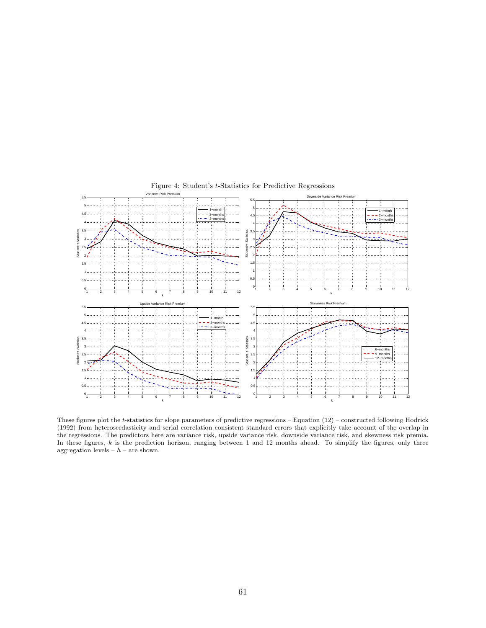

Figure 4: Student's t-Statistics for Predictive Regressions

These figures plot the t-statistics for slope parameters of predictive regressions – Equation (12) – constructed following Hodrick (1992) from heteroscedasticity and serial correlation consistent standard errors that explicitly take account of the overlap in the regressions. The predictors here are variance risk, upside variance risk, downside variance risk, and skewness risk premia. In these figures,  $k$  is the prediction horizon, ranging between 1 and 12 months ahead. To simplify the figures, only three aggregation levels –  $h$  – are shown.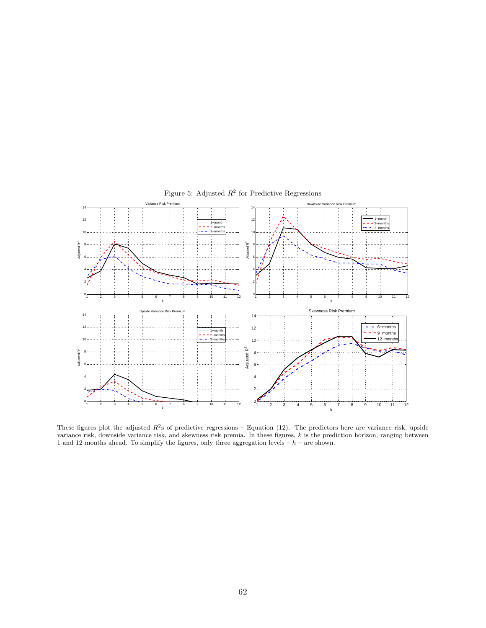

Figure 5: Adjusted  $R^2$  for Predictive Regressions

These figures plot the adjusted  $R^2$ s of predictive regressions – Equation (12). The predictors here are variance risk, upside variance risk, downside variance risk, and skewness risk premia. In these figures,  $k$  is the prediction horizon, ranging between 1 and 12 months ahead. To simplify the figures, only three aggregation levels  $-h$  – are shown.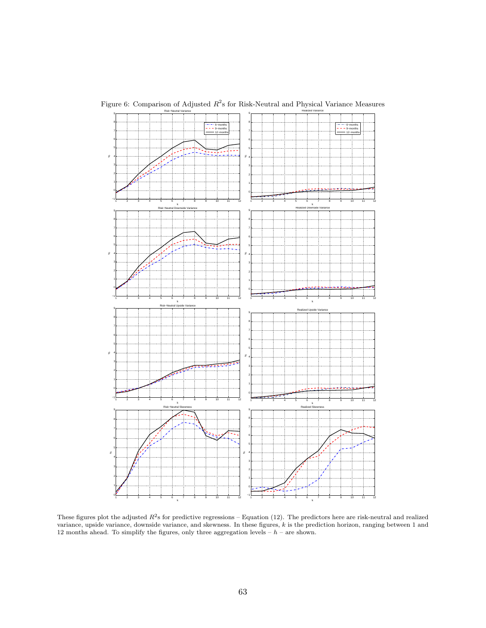

Figure 6: Comparison of Adjusted  $R^2$ s for Risk-Neutral and Physical Variance Measures

These figures plot the adjusted  $R^2$ s for predictive regressions – Equation (12). The predictors here are risk-neutral and realized variance, upside variance, downside variance, and skewness. In these figures, k is the prediction horizon, ranging between 1 and 12 months ahead. To simplify the figures, only three aggregation levels –  $h$  – are shown.